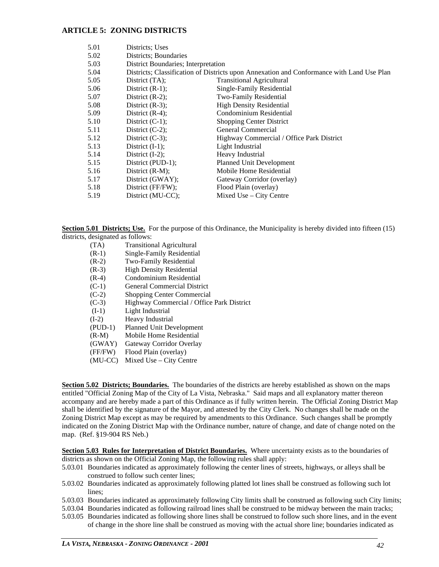# **ARTICLE 5: ZONING DISTRICTS**

| 5.01 | Districts; Uses                     |                                                                                           |
|------|-------------------------------------|-------------------------------------------------------------------------------------------|
| 5.02 | Districts; Boundaries               |                                                                                           |
| 5.03 | District Boundaries; Interpretation |                                                                                           |
| 5.04 |                                     | Districts; Classification of Districts upon Annexation and Conformance with Land Use Plan |
| 5.05 | District (TA):                      | <b>Transitional Agricultural</b>                                                          |
| 5.06 | District $(R-1)$ :                  | Single-Family Residential                                                                 |
| 5.07 | District $(R-2)$ ;                  | Two-Family Residential                                                                    |
| 5.08 | District $(R-3)$ :                  | <b>High Density Residential</b>                                                           |
| 5.09 | District $(R-4)$ ;                  | Condominium Residential                                                                   |
| 5.10 | District $(C-1)$ ;                  | <b>Shopping Center District</b>                                                           |
| 5.11 | District $(C-2)$ ;                  | General Commercial                                                                        |
| 5.12 | District $(C-3)$ :                  | Highway Commercial / Office Park District                                                 |
| 5.13 | District $(I-1)$ ;                  | Light Industrial                                                                          |
| 5.14 | District $(I-2)$ ;                  | Heavy Industrial                                                                          |
| 5.15 | District (PUD-1);                   | Planned Unit Development                                                                  |
| 5.16 | District $(R-M)$ ;                  | Mobile Home Residential                                                                   |
| 5.17 | District (GWAY);                    | Gateway Corridor (overlay)                                                                |
| 5.18 | District (FF/FW);                   | Flood Plain (overlay)                                                                     |
| 5.19 | District (MU-CC);                   | Mixed Use – City Centre                                                                   |
|      |                                     |                                                                                           |

**Section 5.01 Districts; Use.** For the purpose of this Ordinance, the Municipality is hereby divided into fifteen (15) districts, designated as follows:

- (TA) Transitional Agricultural
- (R-1) Single-Family Residential
- (R-2) Two-Family Residential
- (R-3) High Density Residential
- (R-4) Condominium Residential
- (C-1) General Commercial District
- (C-2) Shopping Center Commercial
- (C-3) Highway Commercial / Office Park District
- Light Industrial
- (I-2) Heavy Industrial
- (PUD-1) Planned Unit Development
- (R-M) Mobile Home Residential
- (GWAY) Gateway Corridor Overlay
- (FF/FW) Flood Plain (overlay)
- (MU-CC) Mixed Use City Centre

**Section 5.02 Districts; Boundaries.** The boundaries of the districts are hereby established as shown on the maps entitled "Official Zoning Map of the City of La Vista, Nebraska." Said maps and all explanatory matter thereon accompany and are hereby made a part of this Ordinance as if fully written herein. The Official Zoning District Map shall be identified by the signature of the Mayor, and attested by the City Clerk. No changes shall be made on the Zoning District Map except as may be required by amendments to this Ordinance. Such changes shall be promptly indicated on the Zoning District Map with the Ordinance number, nature of change, and date of change noted on the map. (Ref. §19-904 RS Neb.)

**Section 5.03 Rules for Interpretation of District Boundaries.** Where uncertainty exists as to the boundaries of districts as shown on the Official Zoning Map, the following rules shall apply:

- 5.03.01 Boundaries indicated as approximately following the center lines of streets, highways, or alleys shall be construed to follow such center lines;
- 5.03.02 Boundaries indicated as approximately following platted lot lines shall be construed as following such lot lines;
- 5.03.03 Boundaries indicated as approximately following City limits shall be construed as following such City limits;
- 5.03.04 Boundaries indicated as following railroad lines shall be construed to be midway between the main tracks;
- 5.03.05 Boundaries indicated as following shore lines shall be construed to follow such shore lines, and in the event of change in the shore line shall be construed as moving with the actual shore line; boundaries indicated as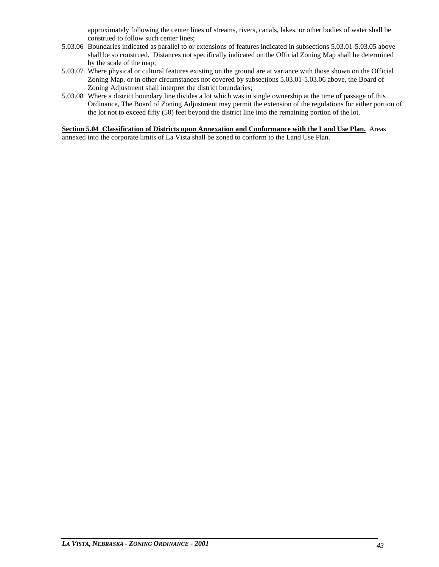approximately following the center lines of streams, rivers, canals, lakes, or other bodies of water shall be construed to follow such center lines;

- 5.03.06 Boundaries indicated as parallel to or extensions of features indicated in subsections 5.03.01-5.03.05 above shall be so construed. Distances not specifically indicated on the Official Zoning Map shall be determined by the scale of the map;
- 5.03.07 Where physical or cultural features existing on the ground are at variance with those shown on the Official Zoning Map, or in other circumstances not covered by subsections 5.03.01-5.03.06 above, the Board of Zoning Adjustment shall interpret the district boundaries;
- 5.03.08 Where a district boundary line divides a lot which was in single ownership at the time of passage of this Ordinance, The Board of Zoning Adjustment may permit the extension of the regulations for either portion of the lot not to exceed fifty (50) feet beyond the district line into the remaining portion of the lot.

**Section 5.04 Classification of Districts upon Annexation and Conformance with the Land Use Plan.** Areas

annexed into the corporate limits of La Vista shall be zoned to conform to the Land Use Plan.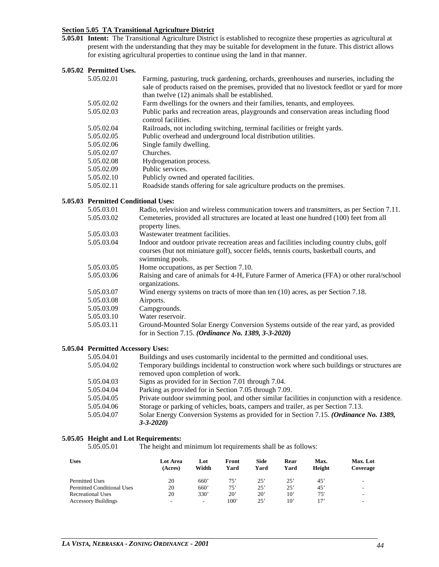# **Section 5.05 TA Transitional Agriculture District**

**5.05.01 Intent:** The Transitional Agriculture District is established to recognize these properties as agricultural at present with the understanding that they may be suitable for development in the future. This district allows for existing agricultural properties to continue using the land in that manner.

#### **5.05.02 Permitted Uses.**

| Farming, pasturing, truck gardening, orchards, greenhouses and nurseries, including the<br>sale of products raised on the premises, provided that no livestock feedlot or yard for more |
|-----------------------------------------------------------------------------------------------------------------------------------------------------------------------------------------|
| than twelve (12) animals shall be established.                                                                                                                                          |
| Farm dwellings for the owners and their families, tenants, and employees.                                                                                                               |
| Public parks and recreation areas, playgrounds and conservation areas including flood<br>control facilities.                                                                            |
| Railroads, not including switching, terminal facilities or freight yards.                                                                                                               |
| Public overhead and underground local distribution utilities.                                                                                                                           |
| Single family dwelling.                                                                                                                                                                 |
| Churches.                                                                                                                                                                               |
| Hydrogenation process.                                                                                                                                                                  |
| Public services.                                                                                                                                                                        |
| Publicly owned and operated facilities.                                                                                                                                                 |
| Roadside stands offering for sale agriculture products on the premises.                                                                                                                 |
|                                                                                                                                                                                         |

#### **5.05.03 Permitted Conditional Uses:**

| 5.05.03.01 | Radio, television and wireless communication towers and transmitters, as per Section 7.11.                                                                                         |
|------------|------------------------------------------------------------------------------------------------------------------------------------------------------------------------------------|
| 5.05.03.02 | Cemeteries, provided all structures are located at least one hundred (100) feet from all                                                                                           |
|            | property lines.                                                                                                                                                                    |
| 5.05.03.03 | Wastewater treatment facilities.                                                                                                                                                   |
| 5.05.03.04 | Indoor and outdoor private recreation areas and facilities including country clubs, golf<br>courses (but not miniature golf), soccer fields, tennis courts, basketball courts, and |
|            | swimming pools.                                                                                                                                                                    |
| 5.05.03.05 | Home occupations, as per Section 7.10.                                                                                                                                             |
| 5.05.03.06 | Raising and care of animals for 4-H, Future Farmer of America (FFA) or other rural/school<br>organizations.                                                                        |
| 5.05.03.07 | Wind energy systems on tracts of more than ten $(10)$ acres, as per Section 7.18.                                                                                                  |
| 5.05.03.08 | Airports.                                                                                                                                                                          |
| 5.05.03.09 | Campgrounds.                                                                                                                                                                       |
| 5.05.03.10 | Water reservoir.                                                                                                                                                                   |
| 5.05.03.11 | Ground-Mounted Solar Energy Conversion Systems outside of the rear yard, as provided<br>for in Section 7.15. ( <i>Ordinance No. 1389</i> , 3-3-2020)                               |

#### **5.05.04 Permitted Accessory Uses:**

| 5.05.04.01 | Buildings and uses customarily incidental to the permitted and conditional uses.             |
|------------|----------------------------------------------------------------------------------------------|
| 5.05.04.02 | Temporary buildings incidental to construction work where such buildings or structures are   |
|            | removed upon completion of work.                                                             |
| 5.05.04.03 | Signs as provided for in Section 7.01 through 7.04.                                          |
| 5.05.04.04 | Parking as provided for in Section 7.05 through 7.09.                                        |
| 5.05.04.05 | Private outdoor swimming pool, and other similar facilities in conjunction with a residence. |
| 5.05.04.06 | Storage or parking of vehicles, boats, campers and trailer, as per Section 7.13.             |
| 5.05.04.07 | Solar Energy Conversion Systems as provided for in Section 7.15. (Ordinance No. 1389,        |
|            | $3 - 3 - 2020$                                                                               |
|            |                                                                                              |

# **5.05.05 Height and Lot Requirements:**<br>5.05.05.01 The height and

The height and minimum lot requirements shall be as follows:

| <b>Uses</b>                                            | <b>Lot Area</b><br>(Acres)     | Lot<br>Width                     | Front<br>Yard        | Side<br>Yard        | Rear<br>Yard        | Max.<br>Height | <b>Max. Lot</b><br>Coverage |
|--------------------------------------------------------|--------------------------------|----------------------------------|----------------------|---------------------|---------------------|----------------|-----------------------------|
| Permitted Uses                                         | 20                             | 660                              | 75'                  | $25^{\circ}$        | 25'                 | 45'            | ۰                           |
| <b>Permitted Conditional Uses</b>                      | 20                             | 660'                             | 75'                  | 25"                 | 25'                 | 45'            | ۰                           |
| <b>Recreational Uses</b><br><b>Accessory Buildings</b> | 20<br>$\overline{\phantom{a}}$ | 330'<br>$\overline{\phantom{a}}$ | $20^{\circ}$<br>100' | $20^{\circ}$<br>25" | $10^{\circ}$<br>10' | 75'            | ۰<br>-                      |
|                                                        |                                |                                  |                      |                     |                     |                |                             |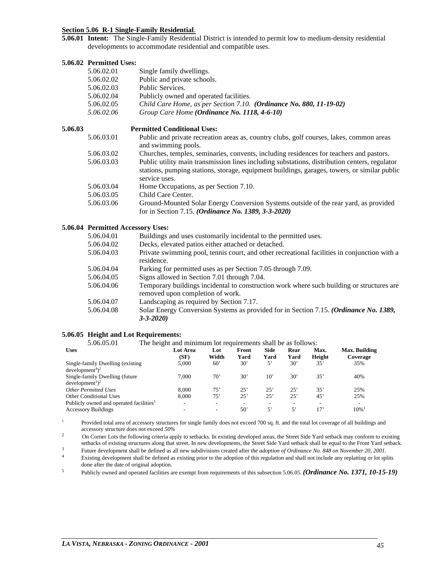#### **Section 5.06 R-1 Single-Family Residential**.

**5.06.01 Intent:** The Single-Family Residential District is intended to permit low to medium-density residential developments to accommodate residential and compatible uses.

#### **5.06.02 Permitted Uses:**

| 5.06.02.01 | Single family dwellings.                                            |
|------------|---------------------------------------------------------------------|
| 5.06.02.02 | Public and private schools.                                         |
| 5.06.02.03 | Public Services.                                                    |
| 5.06.02.04 | Publicly owned and operated facilities.                             |
| 5.06.02.05 | Child Care Home, as per Section 7.10. (Ordinance No. 880, 11-19-02) |
| 5.06.02.06 | Group Care Home (Ordinance No. 1118, 4-6-10)                        |
|            |                                                                     |

| 5.06.03 |            | <b>Permitted Conditional Uses:</b>                                                                                                                                                                             |
|---------|------------|----------------------------------------------------------------------------------------------------------------------------------------------------------------------------------------------------------------|
|         | 5.06.03.01 | Public and private recreation areas as, country clubs, golf courses, lakes, common areas<br>and swimming pools.                                                                                                |
|         | 5.06.03.02 | Churches, temples, seminaries, convents, including residences for teachers and pastors.                                                                                                                        |
|         | 5.06.03.03 | Public utility main transmission lines including substations, distribution centers, regulator<br>stations, pumping stations, storage, equipment buildings, garages, towers, or similar public<br>service uses. |
|         | 5.06.03.04 | Home Occupations, as per Section 7.10.                                                                                                                                                                         |
|         | 5.06.03.05 | Child Care Center.                                                                                                                                                                                             |
|         | 5.06.03.06 | Ground-Mounted Solar Energy Conversion Systems outside of the rear yard, as provided<br>for in Section 7.15. ( <i>Ordinance No. 1389</i> , 3-3-2020)                                                           |

#### **5.06.04 Permitted Accessory Uses:**

| 5.06.04.01 | Buildings and uses customarily incidental to the permitted uses.                                                              |
|------------|-------------------------------------------------------------------------------------------------------------------------------|
| 5.06.04.02 | Decks, elevated patios either attached or detached.                                                                           |
| 5.06.04.03 | Private swimming pool, tennis court, and other recreational facilities in conjunction with a<br>residence.                    |
| 5.06.04.04 | Parking for permitted uses as per Section 7.05 through 7.09.                                                                  |
| 5.06.04.05 | Signs allowed in Section 7.01 through 7.04.                                                                                   |
| 5.06.04.06 | Temporary buildings incidental to construction work where such building or structures are<br>removed upon completion of work. |
| 5.06.04.07 | Landscaping as required by Section 7.17.                                                                                      |
| 5.06.04.08 | Solar Energy Conversion Systems as provided for in Section 7.15. (Ordinance No. 1389,<br>$3 - 3 - 2020$                       |
|            |                                                                                                                               |

#### **5.06.05 Height and Lot Requirements:**

| 5.06.05.01                                          | The height and minimum lot requirements shall be as follows: |              |       |              |              |        |                          |
|-----------------------------------------------------|--------------------------------------------------------------|--------------|-------|--------------|--------------|--------|--------------------------|
| <b>Uses</b>                                         | Lot Area                                                     | Lot          | Front | <b>Side</b>  | Rear         | Max.   | <b>Max. Building</b>     |
|                                                     | (SF)                                                         | Width        | Yard  | Yard         | Yard         | Height | Coverage                 |
| Single-family Dwelling (existing)                   | 5,000                                                        | 60'          | 30'   | 5'           | $30^{\circ}$ | 35'    | 35%                      |
| development <sup>4</sup> ) <sup>2</sup>             |                                                              |              |       |              |              |        |                          |
| Single-family Dwelling (future)                     | 7.000                                                        | $70^{\circ}$ | 30'   | $10^{\circ}$ | 30'          | 35'    | 40%                      |
| development <sup>3</sup> ) <sup>2</sup>             |                                                              |              |       |              |              |        |                          |
| <b>Other Permitted Uses</b>                         | 8.000                                                        | 75'          | 25'   | 25'          | 25'          | 35'    | 25%                      |
| <b>Other Conditional Uses</b>                       | 8.000                                                        | 75'          | 25'   | 25'          | 25'          | 45'    | 25%                      |
| Publicly owned and operated facilities <sup>5</sup> | ۰                                                            | ۰            |       |              |              | ۰      | $\overline{\phantom{a}}$ |
| <b>Accessory Buildings</b>                          | -                                                            | ۰            | 50'   | 5'           | 5'           | 17'    | $10\%$ <sup>1</sup>      |

<sup>1</sup> Provided total area of accessory structures for single family does not exceed 700 sq. ft. and the total lot coverage of all buildings and accessory structure does not exceed *50%*

- <sup>2</sup> On Corner Lots the following criteria apply to setbacks. In existing developed areas, the Street Side Yard setback may conform to existing setbacks of existing structures along that street. In new developments, the Street Side Yard setback shall be equal to the Front Yard setback.
- <sup>3</sup><br>Future development shall be defined as all new subdivisions created after *the adoption of Ordinance No.* 848 *on November 20, 2001*.
- <sup>4</sup> Existing development shall be defined as existing prior to the adoption of this regulation and shall not include any replatting or lot splits done after the date of original adoption.

<sup>5</sup> Publicly owned and operated facilities are exempt from requirements of this subsection 5.06.05. *(Ordinance No. 1371, 10-15-19)*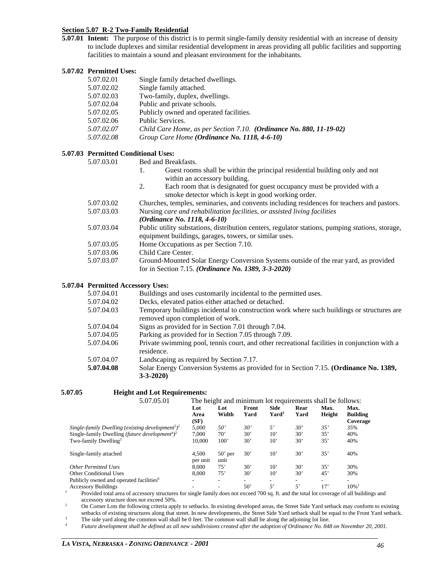### **Section 5.07 R-2 Two-Family Residential**

**5.07.01 Intent:** The purpose of this district is to permit single-family density residential with an increase of density to include duplexes and similar residential development in areas providing all public facilities and supporting facilities to maintain a sound and pleasant environment for the inhabitants.

#### **5.07.02 Permitted Uses:**

| 5.07.02.01 | Single family detached dwellings.                                   |
|------------|---------------------------------------------------------------------|
| 5.07.02.02 | Single family attached.                                             |
| 5.07.02.03 | Two-family, duplex, dwellings.                                      |
| 5.07.02.04 | Public and private schools.                                         |
| 5.07.02.05 | Publicly owned and operated facilities.                             |
| 5.07.02.06 | Public Services.                                                    |
| 5.07.02.07 | Child Care Home, as per Section 7.10. (Ordinance No. 880, 11-19-02) |
| 5.07.02.08 | Group Care Home (Ordinance No. 1118, 4-6-10)                        |

#### **5.07.03 Permitted Conditional Uses:**

5.07.03.01 Bed and Breakfasts.

- 1. Guest rooms shall be within the principal residential building only and not within an accessory building.
- 2. Each room that is designated for guest occupancy must be provided with a smoke detector which is kept in good working order.
- 5.07.03.02 Churches, temples, seminaries, and convents including residences for teachers and pastors. 5.07.03.03 Nursing *care and rehabilitation facilities, or assisted living facilities (Ordinance No. 1118, 4-6-10)* 5.07.03.04 Public utility substations, distribution centers, regulator stations, pumping *stations*, storage, equipment buildings, garages, towers, or similar uses. 5.07.03.05 Home Occupations as per Section 7.10. 5.07.03.06 Child Care Center. 5.07.03.07 Ground-Mounted Solar Energy Conversion Systems outside of the rear yard, as provided for in Section 7.15. *(Ordinance No. 1389, 3-3-2020)*

#### **5.07.04 Permitted Accessory Uses:**

| 5.07.04.01 | Buildings and uses customarily incidental to the permitted uses.                                                               |
|------------|--------------------------------------------------------------------------------------------------------------------------------|
| 5.07.04.02 | Decks, elevated patios either attached or detached.                                                                            |
| 5.07.04.03 | Temporary buildings incidental to construction work where such buildings or structures are<br>removed upon completion of work. |
| 5.07.04.04 | Signs as provided for in Section 7.01 through 7.04.                                                                            |
| 5.07.04.05 | Parking as provided for in Section 7.05 through 7.09.                                                                          |
| 5.07.04.06 | Private swimming pool, tennis court, and other recreational facilities in conjunction with a<br>residence.                     |
| 5.07.04.07 | Landscaping as required by Section 7.17.                                                                                       |
| 5.07.04.08 | Solar Energy Conversion Systems as provided for in Section 7.15. (Ordinance No. 1389,<br>$3 - 3 - 2020$                        |

**5.07.05 Height and Lot Requirements:**

| 5.07.05.01                                                               |                   |                   |                      |                   |              | The height and minimum lot requirements shall be follows: |                          |
|--------------------------------------------------------------------------|-------------------|-------------------|----------------------|-------------------|--------------|-----------------------------------------------------------|--------------------------|
|                                                                          | Lot               | Lot               | Front                | Side              | Rear         | Max.                                                      | Max.                     |
|                                                                          | Area              | Width             | Yard                 | Yard <sup>3</sup> | Yard         | Height                                                    | <b>Building</b>          |
|                                                                          | (SF)              |                   |                      |                   |              |                                                           | Coverage                 |
| Single-family Dwelling (existing development <sup>5</sup> ) <sup>2</sup> | 5.000             | 50'               | 30'                  | 5'                | 30'          | 35'                                                       | 35%                      |
| Single-family Dwelling (future development <sup>4</sup> ) <sup>2</sup>   | 7.000             | 70'               | 30'                  | $10^{\circ}$      | $30^{\circ}$ | 35'                                                       | 40%                      |
| Two-family Dwelling <sup>2</sup>                                         | 10.000            | 100'              | 30'                  | $10^{\circ}$      | $30^{\circ}$ | 35'                                                       | 40%                      |
| Single-family attached                                                   | 4.500<br>per unit | $50'$ per<br>unit | 30'                  | $10^{\circ}$      | $30^{\circ}$ | 35'                                                       | 40%                      |
| <b>Other Permitted Uses</b>                                              | 8.000             | 75'               | 30'                  | $10^{\circ}$      | $30^{\circ}$ | 35'                                                       | 30%                      |
| <b>Other Conditional Uses</b>                                            | 8.000             | 75'               | 30'                  | $10^{\circ}$      | $30^{\circ}$ | 45'                                                       | 30%                      |
| Publicly owned and operated facilities <sup>6</sup>                      |                   | -                 | ۰                    |                   |              |                                                           | -                        |
| <b>Accessory Buildings</b>                                               |                   |                   | $50^{\circ}$         | $\mathbf{5}$      | 5'           | 17'                                                       | $10\%$ <sup>1</sup>      |
|                                                                          |                   |                   | $\sim$ $\sim$ $\sim$ |                   |              |                                                           | <br>$\sim$ $\sim$ $\sim$ |

<sup>1</sup> Provided total area of accessory structures for single family does not exceed 700 sq. ft. and the total lot coverage of all buildings and accessory structure does not exceed 50%.

<sup>2</sup> On Corner Lots the following criteria apply to setbacks. In existing developed areas, the Street Side Yard setback may conform to existing setbacks of existing structures along that street. In new developments, the Street Side Yard setback shall be equal to the Front Yard setback. 3

The side yard along the common wall shall be 0 feet. The common wall shall be along the adjoining lot line.

*4 Future development shall be defined as all new subdivisions created after the adoption of Ordinance No. 848 on November 20, 2001.*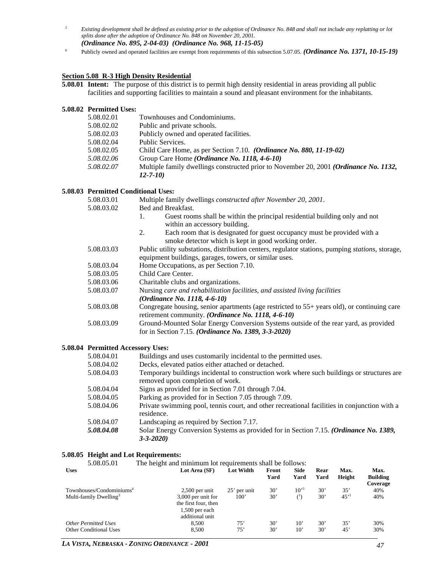- *5 Existing development shall be defined as existing prior to the adoption of Ordinance No. 848 and shall not include any replatting or lot splits done after the adoption of Ordinance No. 848 on November 20, 2001. (Ordinance No. 895, 2-04-03) (Ordinance No. 968, 11-15-05)*
- 6 Publicly owned and operated facilities are exempt from requirements of this subsection 5.07.05. *(Ordinance No. 1371, 10-15-19)*

#### **Section 5.08 R-3 High Density Residential**

**5.08.01 Intent:** The purpose of this district is to permit high density residential in areas providing all public facilities and supporting facilities to maintain a sound and pleasant environment for the inhabitants.

#### **5.08.02 Permitted Uses:**

| 5.08.02.01 | Townhouses and Condominiums.                                                          |
|------------|---------------------------------------------------------------------------------------|
| 5.08.02.02 | Public and private schools.                                                           |
| 5.08.02.03 | Publicly owned and operated facilities.                                               |
| 5.08.02.04 | Public Services.                                                                      |
| 5.08.02.05 | Child Care Home, as per Section 7.10. <i>(Ordinance No. 880, 11-19-02)</i>            |
| 5.08.02.06 | Group Care Home (Ordinance No. 1118, 4-6-10)                                          |
| 5.08.02.07 | Multiple family dwellings constructed prior to November 20, 2001 (Ordinance No. 1132, |
|            | $12 - 7 - 10$                                                                         |

#### **5.08.03 Permitted Conditional Uses:**

| 5.08.03.01 | Multiple family dwellings constructed after November 20, 2001.                                           |  |  |  |  |  |
|------------|----------------------------------------------------------------------------------------------------------|--|--|--|--|--|
| 5.08.03.02 | Bed and Breakfast.                                                                                       |  |  |  |  |  |
|            | Guest rooms shall be within the principal residential building only and not<br>1.                        |  |  |  |  |  |
|            | within an accessory building.                                                                            |  |  |  |  |  |
|            | 2.<br>Each room that is designated for guest occupancy must be provided with a                           |  |  |  |  |  |
|            | smoke detector which is kept in good working order.                                                      |  |  |  |  |  |
| 5.08.03.03 | Public utility substations, distribution centers, regulator stations, pumping <i>stations</i> , storage, |  |  |  |  |  |
|            | equipment buildings, garages, towers, or similar uses.                                                   |  |  |  |  |  |
| 5.08.03.04 | Home Occupations, as per Section 7.10.                                                                   |  |  |  |  |  |
| 5.08.03.05 | Child Care Center.                                                                                       |  |  |  |  |  |
| 5.08.03.06 | Charitable clubs and organizations.                                                                      |  |  |  |  |  |
| 5.08.03.07 | Nursing care and rehabilitation facilities, and assisted living facilities                               |  |  |  |  |  |
|            | (Ordinance No. 1118, 4-6-10)                                                                             |  |  |  |  |  |
| 5.08.03.08 | Congregate housing, senior apartments (age restricted to 55+ years old), or continuing care              |  |  |  |  |  |
|            | retirement community. (Ordinance No. 1118, 4-6-10)                                                       |  |  |  |  |  |
| 5.08.03.09 | Ground-Mounted Solar Energy Conversion Systems outside of the rear yard, as provided                     |  |  |  |  |  |
|            | for in Section 7.15. ( <i>Ordinance No. 1389</i> , 3-3-2020)                                             |  |  |  |  |  |

#### **5.08.04 Permitted Accessory Uses:**

| Buildings and uses customarily incidental to the permitted uses.                                                               |
|--------------------------------------------------------------------------------------------------------------------------------|
| Decks, elevated patios either attached or detached.                                                                            |
| Temporary buildings incidental to construction work where such buildings or structures are<br>removed upon completion of work. |
| Signs as provided for in Section 7.01 through 7.04.                                                                            |
| Parking as provided for in Section 7.05 through 7.09.                                                                          |
| Private swimming pool, tennis court, and other recreational facilities in conjunction with a<br>residence.                     |
| Landscaping as required by Section 7.17.                                                                                       |
| Solar Energy Conversion Systems as provided for in Section 7.15. (Ordinance No. 1389,<br>$3 - 3 - 2020$                        |
|                                                                                                                                |

# **5.08.05 Height and Lot Requirements:**

| 5.08.05.01                         |                                                                                   |                                      |               |              |                                                           |                |                                     |
|------------------------------------|-----------------------------------------------------------------------------------|--------------------------------------|---------------|--------------|-----------------------------------------------------------|----------------|-------------------------------------|
|                                    | Lot Area (SF)                                                                     | Lot Width                            | Front<br>Yard | Side<br>Yard | Rear<br>Yard                                              | Max.<br>Height | Max.<br><b>Building</b><br>Coverage |
|                                    | $2,500$ per unit                                                                  | $25'$ per unit                       | 30'           | $10^{5}$     | 30'                                                       | $35^{\circ}$   | 40%                                 |
| Multi-family Dwelling <sup>3</sup> | 3,000 per unit for<br>the first four, then<br>$1,500$ per each<br>additional unit | 100                                  | 30'           | $^{\rm (1)}$ | 30'                                                       | 45''           | 40%                                 |
| <b>Other Permitted Uses</b>        | 8.500                                                                             | 75'                                  | 30'           | $10^{\circ}$ | 30'                                                       | $35^{\circ}$   | 30%                                 |
| <b>Other Conditional Uses</b>      | 8.500                                                                             | 75'                                  | 30'           | $10^{\circ}$ | 30'                                                       | 45'            | 30%                                 |
|                                    |                                                                                   | Townhouses/Condominiums <sup>4</sup> |               |              | The height and minimum lot requirements shall be follows: |                |                                     |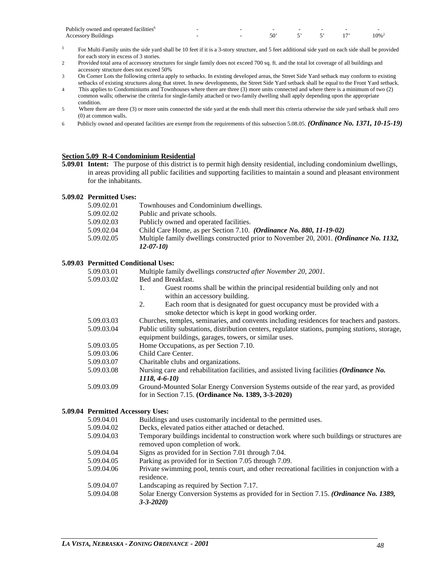| Publicly owned and operated facilities <sup>6</sup> |                       |  |  |          |
|-----------------------------------------------------|-----------------------|--|--|----------|
| <b>Accessory Buildings</b>                          | $50'$ $5'$ $5'$ $17'$ |  |  | $10\%^2$ |

- <sup>1</sup> For Multi-Family units the side yard shall be 10 feet if it is a 3-story structure, and 5 feet additional side yard on each side shall be provided for each story in excess of 3 stories.
- 2 Provide*d* total area of accessory structure*s* for single family does not exceed 700 sq. ft. and the total lot coverage of all buildings and accessory structure does not exceed 50%
- 3 On Corner Lots the following criteria apply to setbacks. In existing developed areas, the Street Side Yard setback may conform to existing setbacks of existing structures along that street. In new developments, the Street Side Yard setback shall be equal to the Front Yard setback.
- 4 This applies to Condominiums and Townhouses where there are three (3) more units connected and where there is a minimum of two (2) common walls; otherwise the criteria for single-family attached or two-family dwelling shall apply depending upon the appropriate condition.
- 5 Where there are three (3) or more units connected the side yard at the ends shall meet this criteria otherwise the side yard setback shall zero (0) at common walls.
- 6 Publicly owned and operated facilities are exempt from the requirements of this subsection 5.08.05. *(Ordinance No. 1371, 10-15-19)*

#### **Section 5.09 R-4 Condominium Residential**

**5.09.01 Intent:** The purpose of this district is to permit high density residential, including condominium dwellings, in areas providing all public facilities and supporting facilities to maintain a sound and pleasant environment for the inhabitants.

# **5.09.02 Permitted Uses:**

| 5.09.02.01 | Townhouses and Condominium dwellings.                                                  |
|------------|----------------------------------------------------------------------------------------|
| 5.09.02.02 | Public and private schools.                                                            |
| 5.09.02.03 | Publicly owned and operated facilities.                                                |
| 5.09.02.04 | Child Care Home, as per Section 7.10. <i>(Ordinance No. 880, 11-19-02)</i>             |
| 5.09.02.05 | Multiple family dwellings constructed prior to November 20, 2001. (Ordinance No. 1132, |
|            | $12 - 07 - 10$                                                                         |

# **5.09.03 Permitted Conditional Uses:**

| - Permitted Conditional Uses: |                                                                                                                    |  |  |  |
|-------------------------------|--------------------------------------------------------------------------------------------------------------------|--|--|--|
| 5.09.03.01                    | Multiple family dwellings <i>constructed after November 20, 2001</i> .                                             |  |  |  |
| 5.09.03.02                    | Bed and Breakfast.                                                                                                 |  |  |  |
|                               | Guest rooms shall be within the principal residential building only and not<br>1.<br>within an accessory building. |  |  |  |
|                               | Each room that is designated for guest occupancy must be provided with a<br>2.                                     |  |  |  |
|                               | smoke detector which is kept in good working order.                                                                |  |  |  |
| 5.09.03.03                    | Churches, temples, seminaries, and convents including residences for teachers and pastors.                         |  |  |  |
| 5.09.03.04                    | Public utility substations, distribution centers, regulator stations, pumping <i>stations</i> , storage,           |  |  |  |
|                               | equipment buildings, garages, towers, or similar uses.                                                             |  |  |  |
| 5.09.03.05                    | Home Occupations, as per Section 7.10.                                                                             |  |  |  |
| 5.09.03.06                    | Child Care Center.                                                                                                 |  |  |  |
| 5.09.03.07                    | Charitable clubs and organizations.                                                                                |  |  |  |
| 5.09.03.08                    | Nursing care and rehabilitation facilities, and assisted living facilities (Ordinance No.                          |  |  |  |
|                               | $1118, 4-6-10$                                                                                                     |  |  |  |
| 5.09.03.09                    | Ground-Mounted Solar Energy Conversion Systems outside of the rear yard, as provided                               |  |  |  |
|                               | for in Section 7.15. (Ordinance No. 1389, 3-3-2020)                                                                |  |  |  |

#### **5.09.04 Permitted Accessory Uses:**

| 5.09.04.01 | Buildings and uses customarily incidental to the permitted uses.                                                               |
|------------|--------------------------------------------------------------------------------------------------------------------------------|
| 5.09.04.02 | Decks, elevated patios either attached or detached.                                                                            |
| 5.09.04.03 | Temporary buildings incidental to construction work where such buildings or structures are<br>removed upon completion of work. |
| 5.09.04.04 | Signs as provided for in Section 7.01 through 7.04.                                                                            |
| 5.09.04.05 | Parking as provided for in Section 7.05 through 7.09.                                                                          |
| 5.09.04.06 | Private swimming pool, tennis court, and other recreational facilities in conjunction with a<br>residence.                     |
| 5.09.04.07 | Landscaping as required by Section 7.17.                                                                                       |
| 5.09.04.08 | Solar Energy Conversion Systems as provided for in Section 7.15. (Ordinance No. 1389,<br>$3 - 3 - 2020$                        |
|            |                                                                                                                                |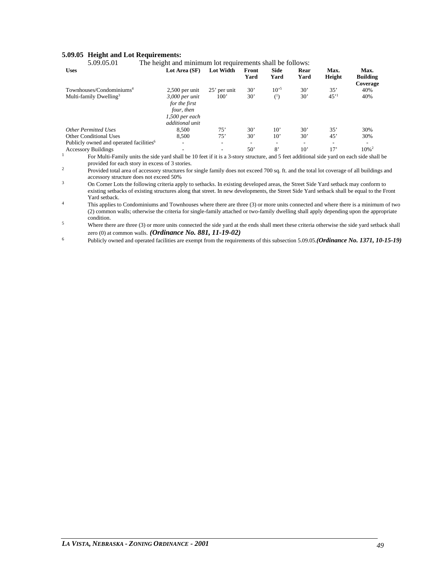# **5.09.05 Height and Lot Requirements:**<br>5.09.05.01 The height and

The height and minimum lot requirements shall be follows:

| <b>Uses</b>                                         | Lot Area (SF)                                                                          | <b>Lot Width</b> | Front<br>Yard            | <b>Side</b><br>Yard | Rear<br>Yard | Max.<br>Height           | Max.<br><b>Building</b><br>Coverage |
|-----------------------------------------------------|----------------------------------------------------------------------------------------|------------------|--------------------------|---------------------|--------------|--------------------------|-------------------------------------|
| Townhouses/Condominiums <sup>4</sup>                | $2,500$ per unit                                                                       | $25'$ per unit   | 30'                      | $10^{5}$            | $30^{\circ}$ | 35'                      | 40%                                 |
| Multi-family Dwelling <sup>3</sup>                  | $3,000$ per unit<br>for the first<br>four, then<br>$1,500$ per each<br>additional unit | 100'             | 30'                      | $^{\rm (1)}$        | 30'          | $45^{11}$                | 40%                                 |
| <b>Other Permitted Uses</b>                         | 8,500                                                                                  | 75'              | 30'                      | $10^{\circ}$        | $30^{\circ}$ | 35'                      | 30%                                 |
| <b>Other Conditional Uses</b>                       | 8.500                                                                                  | 75'              | 30'                      | $10^{\circ}$        | 30'          | 45'                      | 30%                                 |
| Publicly owned and operated facilities <sup>6</sup> | ۰                                                                                      | ۰.               | $\overline{\phantom{a}}$ |                     |              | $\overline{\phantom{a}}$ |                                     |
| <b>Accessory Buildings</b>                          |                                                                                        | ٠                | $50^{\circ}$             | 8'                  | $10^{\circ}$ | 17'                      | $10\%$ <sup>2</sup>                 |

<sup>1</sup> For Multi-Family units the side yard shall be 10 feet if it is a 3-story structure, and 5 feet additional side yard on each side shall be provided for each story in excess of 3 stories.

<sup>2</sup> Provided total area of accessory structures for single family does not exceed 700 sq. ft. and the total lot coverage of all buildings and accessory structure does not exceed 50%

<sup>3</sup> On Corner Lots the following criteria apply to setbacks. In existing developed areas, the Street Side Yard setback may conform to existing setbacks of existing structures along that street. In new developments, the Street Side Yard setback shall be equal to the Front Yard setback.

<sup>4</sup> This applies to Condominiums and Townhouses where there are three (3) or more units connected and where there is a minimum of two (2) common walls; otherwise the criteria for single-family attached or two-family dwelling shall apply depending upon the appropriate condition.

<sup>5</sup> Where there are three (3) or more units connected the side yard at the ends shall meet these criteria otherwise the side yard setback shall zero (0) at common walls. *(Ordinance No. 881, 11-19-02)*

6 Publicly owned and operated facilities are exempt from the requirements of this subsection 5.09.05.*(Ordinance No. 1371, 10-15-19)*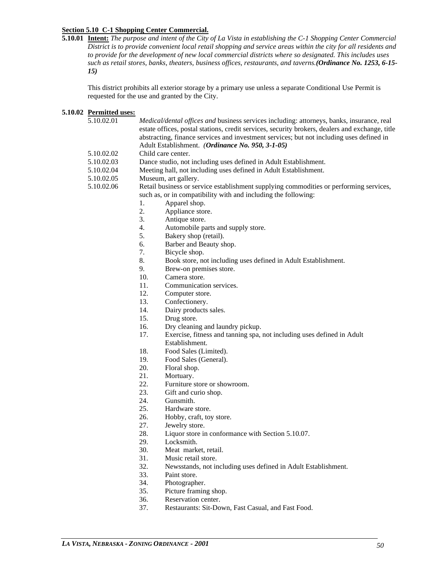# **Section 5.10 C-1 Shopping Center Commercial.**

**5.10.01 Intent:** *The purpose and intent of the City of La Vista in establishing the C-1 Shopping Center Commercial District is to provide convenient local retail shopping and service areas within the city for all residents and to provide for the development of new local commercial districts where so designated. This includes uses such as retail stores, banks, theaters, business offices, restaurants, and taverns.(Ordinance No. 1253, 6-15- 15)*

This district prohibits all exterior storage by a primary use unless a separate Conditional Use Permit is requested for the use and granted by the City.

# **5.10.02 <u>Permitted uses:</u>**<br>5.10.02.01

| 5.10.02.01 |     | Medical/dental offices and business services including: attorneys, banks, insurance, real       |  |  |  |  |  |  |
|------------|-----|-------------------------------------------------------------------------------------------------|--|--|--|--|--|--|
|            |     | estate offices, postal stations, credit services, security brokers, dealers and exchange, title |  |  |  |  |  |  |
|            |     | abstracting, finance services and investment services; but not including uses defined in        |  |  |  |  |  |  |
|            |     | Adult Establishment. (Ordinance No. 950, 3-1-05)                                                |  |  |  |  |  |  |
| 5.10.02.02 |     | Child care center.                                                                              |  |  |  |  |  |  |
| 5.10.02.03 |     | Dance studio, not including uses defined in Adult Establishment.                                |  |  |  |  |  |  |
| 5.10.02.04 |     | Meeting hall, not including uses defined in Adult Establishment.                                |  |  |  |  |  |  |
| 5.10.02.05 |     | Museum, art gallery.                                                                            |  |  |  |  |  |  |
| 5.10.02.06 |     | Retail business or service establishment supplying commodities or performing services,          |  |  |  |  |  |  |
|            |     | such as, or in compatibility with and including the following:                                  |  |  |  |  |  |  |
|            | 1.  | Apparel shop.                                                                                   |  |  |  |  |  |  |
|            | 2.  | Appliance store.                                                                                |  |  |  |  |  |  |
|            | 3.  | Antique store.                                                                                  |  |  |  |  |  |  |
|            | 4.  | Automobile parts and supply store.                                                              |  |  |  |  |  |  |
|            | 5.  | Bakery shop (retail).                                                                           |  |  |  |  |  |  |
|            | 6.  | Barber and Beauty shop.                                                                         |  |  |  |  |  |  |
|            | 7.  | Bicycle shop.                                                                                   |  |  |  |  |  |  |
|            | 8.  | Book store, not including uses defined in Adult Establishment.                                  |  |  |  |  |  |  |
|            | 9.  | Brew-on premises store.                                                                         |  |  |  |  |  |  |
|            | 10. | Camera store.                                                                                   |  |  |  |  |  |  |
|            | 11. | Communication services.                                                                         |  |  |  |  |  |  |
|            | 12. | Computer store.                                                                                 |  |  |  |  |  |  |
|            | 13. | Confectionery.                                                                                  |  |  |  |  |  |  |
|            | 14. | Dairy products sales.                                                                           |  |  |  |  |  |  |
|            | 15. | Drug store.                                                                                     |  |  |  |  |  |  |
|            | 16. | Dry cleaning and laundry pickup.                                                                |  |  |  |  |  |  |
|            | 17. | Exercise, fitness and tanning spa, not including uses defined in Adult                          |  |  |  |  |  |  |
|            |     | Establishment.                                                                                  |  |  |  |  |  |  |
|            | 18. | Food Sales (Limited).                                                                           |  |  |  |  |  |  |
|            | 19. | Food Sales (General).                                                                           |  |  |  |  |  |  |
|            | 20. | Floral shop.                                                                                    |  |  |  |  |  |  |
|            | 21. | Mortuary.                                                                                       |  |  |  |  |  |  |
|            | 22. | Furniture store or showroom.                                                                    |  |  |  |  |  |  |
|            | 23. | Gift and curio shop.                                                                            |  |  |  |  |  |  |
|            | 24. | Gunsmith.                                                                                       |  |  |  |  |  |  |
|            | 25. | Hardware store.                                                                                 |  |  |  |  |  |  |
|            | 26. | Hobby, craft, toy store.                                                                        |  |  |  |  |  |  |
|            | 27. | Jewelry store.                                                                                  |  |  |  |  |  |  |
|            | 28. | Liquor store in conformance with Section 5.10.07.                                               |  |  |  |  |  |  |
|            | 29. | Locksmith.                                                                                      |  |  |  |  |  |  |
|            | 30. | Meat market, retail.                                                                            |  |  |  |  |  |  |
|            | 31. | Music retail store.                                                                             |  |  |  |  |  |  |
|            | 32. | Newsstands, not including uses defined in Adult Establishment.                                  |  |  |  |  |  |  |
|            | 33. | Paint store.                                                                                    |  |  |  |  |  |  |
|            | 34. | Photographer.                                                                                   |  |  |  |  |  |  |
|            | 35. | Picture framing shop.                                                                           |  |  |  |  |  |  |
|            | 36. | Reservation center.                                                                             |  |  |  |  |  |  |
|            | 37. | Restaurants: Sit-Down, Fast Casual, and Fast Food.                                              |  |  |  |  |  |  |
|            |     |                                                                                                 |  |  |  |  |  |  |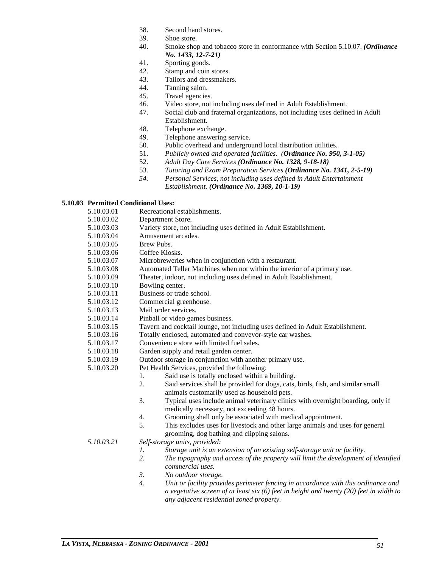- 38. Second hand stores.
- 39. Shoe store.
- 40. Smoke shop and tobacco store in conformance with Section 5.10.07. *(Ordinance No. 1433, 12-7-21)*
- 41. Sporting goods.
- 42. Stamp and coin stores.
- 43. Tailors and dressmakers.
- 44. Tanning salon.
- 45. Travel agencies.
- 46. Video store, not including uses defined in Adult Establishment.
- 47. Social club and fraternal organizations, not including uses defined in Adult Establishment.
- 48. Telephone exchange.
- 49. Telephone answering service.
- 50. Public overhead and underground local distribution utilities.<br>51. Publicly owned and operated facilities. (**Ordinance No. 950**
- 51. *Publicly owned and operated facilities. (Ordinance No. 950, 3-1-05)*
- 52. *Adult Day Care Services (Ordinance No. 1328, 9-18-18)*
- 53. *Tutoring and Exam Preparation Services (Ordinance No. 1341, 2-5-19)*
- *54. Personal Services*, *not including uses defined in Adult Entertainment Establishment. (Ordinance No. 1369, 10-1-19)*

#### **5.10.03 Permitted Conditional Uses:**

- 5.10.03.01 Recreational establishments.
- 5.10.03.02 Department Store.
- 5.10.03.03 Variety store, not including uses defined in Adult Establishment.
- 5.10.03.04 Amusement arcades.
- 5.10.03.05 Brew Pubs.
- 5.10.03.06 Coffee Kiosks.
- 5.10.03.07 Microbreweries when in conjunction with a restaurant.
- 5.10.03.08 Automated Teller Machines when not within the interior of a primary use.
- 5.10.03.09 Theater, indoor, not including uses defined in Adult Establishment.
- 5.10.03.10 Bowling center.
- 5.10.03.11 Business or trade school.
- 5.10.03.12 Commercial greenhouse.
- 5.10.03.13 Mail order services.
- 5.10.03.14 Pinball or video games business.
- 5.10.03.15 Tavern and cocktail lounge, not including uses defined in Adult Establishment.
- 5.10.03.16 Totally enclosed, automated and conveyor-style car washes.
- 5.10.03.17 Convenience store with limited fuel sales.
- 5.10.03.18 Garden supply and retail garden center.
- 5.10.03.19 Outdoor storage in conjunction with another primary use.
- 5.10.03.20 Pet Health Services, provided the following:
	- 1. Said use is totally enclosed within a building.
	- 2. Said services shall be provided for dogs, cats, birds, fish, and similar small animals customarily used as household pets.
	- 3. Typical uses include animal veterinary clinics with overnight boarding, only if medically necessary, not exceeding 48 hours.
	- 4. Grooming shall only be associated with medical appointment.
	- 5. This excludes uses for livestock and other large animals and uses for general grooming, dog bathing and clipping salons.

# *5.10.03.21 Self-storage units, provided:*

- *1. Storage unit is an extension of an existing self-storage unit or facility.*
- *2. The topography and access of the property will limit the development of identified commercial uses.*
- *3. No outdoor storage.*
- *4. Unit or facility provides perimeter fencing in accordance with this ordinance and a vegetative screen of at least six (6) feet in height and twenty (20) feet in width to any adjacent residential zoned property.*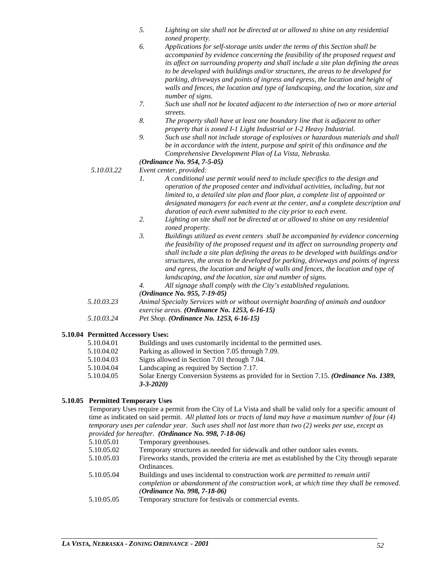- *5. Lighting on site shall not be directed at or allowed to shine on any residential zoned property.*
- *6. Applications for self-storage units under the terms of this Section shall be accompanied by evidence concerning the feasibility of the proposed request and its affect on surrounding property and shall include a site plan defining the areas to be developed with buildings and/or structures, the areas to be developed for parking, driveways and points of ingress and egress, the location and height of walls and fences, the location and type of landscaping, and the location, size and number of signs.*
- *7. Such use shall not be located adjacent to the intersection of two or more arterial streets.*
- *8. The property shall have at least one boundary line that is adjacent to other property that is zoned I-1 Light Industrial or I-2 Heavy Industrial.*
- *9. Such use shall not include storage of explosives or hazardous materials and shall be in accordance with the intent, purpose and spirit of this ordinance and the Comprehensive Development Plan of La Vista, Nebraska.*

# *(Ordinance No. 954, 7-5-05)*

- *5.10.03.22 Event center, provided:*
	- *1. A conditional use permit would need to include specifics to the design and operation of the proposed center and individual activities, including, but not limited to, a detailed site plan and floor plan, a complete list of appointed or designated managers for each event at the center, and a complete description and duration of each event submitted to the city prior to each event.*
	- *2. Lighting on site shall not be directed at or allowed to shine on any residential zoned property.*
	- *3. Buildings utilized as event centers shall be accompanied by evidence concerning the feasibility of the proposed request and its affect on surrounding property and shall include a site plan defining the areas to be developed with buildings and/or structures, the areas to be developed for parking, driveways and points of ingress and egress, the location and height of walls and fences, the location and type of landscaping, and the location, size and number of signs.*
	- *4. All signage shall comply with the City's established regulations.*
	- *(Ordinance No. 955, 7-19-05)*
- *5.10.03.23 Animal Specialty Services with or without overnight boarding of animals and outdoor exercise areas. (Ordinance No. 1253, 6-16-15)*
- *5.10.03.24 Pet Shop. (Ordinance No. 1253, 6-16-15)*

# **5.10.04 Permitted Accessory Uses:**

- Buildings and uses customarily incidental to the permitted uses.
- 5.10.04.02 Parking as allowed in Section 7.05 through 7.09.
- 5.10.04.03 Signs allowed in Section 7.01 through 7.04.
- 5.10.04.04 Landscaping as required by Section 7.17.
- 5.10.04.05 Solar Energy Conversion Systems as provided for in Section 7.15. *(Ordinance No. 1389, 3-3-2020)*

# **5.10.05 Permitted Temporary Uses**

Temporary Uses require a permit from the City of La Vista and shall be valid only for a specific amount of time as indicated on said permit. *All platted lots or tracts of land may have a maximum number of four (4) temporary uses per calendar year. Such uses shall not last more than two (2) weeks per use, except as provided for hereafter. (Ordinance No. 998, 7-18-06)*

- 5.10.05.01 Temporary greenhouses.
- 5.10.05.02 Temporary structures as needed for sidewalk and other outdoor sales events.
- 5.10.05.03 Fireworks stands, provided the criteria are met as established by the City through separate Ordinances.
- 5.10.05.04 Buildings and uses incidental to construction work *are permitted to remain until completion or abandonment of the construction work, at which time they shall be removed. (Ordinance No. 998, 7-18-06)*
- 5.10.05.05 Temporary structure for festivals or commercial events.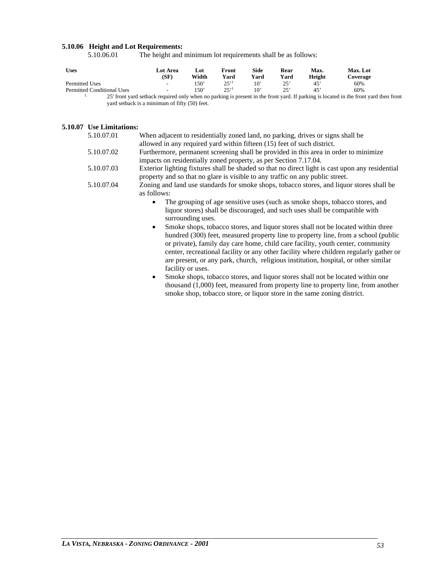# **5.10.06 Height and Lot Requirements:**<br>5.10.06.01 The height and

The height and minimum lot requirements shall be as follows:

| <b>Uses</b>                       | Lot Area<br>(SF) | Lot<br>Width | Front<br>Yard | <b>Side</b><br>Yard | Rear<br>Yard | Max.<br>Height | <b>Max.</b> Lot<br>Coverage                                                                                                      |
|-----------------------------------|------------------|--------------|---------------|---------------------|--------------|----------------|----------------------------------------------------------------------------------------------------------------------------------|
| Permitted Uses                    | $\sim$           | 150'         | $25^{11}$     | 10'                 |              | 45'            | 60%                                                                                                                              |
| <b>Permitted Conditional Uses</b> | $\sim$           | 150'         | $25^{11}$     | $10^{\circ}$        |              | 45'            | 60%                                                                                                                              |
|                                   |                  |              |               |                     |              |                | Art forms and anti-official material in the collection of an ancient to the forms and Africated to the collect the forms and the |

<sup>1.</sup> 25' front yard setback required only when no parking is present in the front yard. If parking is located in the front yard then front yard setback is a minimum of fifty (50) feet.

### **5.10.07 Use Limitations:**

| 5.10.07.01 | When adjacent to residentially zoned land, no parking, drives or signs shall be                                                                                                                                                                                                                                                                                                                                                                                 |
|------------|-----------------------------------------------------------------------------------------------------------------------------------------------------------------------------------------------------------------------------------------------------------------------------------------------------------------------------------------------------------------------------------------------------------------------------------------------------------------|
|            | allowed in any required yard within fifteen (15) feet of such district.                                                                                                                                                                                                                                                                                                                                                                                         |
| 5.10.07.02 | Furthermore, permanent screening shall be provided in this area in order to minimize                                                                                                                                                                                                                                                                                                                                                                            |
|            | impacts on residentially zoned property, as per Section 7.17.04.                                                                                                                                                                                                                                                                                                                                                                                                |
| 5.10.07.03 | Exterior lighting fixtures shall be shaded so that no direct light is cast upon any residential                                                                                                                                                                                                                                                                                                                                                                 |
|            | property and so that no glare is visible to any traffic on any public street.                                                                                                                                                                                                                                                                                                                                                                                   |
| 5.10.07.04 | Zoning and land use standards for smoke shops, tobacco stores, and liquor stores shall be                                                                                                                                                                                                                                                                                                                                                                       |
|            | as follows:                                                                                                                                                                                                                                                                                                                                                                                                                                                     |
|            | The grouping of age sensitive uses (such as smoke shops, tobacco stores, and<br>liquor stores) shall be discouraged, and such uses shall be compatible with<br>surrounding uses.                                                                                                                                                                                                                                                                                |
|            | Smoke shops, tobacco stores, and liquor stores shall not be located within three<br>hundred (300) feet, measured property line to property line, from a school (public<br>or private), family day care home, child care facility, youth center, community<br>center, recreational facility or any other facility where children regularly gather or<br>are present, or any park, church, religious institution, hospital, or other similar<br>facility or uses. |
|            | Smoke shops, tobacco stores, and liquor stores shall not be located within one<br>thousand $(1,000)$ feet, measured from property line to property line, from another                                                                                                                                                                                                                                                                                           |

smoke shop, tobacco store, or liquor store in the same zoning district.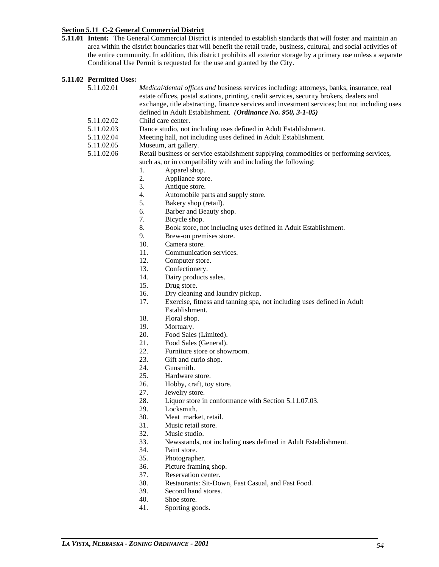#### **Section 5.11 C-2 General Commercial District**

**5.11.01 Intent:** The General Commercial District is intended to establish standards that will foster and maintain an area within the district boundaries that will benefit the retail trade, business, cultural, and social activities of the entire community. In addition, this district prohibits all exterior storage by a primary use unless a separate Conditional Use Permit is requested for the use and granted by the City.

#### **5.11.02 Permitted Uses:**

- 5.11.02.01 *Medical/dental offices and* business services including: attorneys, banks, insurance, real estate offices, postal stations, printing, credit services, security brokers, dealers and exchange, title abstracting, finance services and investment services; but not including uses defined in Adult Establishment. *(Ordinance No. 950, 3-1-05)*
- 5.11.02.02 Child care center.
- 5.11.02.03 Dance studio, not including uses defined in Adult Establishment.
- 5.11.02.04 Meeting hall, not including uses defined in Adult Establishment.
- 5.11.02.05 Museum, art gallery.<br>5.11.02.06 Retail business or ser
- Retail business or service establishment supplying commodities or performing services, such as, or in compatibility with and including the following:
	- 1. Apparel shop.
	- 2. Appliance store.
	- 3. Antique store.
	- 4. Automobile parts and supply store.
	- 5. Bakery shop (retail).
	- 6. Barber and Beauty shop.
	- 7. Bicycle shop.
	- 8. Book store, not including uses defined in Adult Establishment.
	- 9. Brew-on premises store.
	- 10. Camera store.
	- 11. Communication services.
	- 12. Computer store.
	- 13. Confectionery.
	- 14. Dairy products sales.
	- 15. Drug store.
	- 16. Dry cleaning and laundry pickup.
	- 17. Exercise, fitness and tanning spa, not including uses defined in Adult Establishment.
	- 18. Floral shop.
	- 19. Mortuary.
	- 20. Food Sales (Limited).
	- 21. Food Sales (General).
	- 22. Furniture store or showroom.
	- 23. Gift and curio shop.
	- 24. Gunsmith.
	- 25. Hardware store.
	- 26. Hobby, craft, toy store.
	- 27. Jewelry store.
	- 28. Liquor store in conformance with Section 5.11.07.03.
	- 29. Locksmith.<br>30. Meat mark
	- Meat market, retail.
	- 31. Music retail store.
	- 32. Music studio.
	- 33. Newsstands, not including uses defined in Adult Establishment.
	- 34. Paint store.
	- 35. Photographer.
	- 36. Picture framing shop.
	- 37. Reservation center.
	- 38. Restaurants: Sit-Down, Fast Casual, and Fast Food.
	- 39. Second hand stores.
	- 40. Shoe store.
	- 41. Sporting goods.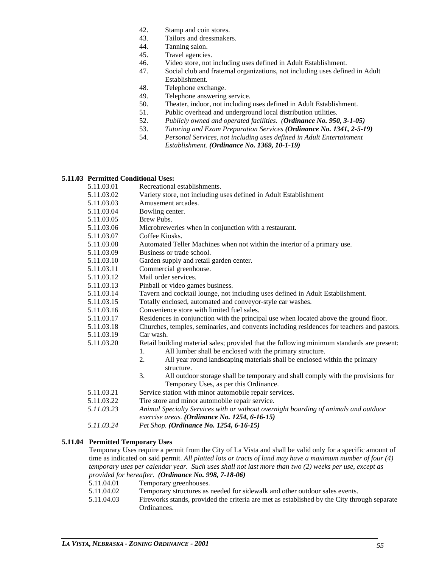- 42. Stamp and coin stores.
- 43. Tailors and dressmakers.
- 44. Tanning salon.
- 45. Travel agencies.
- 46. Video store, not including uses defined in Adult Establishment.
- 47. Social club and fraternal organizations, not including uses defined in Adult Establishment.
- 48. Telephone exchange.
- 49. Telephone answering service.
- 50. Theater, indoor, not including uses defined in Adult Establishment.
- 51. Public overhead and underground local distribution utilities.
- 52. *Publicly owned and operated facilities. (Ordinance No. 950, 3-1-05)*
- 53. *Tutoring and Exam Preparation Services (Ordinance No. 1341, 2-5-19)*
- 54. *Personal Services*, *not including uses defined in Adult Entertainment Establishment. (Ordinance No. 1369, 10-1-19)*

#### **5.11.03 Permitted Conditional Uses:**

- 5.11.03.01 Recreational establishments.
- 5.11.03.02 Variety store, not including uses defined in Adult Establishment<br>5.11.03.03 Amusement arcades.
- Amusement arcades.
- 5.11.03.04 Bowling center.
- 5.11.03.05 Brew Pubs.
- 5.11.03.06 Microbreweries when in conjunction with a restaurant.
- 5.11.03.07 Coffee Kiosks.
- 5.11.03.08 Automated Teller Machines when not within the interior of a primary use.
- 5.11.03.09 Business or trade school.
- 5.11.03.10 Garden supply and retail garden center.
- 5.11.03.11 Commercial greenhouse.
- 5.11.03.12 Mail order services.
- 5.11.03.13 Pinball or video games business.
- 5.11.03.14 Tavern and cocktail lounge, not including uses defined in Adult Establishment.
- 5.11.03.15 Totally enclosed, automated and conveyor-style car washes.
- 5.11.03.16 Convenience store with limited fuel sales.
- 5.11.03.17 Residences in conjunction with the principal use when located above the ground floor.
- 5.11.03.18 Churches, temples, seminaries, and convents including residences for teachers and pastors.
- 5.11.03.19 Car wash.
- 5.11.03.20 Retail building material sales; provided that the following minimum standards are present:
	- 1. All lumber shall be enclosed with the primary structure.
	- 2. All year round landscaping materials shall be enclosed within the primary structure.
	- 3. All outdoor storage shall be temporary and shall comply with the provisions for Temporary Uses, as per this Ordinance.
- 5.11.03.21 Service station with minor automobile repair services.
- 5.11.03.22 Tire store and minor automobile repair service.
- *5.11.03.23 Animal Specialty Services with or without overnight boarding of animals and outdoor exercise areas. (Ordinance No. 1254, 6-16-15)*
- *5.11.03.24 Pet Shop. (Ordinance No. 1254, 6-16-15)*

# **5.11.04 Permitted Temporary Uses**

Temporary Uses require a permit from the City of La Vista and shall be valid only for a specific amount of time as indicated on said permit. *All platted lots or tracts of land may have a maximum number of four (4) temporary uses per calendar year. Such uses shall not last more than two (2) weeks per use, except as provided for hereafter. (Ordinance No. 998, 7-18-06)*

- 5.11.04.01 Temporary greenhouses.
- 5.11.04.02 Temporary structures as needed for sidewalk and other outdoor sales events.
- 5.11.04.03 Fireworks stands, provided the criteria are met as established by the City through separate Ordinances.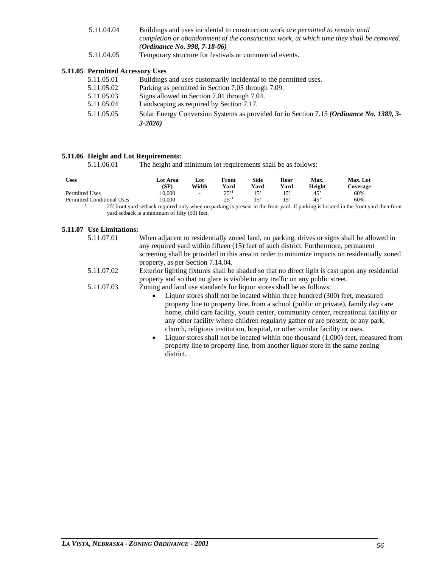| 5.11.04.04 | Buildings and uses incidental to construction work are permitted to remain until         |
|------------|------------------------------------------------------------------------------------------|
|            | completion or abandonment of the construction work, at which time they shall be removed. |
|            | ( <i>Ordinance No.</i> 998, $7-18-06$ )                                                  |
|            |                                                                                          |

5.11.04.05 Temporary structure for festivals or commercial events.

### **5.11.05 Permitted Accessory Uses**

- 5.11.05.01 Buildings and uses customarily incidental to the permitted uses.<br>5.11.05.02 Parking as permitted in Section 7.05 through 7.09.
	- Parking as permitted in Section 7.05 through 7.09.
- 5.11.05.03 Signs allowed in Section 7.01 through 7.04.
- 5.11.05.04 Landscaping as required by Section 7.17.
- 5.11.05.05 Solar Energy Conversion Systems as provided for in Section 7.15 *(Ordinance No. 1389, 3- 3-2020)*

#### **5.11.06 Height and Lot Requirements:**

5.11.06.01 The height and minimum lot requirements shall be as follows:

| <b>Uses</b>                | Lot Area<br>(SF) | Lot<br>Width             | Front<br>Yard | Side<br>Yard | Rear<br>Yard | <b>Max.</b><br>Height | <b>Max.</b> Lot<br>Coverage                                                                                                         |  |
|----------------------------|------------------|--------------------------|---------------|--------------|--------------|-----------------------|-------------------------------------------------------------------------------------------------------------------------------------|--|
| Permitted Uses             | 10.000           | $\sim$                   | $25^{1}$      | 15'          | 15'          | $45^\circ$            | 60%                                                                                                                                 |  |
| Permitted Conditional Uses | 10.000           | $\overline{\phantom{a}}$ | つくい           | 15'          |              | 45'                   | 60%                                                                                                                                 |  |
|                            |                  |                          |               |              |              |                       | 25' front vard setback required only when no parking is present in the front yard. If parking is located in the front yard then fro |  |

1. 25' front yard setback required only when no parking is present in the front yard. If parking is located in the front yard then front yard setback is a minimum of fifty (50) feet.

#### **5.11.07 Use Limitations:**

| 5.11.07.01 | When adjacent to residentially zoned land, no parking, drives or signs shall be allowed in<br>any required yard within fifteen (15) feet of such district. Furthermore, permanent |
|------------|-----------------------------------------------------------------------------------------------------------------------------------------------------------------------------------|
|            | screening shall be provided in this area in order to minimize impacts on residentially zoned<br>property, as per Section 7.14.04.                                                 |
| 5.11.07.02 | Exterior lighting fixtures shall be shaded so that no direct light is cast upon any residential<br>property and so that no glare is visible to any traffic on any public street.  |
| 5.11.07.03 | Zoning and land use standards for liquor stores shall be as follows:                                                                                                              |
|            | Liquor stores shall not be located within three hundred (300) feet, measured<br>$\bullet$                                                                                         |
|            | property line to property line, from a school (public or private), family day care                                                                                                |
|            | home, child care facility, youth center, community center, recreational facility or                                                                                               |
|            | any other facility where children regularly gather or are present, or any park,                                                                                                   |

church, religious institution, hospital, or other similar facility or uses. • Liquor stores shall not be located within one thousand (1,000) feet, measured from property line to property line, from another liquor store in the same zoning district.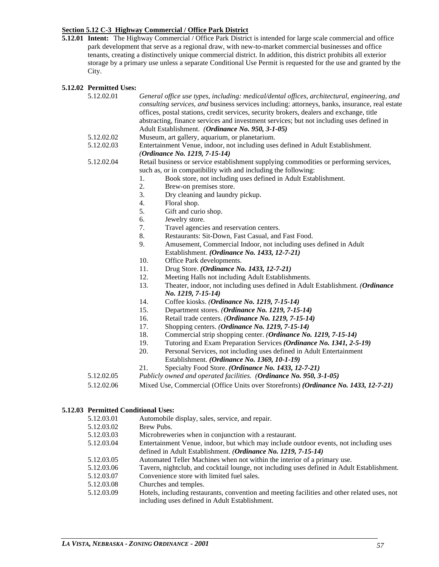# **Section 5.12 C-3 Highway Commercial / Office Park District**

**5.12.01 Intent:** The Highway Commercial / Office Park District is intended for large scale commercial and office park development that serve as a regional draw, with new-to-market commercial businesses and office tenants, creating a distinctively unique commercial district. In addition, this district prohibits all exterior storage by a primary use unless a separate Conditional Use Permit is requested for the use and granted by the City.

# **5.12.02 Permitted Uses:**

| 5.12.02.01                          | General office use types, including: medical/dental offices, architectural, engineering, and<br>consulting services, and business services including: attorneys, banks, insurance, real estate<br>offices, postal stations, credit services, security brokers, dealers and exchange, title<br>abstracting, finance services and investment services; but not including uses defined in<br>Adult Establishment. (Ordinance No. 950, 3-1-05) |
|-------------------------------------|--------------------------------------------------------------------------------------------------------------------------------------------------------------------------------------------------------------------------------------------------------------------------------------------------------------------------------------------------------------------------------------------------------------------------------------------|
| 5.12.02.02                          | Museum, art gallery, aquarium, or planetarium.                                                                                                                                                                                                                                                                                                                                                                                             |
| 5.12.02.03                          | Entertainment Venue, indoor, not including uses defined in Adult Establishment.                                                                                                                                                                                                                                                                                                                                                            |
|                                     | (Ordinance No. 1219, 7-15-14)                                                                                                                                                                                                                                                                                                                                                                                                              |
| 5.12.02.04                          | Retail business or service establishment supplying commodities or performing services,                                                                                                                                                                                                                                                                                                                                                     |
|                                     | such as, or in compatibility with and including the following:                                                                                                                                                                                                                                                                                                                                                                             |
|                                     | 1.<br>Book store, not including uses defined in Adult Establishment.                                                                                                                                                                                                                                                                                                                                                                       |
|                                     | 2.<br>Brew-on premises store.                                                                                                                                                                                                                                                                                                                                                                                                              |
|                                     | 3.<br>Dry cleaning and laundry pickup.                                                                                                                                                                                                                                                                                                                                                                                                     |
|                                     | 4.<br>Floral shop.                                                                                                                                                                                                                                                                                                                                                                                                                         |
|                                     | 5.<br>Gift and curio shop.                                                                                                                                                                                                                                                                                                                                                                                                                 |
|                                     | 6.<br>Jewelry store.                                                                                                                                                                                                                                                                                                                                                                                                                       |
|                                     | 7.<br>Travel agencies and reservation centers.                                                                                                                                                                                                                                                                                                                                                                                             |
|                                     | 8.<br>Restaurants: Sit-Down, Fast Casual, and Fast Food.                                                                                                                                                                                                                                                                                                                                                                                   |
|                                     | 9.<br>Amusement, Commercial Indoor, not including uses defined in Adult<br>Establishment. (Ordinance No. 1433, 12-7-21)                                                                                                                                                                                                                                                                                                                    |
|                                     | 10.<br>Office Park developments.                                                                                                                                                                                                                                                                                                                                                                                                           |
|                                     | Drug Store. (Ordinance No. 1433, 12-7-21)<br>11.                                                                                                                                                                                                                                                                                                                                                                                           |
|                                     | 12.<br>Meeting Halls not including Adult Establishments.                                                                                                                                                                                                                                                                                                                                                                                   |
|                                     | 13.<br>Theater, indoor, not including uses defined in Adult Establishment. (Ordinance<br>No. 1219, 7-15-14)                                                                                                                                                                                                                                                                                                                                |
|                                     | 14.<br>Coffee kiosks. (Ordinance No. 1219, 7-15-14)                                                                                                                                                                                                                                                                                                                                                                                        |
|                                     | 15.<br>Department stores. (Ordinance No. 1219, 7-15-14)                                                                                                                                                                                                                                                                                                                                                                                    |
|                                     | 16.<br>Retail trade centers. (Ordinance No. 1219, 7-15-14)                                                                                                                                                                                                                                                                                                                                                                                 |
|                                     | 17.<br>Shopping centers. (Ordinance No. 1219, 7-15-14)                                                                                                                                                                                                                                                                                                                                                                                     |
|                                     | 18.<br>Commercial strip shopping center. (Ordinance No. 1219, 7-15-14)                                                                                                                                                                                                                                                                                                                                                                     |
|                                     | 19.<br>Tutoring and Exam Preparation Services (Ordinance No. 1341, 2-5-19)                                                                                                                                                                                                                                                                                                                                                                 |
|                                     | 20.<br>Personal Services, not including uses defined in Adult Entertainment                                                                                                                                                                                                                                                                                                                                                                |
|                                     | Establishment. (Ordinance No. 1369, 10-1-19)                                                                                                                                                                                                                                                                                                                                                                                               |
|                                     | Specialty Food Store. (Ordinance No. 1433, 12-7-21)<br>21.                                                                                                                                                                                                                                                                                                                                                                                 |
| 5.12.02.05                          | Publicly owned and operated facilities. (Ordinance No. 950, 3-1-05)                                                                                                                                                                                                                                                                                                                                                                        |
| 5.12.02.06                          | Mixed Use, Commercial (Office Units over Storefronts) (Ordinance No. 1433, 12-7-21)                                                                                                                                                                                                                                                                                                                                                        |
| 5.12.03 Permitted Conditional Uses: |                                                                                                                                                                                                                                                                                                                                                                                                                                            |
| 5.12.03.01                          | Automobile display, sales, service, and repair.                                                                                                                                                                                                                                                                                                                                                                                            |
| 5.12.03.02                          | Brew Pubs.                                                                                                                                                                                                                                                                                                                                                                                                                                 |
| 5.12.03.03                          | Microbreweries when in conjunction with a restaurant.                                                                                                                                                                                                                                                                                                                                                                                      |
| 5.12.03.04                          | Entertainment Venue, indoor, but which may include outdoor events, not including uses                                                                                                                                                                                                                                                                                                                                                      |
|                                     | defined in Adult Establishment. (Ordinance No. 1219, 7-15-14)                                                                                                                                                                                                                                                                                                                                                                              |
| 5.12.03.05                          | Automated Teller Machines when not within the interior of a primary use.                                                                                                                                                                                                                                                                                                                                                                   |
| 5.12.03.06                          | Tavern, nightclub, and cocktail lounge, not including uses defined in Adult Establishment.                                                                                                                                                                                                                                                                                                                                                 |
| 5.12.03.07                          | Convenience store with limited fuel sales.                                                                                                                                                                                                                                                                                                                                                                                                 |
| 5.12.03.08                          | Churches and temples.                                                                                                                                                                                                                                                                                                                                                                                                                      |
| 5 12 03 09                          | Hotals, including restaurants, convention and meeting facilities and other related uses, not                                                                                                                                                                                                                                                                                                                                               |

5.12.03.09 Hotels, including restaurants, convention and meeting facilities and other related uses, not including uses defined in Adult Establishment.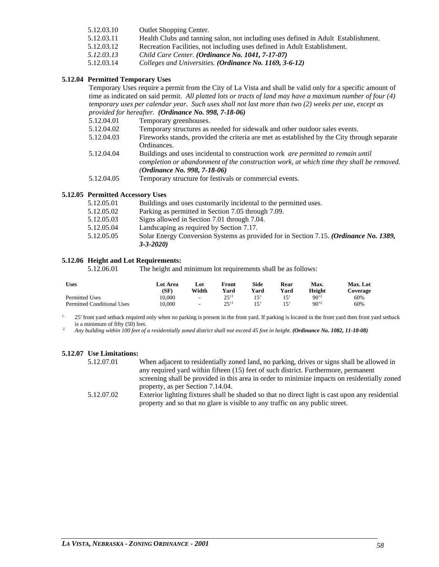- 5.12.03.10 Outlet Shopping Center.
- 5.12.03.11 Health Clubs and tanning salon, not including uses defined in Adult Establishment.
- 5.12.03.12 Recreation Facilities, not including uses defined in Adult Establishment.
- *5.12.03.13 Child Care Center. (Ordinance No. 1041, 7-17-07)*
- 5.12.03.14 *Colleges and Universities. (Ordinance No. 1169, 3-6-12)*

#### **5.12.04 Permitted Temporary Uses**

Temporary Uses require a permit from the City of La Vista and shall be valid only for a specific amount of time as indicated on said permit. *All platted lots or tracts of land may have a maximum number of four (4) temporary uses per calendar year. Such uses shall not last more than two (2) weeks per use, except as provided for hereafter. (Ordinance No. 998, 7-18-06)*

5.12.04.01 Temporary greenhouses. 5.12.04.02 Temporary structures as needed for sidewalk and other outdoor sales events. 5.12.04.03 Fireworks stands, provided the criteria are met as established by the City through separate Ordinances. 5.12.04.04 Buildings and uses incidental to construction work *are permitted to remain until completion or abandonment of the construction work, at which time they shall be removed. (Ordinance No. 998, 7-18-06)* 5.12.04.05 Temporary structure for festivals or commercial events.

#### **5.12.05 Permitted Accessory Uses**

| 5.12.05.01 | Buildings and uses customarily incidental to the permitted uses.                      |
|------------|---------------------------------------------------------------------------------------|
| 5.12.05.02 | Parking as permitted in Section 7.05 through 7.09.                                    |
| 5.12.05.03 | Signs allowed in Section 7.01 through 7.04.                                           |
| 5.12.05.04 | Landscaping as required by Section 7.17.                                              |
| 5.12.05.05 | Solar Energy Conversion Systems as provided for in Section 7.15. (Ordinance No. 1389, |
|            | $3 - 3 - 2020$                                                                        |

# **5.12.06 Height and Lot Requirements:**

5.12.06.01 The height and minimum lot requirements shall be as follows:

| <b>Uses</b>                       | Lot Area | Lot                      | Front | Side | Rear  | Max.             | Max. Lot |
|-----------------------------------|----------|--------------------------|-------|------|-------|------------------|----------|
|                                   | (SF)     | Width                    | Yard  | Yard | Yard  | Height           | Coverage |
| <b>Permitted Uses</b>             | 10.000   | $\sim$                   | 25'   | 15'  | ' 5 ' | $90^{2}$         | 60%      |
| <b>Permitted Conditional Uses</b> | 10.000   | $\overline{\phantom{a}}$ | 25''  | 15'  | 151   | 90' <sup>2</sup> | 60%      |

<sup>1.</sup> 25' front yard setback required only when no parking is present in the front yard. If parking is located in the front yard then front yard setback is a minimum of fifty (50) feet.

<sup>2</sup> Any building within 100 feet of a residentially zoned district shall not exceed 45 feet in height. (Ordinance No. 1082, 11-18-08)

#### **5.12.07 Use Limitations:**

| 5.12.07.01 | When adjacent to residentially zoned land, no parking, drives or signs shall be allowed in<br>any required yard within fifteen (15) feet of such district. Furthermore, permanent |
|------------|-----------------------------------------------------------------------------------------------------------------------------------------------------------------------------------|
|            | screening shall be provided in this area in order to minimize impacts on residentially zoned                                                                                      |
|            | property, as per Section 7.14.04.                                                                                                                                                 |
| 5.12.07.02 | Exterior lighting fixtures shall be shaded so that no direct light is cast upon any residential                                                                                   |
|            | property and so that no glare is visible to any traffic on any public street.                                                                                                     |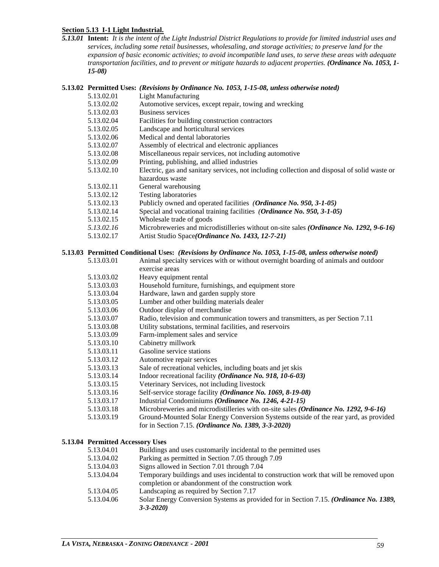### **Section 5.13 I-1 Light Industrial.**

*5.13.01* **Intent:** *It is the intent of the Light Industrial District Regulations to provide for limited industrial uses and services, including some retail businesses, wholesaling, and storage activities; to preserve land for the expansion of basic economic activities; to avoid incompatible land uses, to serve these areas with adequate transportation facilities, and to prevent or mitigate hazards to adjacent properties. (Ordinance No. 1053, 1- 15-08)*

#### **5.13.02 Permitted Uses:** *(Revisions by Ordinance No. 1053, 1-15-08, unless otherwise noted)*

| 5.13.02.01 | <b>Light Manufacturing</b>                                                                             |
|------------|--------------------------------------------------------------------------------------------------------|
| 5.13.02.02 | Automotive services, except repair, towing and wrecking                                                |
| 5.13.02.03 | <b>Business services</b>                                                                               |
| 5.13.02.04 | Facilities for building construction contractors                                                       |
| 5.13.02.05 | Landscape and horticultural services                                                                   |
| 5.13.02.06 | Medical and dental laboratories                                                                        |
| 5.13.02.07 | Assembly of electrical and electronic appliances                                                       |
| 5.13.02.08 | Miscellaneous repair services, not including automotive                                                |
| 5.13.02.09 | Printing, publishing, and allied industries                                                            |
| 5.13.02.10 | Electric, gas and sanitary services, not including collection and disposal of solid waste or           |
|            | hazardous waste                                                                                        |
| 5.13.02.11 | General warehousing                                                                                    |
| 5.13.02.12 | <b>Testing laboratories</b>                                                                            |
| 5.13.02.13 | Publicly owned and operated facilities (Ordinance No. 950, 3-1-05)                                     |
| 5.13.02.14 | Special and vocational training facilities (Ordinance No. 950, 3-1-05)                                 |
| 5.13.02.15 | Wholesale trade of goods                                                                               |
| 5.13.02.16 | Microbreweries and microdistilleries without on-site sales (Ordinance No. 1292, 9-6-16)                |
| 5.13.02.17 | Artist Studio Space( <i>Ordinance No. 1433</i> , 12-7-21)                                              |
|            | 5.13.03 Permitted Conditional Uses: (Revisions by Ordinance No. 1053, 1-15-08, unless otherwise noted) |
| 5.13.03.01 | Animal specialty services with or without overnight boarding of animals and outdoor                    |
|            |                                                                                                        |

- exercise areas
- 5.13.03.02 Heavy equipment rental
- 5.13.03.03 Household furniture, furnishings, and equipment store
- 5.13.03.04 Hardware, lawn and garden supply store
- 5.13.03.05 Lumber and other building materials dealer
- 5.13.03.06 Outdoor display of merchandise
- 5.13.03.07 Radio, television and communication towers and transmitters, as per Section 7.11
- 5.13.03.08 Utility substations, terminal facilities, and reservoirs
- 5.13.03.09 Farm-implement sales and service
- 5.13.03.10 Cabinetry millwork
- 5.13.03.11 Gasoline service stations
- 5.13.03.12 Automotive repair services
- 5.13.03.13 Sale of recreational vehicles, including boats and jet skis
- 5.13.03.14 Indoor recreational facility *(Ordinance No. 918, 10-6-03)*
- 5.13.03.15 Veterinary Services, not including livestock
- 5.13.03.16 Self-service storage facility *(Ordinance No. 1069, 8-19-08)*
- 5.13.03.17 Industrial Condominiums *(Ordinance No. 1246, 4-21-15)*
- 5.13.03.18 Microbreweries and microdistilleries with on-site sales *(Ordinance No. 1292, 9-6-16)*
- 5.13.03.19 Ground-Mounted Solar Energy Conversion Systems outside of the rear yard, as provided

for in Section 7.15. *(Ordinance No. 1389, 3-3-2020)*

### **5.13.04 Permitted Accessory Uses**

| 5.13.04.01 | Buildings and uses customarily incidental to the permitted uses                        |
|------------|----------------------------------------------------------------------------------------|
| 5.13.04.02 | Parking as permitted in Section 7.05 through 7.09                                      |
| 5.13.04.03 | Signs allowed in Section 7.01 through 7.04                                             |
| 5.13.04.04 | Temporary buildings and uses incidental to construction work that will be removed upon |
|            | completion or abandonment of the construction work                                     |
| 5.13.04.05 | Landscaping as required by Section 7.17                                                |
| 5.13.04.06 | Solar Energy Conversion Systems as provided for in Section 7.15. (Ordinance No. 1389,  |
|            | $3 - 3 - 2020$                                                                         |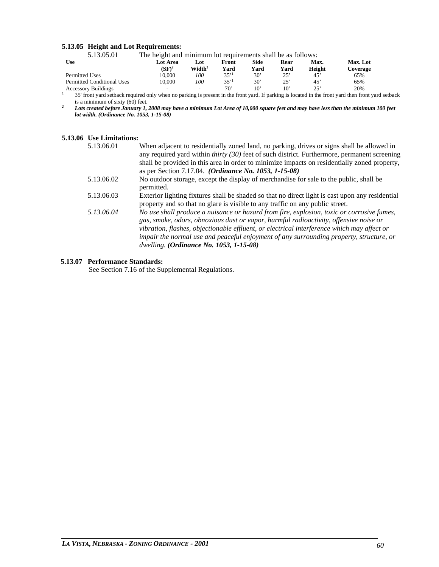# **5.13.05 Height and Lot Requirements:**<br>5.13.05.01 The height and

The height and minimum lot requirements shall be as follows:

| .                                 | THE WALKER WAS HALLMADED TO LEAD WAS STRUCKED DIRECT OF WALLOTI HIDI |                           |                    |              |              |                       |                             |  |
|-----------------------------------|----------------------------------------------------------------------|---------------------------|--------------------|--------------|--------------|-----------------------|-----------------------------|--|
| <b>Use</b>                        | Lot Area<br>$(SF)^2$                                                 | Lot<br>Width <sup>2</sup> | Front<br>Yard      | Side<br>Yard | Rear<br>Yard | <b>Max.</b><br>Height | <b>Max. Lot</b><br>Coverage |  |
| Permitted Uses                    | 10.000                                                               | 100                       | $35'$ <sup>1</sup> | 30'          | 25'          | 45'                   | 65%                         |  |
| <b>Permitted Conditional Uses</b> | 10.000                                                               | 100                       | $35'$ <sup>1</sup> | 30'          | 25'          | $45^{\circ}$          | 65%                         |  |
| <b>Accessory Buildings</b>        | ۰                                                                    | $\overline{\phantom{0}}$  | $70^{\circ}$       | ın'          | $10^{\circ}$ | 25"                   | 20%                         |  |

<sup>1</sup> 35' front yard setback required only when no parking is present in the front yard. If parking is located in the front yard then front yard setback is a minimum of sixty (60) feet.

*<sup>2</sup> Lots created before January 1, 2008 may have a minimum Lot Area of 10,000 square feet and may have less than the minimum 100 feet lot width. (Ordinance No. 1053, 1-15-08)*

#### **5.13.06 Use Limitations:**

| 5.13.06.01 | When adjacent to residentially zoned land, no parking, drives or signs shall be allowed in<br>any required yard within <i>thirty</i> $(30)$ feet of such district. Furthermore, permanent screening<br>shall be provided in this area in order to minimize impacts on residentially zoned property,                                                                                                                             |
|------------|---------------------------------------------------------------------------------------------------------------------------------------------------------------------------------------------------------------------------------------------------------------------------------------------------------------------------------------------------------------------------------------------------------------------------------|
|            | as per Section 7.17.04. (Ordinance No. 1053, 1-15-08)                                                                                                                                                                                                                                                                                                                                                                           |
| 5.13.06.02 | No outdoor storage, except the display of merchandise for sale to the public, shall be<br>permitted.                                                                                                                                                                                                                                                                                                                            |
| 5.13.06.03 | Exterior lighting fixtures shall be shaded so that no direct light is cast upon any residential<br>property and so that no glare is visible to any traffic on any public street.                                                                                                                                                                                                                                                |
| 5.13.06.04 | No use shall produce a nuisance or hazard from fire, explosion, toxic or corrosive fumes,<br>gas, smoke, odors, obnoxious dust or vapor, harmful radioactivity, offensive noise or<br>vibration, flashes, objectionable effluent, or electrical interference which may affect or<br>impair the normal use and peaceful enjoyment of any surrounding property, structure, or<br>dwelling. ( <b>Ordinance No. 1053, 1-15-08</b> ) |

#### **5.13.07 Performance Standards:**

See Section 7.16 of the Supplemental Regulations.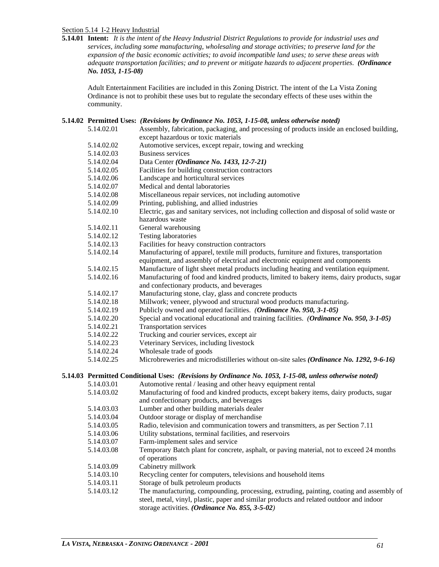#### Section 5.14 I-2 Heavy Industrial

**5.14.01 Intent:** *It is the intent of the Heavy Industrial District Regulations to provide for industrial uses and services, including some manufacturing, wholesaling and storage activities; to preserve land for the expansion of the basic economic activities; to avoid incompatible land uses; to serve these areas with adequate transportation facilities; and to prevent or mitigate hazards to adjacent properties*. *(Ordinance No. 1053, 1-15-08)*

Adult Entertainment Facilities are included in this Zoning District. The intent of the La Vista Zoning Ordinance is not to prohibit these uses but to regulate the secondary effects of these uses within the community.

#### **5.14.02 Permitted Uses:** *(Revisions by Ordinance No. 1053, 1-15-08, unless otherwise noted)*

|            | 5.14.02 Permitted Uses: (Revisions by Ordinance No. 1053, 1-15-08, unless otherwise noted)                                              |
|------------|-----------------------------------------------------------------------------------------------------------------------------------------|
| 5.14.02.01 | Assembly, fabrication, packaging, and processing of products inside an enclosed building,                                               |
|            | except hazardous or toxic materials                                                                                                     |
| 5.14.02.02 | Automotive services, except repair, towing and wrecking                                                                                 |
| 5.14.02.03 | <b>Business services</b>                                                                                                                |
| 5.14.02.04 | Data Center (Ordinance No. 1433, 12-7-21)                                                                                               |
| 5.14.02.05 | Facilities for building construction contractors                                                                                        |
| 5.14.02.06 | Landscape and horticultural services                                                                                                    |
| 5.14.02.07 | Medical and dental laboratories                                                                                                         |
| 5.14.02.08 | Miscellaneous repair services, not including automotive                                                                                 |
| 5.14.02.09 | Printing, publishing, and allied industries                                                                                             |
| 5.14.02.10 | Electric, gas and sanitary services, not including collection and disposal of solid waste or<br>hazardous waste                         |
| 5.14.02.11 | General warehousing                                                                                                                     |
| 5.14.02.12 | <b>Testing laboratories</b>                                                                                                             |
| 5.14.02.13 | Facilities for heavy construction contractors                                                                                           |
| 5.14.02.14 | Manufacturing of apparel, textile mill products, furniture and fixtures, transportation                                                 |
|            | equipment, and assembly of electrical and electronic equipment and components                                                           |
| 5.14.02.15 | Manufacture of light sheet metal products including heating and ventilation equipment.                                                  |
| 5.14.02.16 | Manufacturing of food and kindred products, limited to bakery items, dairy products, sugar<br>and confectionary products, and beverages |
| 5.14.02.17 | Manufacturing stone, clay, glass and concrete products                                                                                  |
| 5.14.02.18 | Millwork; veneer, plywood and structural wood products manufacturing.                                                                   |
| 5.14.02.19 | Publicly owned and operated facilities. (Ordinance No. 950, 3-1-05)                                                                     |
| 5.14.02.20 | Special and vocational educational and training facilities. (Ordinance No. 950, 3-1-05)                                                 |
| 5.14.02.21 | Transportation services                                                                                                                 |
| 5.14.02.22 | Trucking and courier services, except air                                                                                               |
| 5.14.02.23 | Veterinary Services, including livestock                                                                                                |
| 5.14.02.24 | Wholesale trade of goods                                                                                                                |
| 5.14.02.25 | Microbreweries and microdistilleries without on-site sales (Ordinance No. 1292, 9-6-16)                                                 |
|            | 5.14.03 Permitted Conditional Uses: (Revisions by Ordinance No. 1053, 1-15-08, unless otherwise noted)                                  |
| 5.14.03.01 | Automotive rental / leasing and other heavy equipment rental                                                                            |
| 5.14.03.02 | Manufacturing of food and kindred products, except bakery items, dairy products, sugar<br>and confectionary products, and beverages     |
| 5.14.03.03 | Lumber and other building materials dealer                                                                                              |
| 5.14.03.04 | Outdoor storage or display of merchandise                                                                                               |
| 5.14.03.05 | Radio, television and communication towers and transmitters, as per Section 7.11                                                        |
| 5.14.03.06 | Utility substations, terminal facilities, and reservoirs                                                                                |
| 5.14.03.07 | Farm-implement sales and service                                                                                                        |

- 5.14.03.08 Temporary Batch plant for concrete, asphalt, or paving material, not to exceed 24 months of operations
- 5.14.03.09 Cabinetry millwork
- 5.14.03.10 Recycling center for computers, televisions and household items
- 5.14.03.11 Storage of bulk petroleum products
- 5.14.03.12 The manufacturing, compounding, processing, extruding, painting, coating and assembly of steel, metal, vinyl, plastic, paper and similar products and related outdoor and indoor storage activities. *(Ordinance No. 855, 3-5-02)*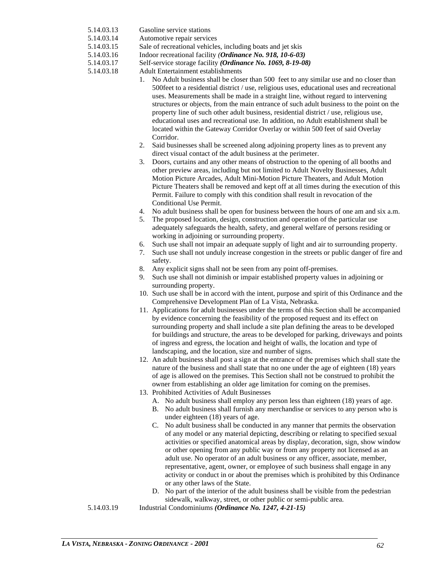- 5.14.03.13 Gasoline service stations
- 5.14.03.14 Automotive repair services
- 5.14.03.15 Sale of recreational vehicles, including boats and jet skis
- 5.14.03.16 Indoor recreational facility *(Ordinance No. 918, 10-6-03)*
- 5.14.03.17 Self-service storage facility *(Ordinance No. 1069, 8-19-08)*
- 5.14.03.18 Adult Entertainment establishments
	- 1. No Adult business shall be closer than 500 feet to any similar use and no closer than 500feet to a residential district / use, religious uses, educational uses and recreational uses. Measurements shall be made in a straight line, without regard to intervening structures or objects, from the main entrance of such adult business to the point on the property line of such other adult business, residential district / use, religious use, educational uses and recreational use. In addition, no Adult establishment shall be located within the Gateway Corridor Overlay or within 500 feet of said Overlay Corridor.
	- 2. Said businesses shall be screened along adjoining property lines as to prevent any direct visual contact of the adult business at the perimeter.
	- 3. Doors, curtains and any other means of obstruction to the opening of all booths and other preview areas, including but not limited to Adult Novelty Businesses, Adult Motion Picture Arcades, Adult Mini-Motion Picture Theaters, and Adult Motion Picture Theaters shall be removed and kept off at all times during the execution of this Permit. Failure to comply with this condition shall result in revocation of the Conditional Use Permit.
	- 4. No adult business shall be open for business between the hours of one am and six a.m.
	- 5. The proposed location, design, construction and operation of the particular use adequately safeguards the health, safety, and general welfare of persons residing or working in adjoining or surrounding property.
	- 6. Such use shall not impair an adequate supply of light and air to surrounding property.
	- 7. Such use shall not unduly increase congestion in the streets or public danger of fire and safety.
	- 8. Any explicit signs shall not be seen from any point off-premises.
	- 9. Such use shall not diminish or impair established property values in adjoining or surrounding property.
	- 10. Such use shall be in accord with the intent, purpose and spirit of this Ordinance and the Comprehensive Development Plan of La Vista, Nebraska.
	- 11. Applications for adult businesses under the terms of this Section shall be accompanied by evidence concerning the feasibility of the proposed request and its effect on surrounding property and shall include a site plan defining the areas to be developed for buildings and structure, the areas to be developed for parking, driveways and points of ingress and egress, the location and height of walls, the location and type of landscaping, and the location, size and number of signs.
	- 12. An adult business shall post a sign at the entrance of the premises which shall state the nature of the business and shall state that no one under the age of eighteen (18) years of age is allowed on the premises. This Section shall not be construed to prohibit the owner from establishing an older age limitation for coming on the premises.
	- 13. Prohibited Activities of Adult Businesses
		- A. No adult business shall employ any person less than eighteen (18) years of age.
		- B. No adult business shall furnish any merchandise or services to any person who is under eighteen (18) years of age.
		- C. No adult business shall be conducted in any manner that permits the observation of any model or any material depicting, describing or relating to specified sexual activities or specified anatomical areas by display, decoration, sign, show window or other opening from any public way or from any property not licensed as an adult use. No operator of an adult business or any officer, associate, member, representative, agent, owner, or employee of such business shall engage in any activity or conduct in or about the premises which is prohibited by this Ordinance or any other laws of the State.
		- D. No part of the interior of the adult business shall be visible from the pedestrian sidewalk, walkway, street, or other public or semi-public area.
- 
- 5.14.03.19 Industrial Condominiums *(Ordinance No. 1247, 4-21-15)*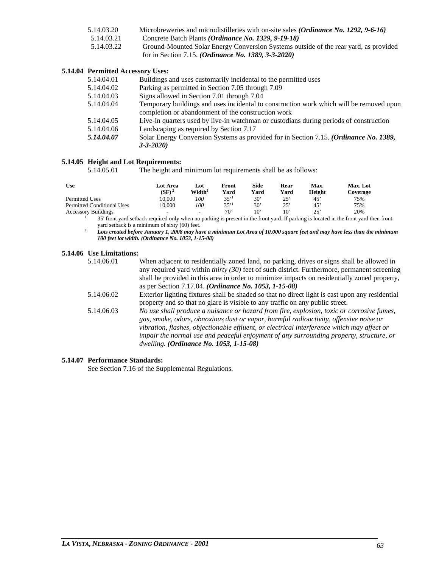| 5.14.03.20 | Microbreweries and microdistilleries with on-site sales (Ordinance No. 1292, 9-6-16) |
|------------|--------------------------------------------------------------------------------------|
| 5.14.03.21 | Concrete Batch Plants ( <i>Ordinance No. 1329</i> , 9-19-18)                         |
| 5.14.03.22 | Ground-Mounted Solar Energy Conversion Systems outside of the rear yard, as provided |
|            | for in Section 7.15. ( <i>Ordinance No. 1389, 3-3-2020</i> )                         |

#### **5.14.04 Permitted Accessory Uses:**

| 5.14.04.01 | Buildings and uses customarily incidental to the permitted uses                         |
|------------|-----------------------------------------------------------------------------------------|
| 5.14.04.02 | Parking as permitted in Section 7.05 through 7.09                                       |
| 5.14.04.03 | Signs allowed in Section 7.01 through 7.04                                              |
| 5.14.04.04 | Temporary buildings and uses incidental to construction work which will be removed upon |
|            | completion or abandonment of the construction work                                      |
| 5.14.04.05 | Live-in quarters used by live-in watchman or custodians during periods of construction  |
| 5.14.04.06 | Landscaping as required by Section 7.17                                                 |
| 5.14.04.07 | Solar Energy Conversion Systems as provided for in Section 7.15. (Ordinance No. 1389,   |
|            | $3 - 3 - 2020$                                                                          |
|            |                                                                                         |

# **5.14.05 Height and Lot Requirements:**

5.14.05.01 The height and minimum lot requirements shall be as follows:

| <b>Use</b>                        | Lot Area<br>$(SF)^2$ | Lot<br>Width <sup>2</sup> | Front<br>Yard | Side<br>Yard | Rear<br>Yard | Max.<br>Height | Max. Lot<br>Coverage |
|-----------------------------------|----------------------|---------------------------|---------------|--------------|--------------|----------------|----------------------|
| <b>Permitted Uses</b>             | 10.000               | 100                       | 35'           | $30^{\circ}$ | $25^{\circ}$ | 45'            | 75%                  |
| <b>Permitted Conditional Uses</b> | 10.000               | 100                       | 35'           | 30'          | 25'          | 45'            | 75%                  |
| <b>Accessory Buildings</b>        | ۰                    | $\overline{\phantom{0}}$  | $70^{\circ}$  | $10^{\circ}$ | $10^{\circ}$ | 25             | 20%                  |

<sup>1</sup> 35' front yard setback required only when no parking is present in the front yard. If parking is located in the front yard then front yard setback is a minimum of sixty (60) feet.

<sup>2</sup> Lots created before January 1, 2008 may have a minimum Lot Area of 10,000 square feet and may have less than the minimum *100 feet lot width. (Ordinance No. 1053, 1-15-08)*

#### **5.14.06 Use Limitations:**

| When adjacent to residentially zoned land, no parking, drives or signs shall be allowed in            |
|-------------------------------------------------------------------------------------------------------|
| any required yard within <i>thirty</i> $(30)$ feet of such district. Furthermore, permanent screening |
| shall be provided in this area in order to minimize impacts on residentially zoned property,          |
| as per Section 7.17.04. ( <i>Ordinance No. 1053</i> , 1-15-08)                                        |
| Exterior lighting fixtures shall be shaded so that no direct light is cast upon any residential       |
| property and so that no glare is visible to any traffic on any public street.                         |
| No use shall produce a nuisance or hazard from fire, explosion, toxic or corrosive fumes,             |
| gas, smoke, odors, obnoxious dust or vapor, harmful radioactivity, offensive noise or                 |
| vibration, flashes, objectionable effluent, or electrical interference which may affect or            |
| impair the normal use and peaceful enjoyment of any surrounding property, structure, or               |
| <i>dwelling.</i> ( <i>Ordinance No. 1053, 1-15-08</i> )                                               |
|                                                                                                       |

#### **5.14.07 Performance Standards:**

See Section 7.16 of the Supplemental Regulations.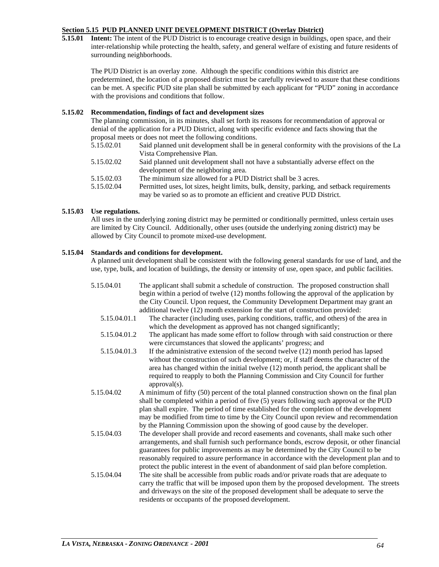### **Section 5.15 PUD PLANNED UNIT DEVELOPMENT DISTRICT (Overlay District)**

**5.15.01 Intent:** The intent of the PUD District is to encourage creative design in buildings, open space, and their inter-relationship while protecting the health, safety, and general welfare of existing and future residents of surrounding neighborhoods.

The PUD District is an overlay zone. Although the specific conditions within this district are predetermined, the location of a proposed district must be carefully reviewed to assure that these conditions can be met. A specific PUD site plan shall be submitted by each applicant for "PUD" zoning in accordance with the provisions and conditions that follow.

# **5.15.02 Recommendation, findings of fact and development sizes**

The planning commission, in its minutes, shall set forth its reasons for recommendation of approval or denial of the application for a PUD District, along with specific evidence and facts showing that the proposal meets or does not meet the following conditions.

- 5.15.02.01 Said planned unit development shall be in general conformity with the provisions of the La Vista Comprehensive Plan.
- 5.15.02.02 Said planned unit development shall not have a substantially adverse effect on the development of the neighboring area.
- 5.15.02.03 The minimum size allowed for a PUD District shall be 3 acres.
- 5.15.02.04 Permitted uses, lot sizes, height limits, bulk, density, parking, and setback requirements may be varied so as to promote an efficient and creative PUD District.

# **5.15.03 Use regulations.**

All uses in the underlying zoning district may be permitted or conditionally permitted, unless certain uses are limited by City Council. Additionally, other uses (outside the underlying zoning district) may be allowed by City Council to promote mixed-use development.

# **5.15.04 Standards and conditions for development.**

A planned unit development shall be consistent with the following general standards for use of land, and the use, type, bulk, and location of buildings, the density or intensity of use, open space, and public facilities.

| 5.15.04.01   | The applicant shall submit a schedule of construction. The proposed construction shall<br>begin within a period of twelve (12) months following the approval of the application by<br>the City Council. Upon request, the Community Development Department may grant an |
|--------------|-------------------------------------------------------------------------------------------------------------------------------------------------------------------------------------------------------------------------------------------------------------------------|
|              | additional twelve (12) month extension for the start of construction provided:                                                                                                                                                                                          |
| 5.15.04.01.1 | The character (including uses, parking conditions, traffic, and others) of the area in<br>which the development as approved has not changed significantly;                                                                                                              |
| 5.15.04.01.2 | The applicant has made some effort to follow through with said construction or there                                                                                                                                                                                    |
|              | were circumstances that slowed the applicants' progress; and                                                                                                                                                                                                            |
| 5.15.04.01.3 | If the administrative extension of the second twelve $(12)$ month period has lapsed                                                                                                                                                                                     |
|              | without the construction of such development; or, if staff deems the character of the                                                                                                                                                                                   |
|              | area has changed within the initial twelve (12) month period, the applicant shall be                                                                                                                                                                                    |
|              | required to reapply to both the Planning Commission and City Council for further                                                                                                                                                                                        |
|              | $approd(s)$ .                                                                                                                                                                                                                                                           |
| 5.15.04.02   | A minimum of fifty (50) percent of the total planned construction shown on the final plan<br>shall be completed within a period of five (5) years following such approval or the PUD                                                                                    |
|              | plan shall expire. The period of time established for the completion of the development                                                                                                                                                                                 |
|              | may be modified from time to time by the City Council upon review and recommendation                                                                                                                                                                                    |
|              | by the Planning Commission upon the showing of good cause by the developer.                                                                                                                                                                                             |
| 5.15.04.03   | The developer shall provide and record easements and covenants, shall make such other                                                                                                                                                                                   |
|              | arrangements, and shall furnish such performance bonds, escrow deposit, or other financial                                                                                                                                                                              |
|              | guarantees for public improvements as may be determined by the City Council to be                                                                                                                                                                                       |
|              | reasonably required to assure performance in accordance with the development plan and to                                                                                                                                                                                |
|              | protect the public interest in the event of abandonment of said plan before completion.                                                                                                                                                                                 |
| 5.15.04.04   | The site shall be accessible from public roads and/or private roads that are adequate to                                                                                                                                                                                |
|              | carry the traffic that will be imposed upon them by the proposed development. The streets                                                                                                                                                                               |
|              | and driveways on the site of the proposed development shall be adequate to serve the                                                                                                                                                                                    |
|              | residents or occupants of the proposed development.                                                                                                                                                                                                                     |
|              |                                                                                                                                                                                                                                                                         |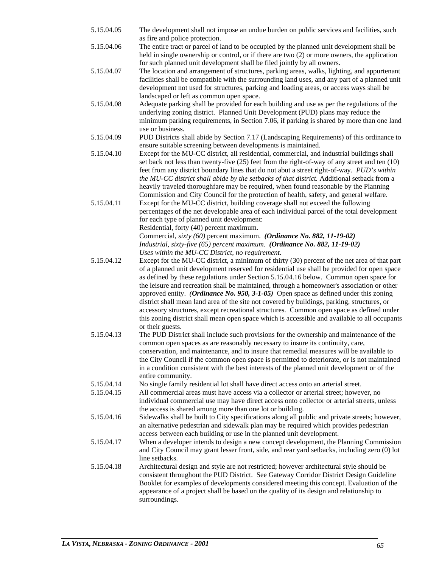- 5.15.04.05 The development shall not impose an undue burden on public services and facilities, such as fire and police protection.
- 5.15.04.06 The entire tract or parcel of land to be occupied by the planned unit development shall be held in single ownership or control, or if there are two (2) or more owners, the application for such planned unit development shall be filed jointly by all owners.
- 5.15.04.07 The location and arrangement of structures, parking areas, walks, lighting, and appurtenant facilities shall be compatible with the surrounding land uses, and any part of a planned unit development not used for structures, parking and loading areas, or access ways shall be landscaped or left as common open space.
- 5.15.04.08 Adequate parking shall be provided for each building and use as per the regulations of the underlying zoning district. Planned Unit Development (PUD) plans may reduce the minimum parking requirements, in Section 7.06, if parking is shared by more than one land use or business.
- 5.15.04.09 PUD Districts shall abide by Section 7.17 (Landscaping Requirements) of this ordinance to ensure suitable screening between developments is maintained.
- 5.15.04.10 Except for the MU-CC district, all residential, commercial, and industrial buildings shall set back not less than twenty-five (25) feet from the right-of-way of any street and ten (10) feet from any district boundary lines that do not abut a street right-of-way. *PUD's within the MU-CC district shall abide by the setbacks of that district.* Additional setback from a heavily traveled thoroughfare may be required, when found reasonable by the Planning Commission and City Council for the protection of health, safety, and general welfare.
- 5.15.04.11 Except for the MU-CC district, building coverage shall not exceed the following percentages of the net developable area of each individual parcel of the total development for each type of planned unit development: Residential, forty (40) percent maximum.

Commercial, *sixty (60)* percent maximum. *(Ordinance No. 882, 11-19-02) Industrial, sixty-five (65) percent maximum. (Ordinance No. 882, 11-19-02) Uses within the MU-CC District, no requirement.*

- 5.15.04.12 Except for the MU-CC district, a minimum of thirty (30) percent of the net area of that part of a planned unit development reserved for residential use shall be provided for open space as defined by these regulations under Section 5.1*5*.04.16 below. Common open space for the leisure and recreation shall be maintained, through a homeowner's association or other approved entity. *(Ordinance No. 950, 3-1-05)* Open space as defined under this zoning district shall mean land area of the site not covered by buildings, parking, structures, or accessory structures, except recreational structures. Common open space as defined under this zoning district shall mean open space which is accessible and available to all occupants or their guests.
- 5.15.04.13 The PUD District shall include such provisions for the ownership and maintenance of the common open spaces as are reasonably necessary to insure its continuity, care, conservation, and maintenance, and to insure that remedial measures will be available to the City Council if the common open space is permitted to deteriorate, or is not maintained in a condition consistent with the best interests of the planned unit development or of the entire community.
- 5.15.04.14 No single family residential lot shall have direct access onto an arterial street.
- 5.15.04.15 All commercial areas must have access via a collector or arterial street; however, no individual commercial use may have direct access onto collector or arterial streets, unless the access is shared among more than one lot or building.
- 5.15.04.16 Sidewalks shall be built to City specifications along all public and private streets; however, an alternative pedestrian and sidewalk plan may be required which provides pedestrian access between each building or use in the planned unit development.
- 5.15.04.17 When a developer intends to design a new concept development, the Planning Commission and City Council may grant lesser front, side, and rear yard setbacks, including zero (0) lot line setbacks.
- 5.15.04.18 Architectural design and style are not restricted; however architectural style should be consistent throughout the PUD District. See Gateway Corridor District Design Guideline Booklet for examples of developments considered meeting this concept. Evaluation of the appearance of a project shall be based on the quality of its design and relationship to surroundings.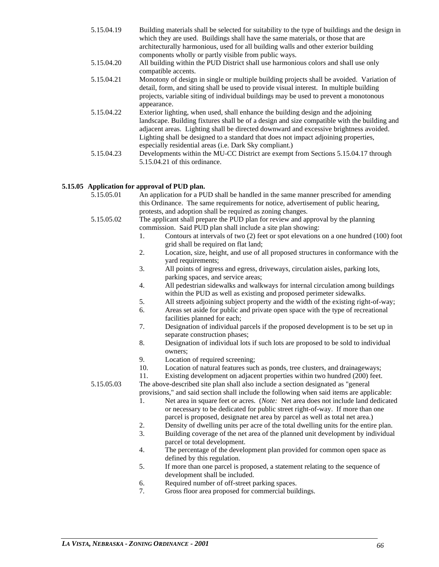- 5.15.04.19 Building materials shall be selected for suitability to the type of buildings and the design in which they are used. Buildings shall have the same materials, or those that are architecturally harmonious, used for all building walls and other exterior building components wholly or partly visible from public ways. 5.15.04.20 All building within the PUD District shall use harmonious colors and shall use only compatible accents. 5.15.04.21 Monotony of design in single or multiple building projects shall be avoided. Variation of detail, form, and siting shall be used to provide visual interest. In multiple building projects, variable siting of individual buildings may be used to prevent a monotonous appearance. 5.15.04.22 Exterior lighting, when used, shall enhance the building design and the adjoining landscape. Building fixtures shall be of a design and size compatible with the building and adjacent areas. Lighting shall be directed downward and excessive brightness avoided. Lighting shall be designed to a standard that does not impact adjoining properties, especially residential areas (i.e. Dark Sky compliant.)
- 5.15.04.23 Developments within the MU-CC District are exempt from Sections 5.15.04.17 through 5.15.04.21 of this ordinance.

# **5.15.05 Application for approval of PUD plan.**

| 5.15.05.01 |     | An application for a PUD shall be handled in the same manner prescribed for amending      |  |  |  |
|------------|-----|-------------------------------------------------------------------------------------------|--|--|--|
|            |     | this Ordinance. The same requirements for notice, advertisement of public hearing,        |  |  |  |
|            |     | protests, and adoption shall be required as zoning changes.                               |  |  |  |
| 5.15.05.02 |     | The applicant shall prepare the PUD plan for review and approval by the planning          |  |  |  |
|            |     | commission. Said PUD plan shall include a site plan showing:                              |  |  |  |
|            | 1.  | Contours at intervals of two (2) feet or spot elevations on a one hundred (100) foot      |  |  |  |
|            |     | grid shall be required on flat land;                                                      |  |  |  |
|            | 2.  | Location, size, height, and use of all proposed structures in conformance with the        |  |  |  |
|            |     | yard requirements;                                                                        |  |  |  |
|            | 3.  | All points of ingress and egress, driveways, circulation aisles, parking lots,            |  |  |  |
|            |     | parking spaces, and service areas;                                                        |  |  |  |
|            | 4.  | All pedestrian sidewalks and walkways for internal circulation among buildings            |  |  |  |
|            |     | within the PUD as well as existing and proposed perimeter sidewalks.                      |  |  |  |
|            | 5.  | All streets adjoining subject property and the width of the existing right-of-way;        |  |  |  |
|            | 6.  | Areas set aside for public and private open space with the type of recreational           |  |  |  |
|            |     | facilities planned for each;                                                              |  |  |  |
|            | 7.  | Designation of individual parcels if the proposed development is to be set up in          |  |  |  |
|            |     | separate construction phases;                                                             |  |  |  |
|            | 8.  | Designation of individual lots if such lots are proposed to be sold to individual         |  |  |  |
|            |     | owners:                                                                                   |  |  |  |
|            | 9.  | Location of required screening;                                                           |  |  |  |
|            | 10. | Location of natural features such as ponds, tree clusters, and drainageways;              |  |  |  |
|            | 11. | Existing development on adjacent properties within two hundred (200) feet.                |  |  |  |
| 5.15.05.03 |     | The above-described site plan shall also include a section designated as "general         |  |  |  |
|            |     | provisions," and said section shall include the following when said items are applicable: |  |  |  |
|            | 1.  | Net area in square feet or acres. (Note: Net area does not include land dedicated         |  |  |  |
|            |     | or necessary to be dedicated for public street right-of-way. If more than one             |  |  |  |
|            |     | parcel is proposed, designate net area by parcel as well as total net area.)              |  |  |  |
|            | 2.  | Density of dwelling units per acre of the total dwelling units for the entire plan.       |  |  |  |
|            | 3.  | Building coverage of the net area of the planned unit development by individual           |  |  |  |
|            |     | parcel or total development.                                                              |  |  |  |
|            | 4.  | The percentage of the development plan provided for common open space as                  |  |  |  |
|            |     | defined by this regulation.                                                               |  |  |  |
|            | 5.  | If more than one parcel is proposed, a statement relating to the sequence of              |  |  |  |
|            |     | development shall be included.                                                            |  |  |  |
|            | 6.  | Required number of off-street parking spaces.                                             |  |  |  |
|            | 7.  | Gross floor area proposed for commercial buildings.                                       |  |  |  |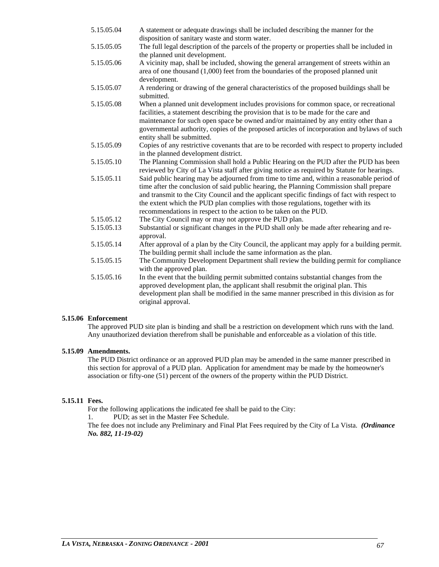| 5.15.05.04 | A statement or adequate drawings shall be included describing the manner for the                                                                                                                                                                                                                                                                                                                                                             |
|------------|----------------------------------------------------------------------------------------------------------------------------------------------------------------------------------------------------------------------------------------------------------------------------------------------------------------------------------------------------------------------------------------------------------------------------------------------|
|            | disposition of sanitary waste and storm water.                                                                                                                                                                                                                                                                                                                                                                                               |
| 5.15.05.05 | The full legal description of the parcels of the property or properties shall be included in<br>the planned unit development.                                                                                                                                                                                                                                                                                                                |
| 5.15.05.06 | A vicinity map, shall be included, showing the general arrangement of streets within an<br>area of one thousand (1,000) feet from the boundaries of the proposed planned unit<br>development.                                                                                                                                                                                                                                                |
| 5.15.05.07 | A rendering or drawing of the general characteristics of the proposed buildings shall be<br>submitted.                                                                                                                                                                                                                                                                                                                                       |
| 5.15.05.08 | When a planned unit development includes provisions for common space, or recreational<br>facilities, a statement describing the provision that is to be made for the care and<br>maintenance for such open space be owned and/or maintained by any entity other than a<br>governmental authority, copies of the proposed articles of incorporation and bylaws of such<br>entity shall be submitted.                                          |
| 5.15.05.09 | Copies of any restrictive covenants that are to be recorded with respect to property included<br>in the planned development district.                                                                                                                                                                                                                                                                                                        |
| 5.15.05.10 | The Planning Commission shall hold a Public Hearing on the PUD after the PUD has been<br>reviewed by City of La Vista staff after giving notice as required by Statute for hearings.                                                                                                                                                                                                                                                         |
| 5.15.05.11 | Said public hearing may be adjourned from time to time and, within a reasonable period of<br>time after the conclusion of said public hearing, the Planning Commission shall prepare<br>and transmit to the City Council and the applicant specific findings of fact with respect to<br>the extent which the PUD plan complies with those regulations, together with its<br>recommendations in respect to the action to be taken on the PUD. |
| 5.15.05.12 | The City Council may or may not approve the PUD plan.                                                                                                                                                                                                                                                                                                                                                                                        |
| 5.15.05.13 | Substantial or significant changes in the PUD shall only be made after rehearing and re-<br>approval.                                                                                                                                                                                                                                                                                                                                        |
| 5.15.05.14 | After approval of a plan by the City Council, the applicant may apply for a building permit.<br>The building permit shall include the same information as the plan.                                                                                                                                                                                                                                                                          |
| 5.15.05.15 | The Community Development Department shall review the building permit for compliance<br>with the approved plan.                                                                                                                                                                                                                                                                                                                              |
| 5.15.05.16 | In the event that the building permit submitted contains substantial changes from the<br>approved development plan, the applicant shall resubmit the original plan. This<br>development plan shall be modified in the same manner prescribed in this division as for<br>original approval.                                                                                                                                                   |

### **5.15.06 Enforcement**

The approved PUD site plan is binding and shall be a restriction on development which runs with the land. Any unauthorized deviation therefrom shall be punishable and enforceable as a violation of this title.

# **5.15.09 Amendments.**

The PUD District ordinance or an approved PUD plan may be amended in the same manner prescribed in this section for approval of a PUD plan. Application for amendment may be made by the homeowner's association or fifty-one (51) percent of the owners of the property within the PUD District.

#### **5.15.11 Fees.**

For the following applications the indicated fee shall be paid to the City:

1. PUD; as set in the Master Fee Schedule.

The fee does not include any Preliminary and Final Plat Fees required by the City of La Vista. *(Ordinance No. 882, 11-19-02)*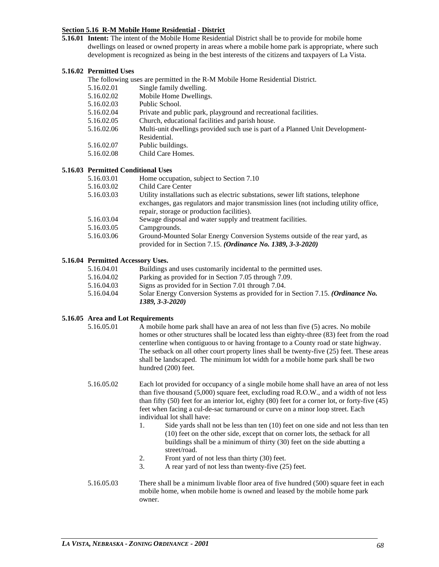#### **Section 5.16 R-M Mobile Home Residential - District**

**5.16.01 Intent:** The intent of the Mobile Home Residential District shall be to provide for mobile home dwellings on leased or owned property in areas where a mobile home park is appropriate, where such development is recognized as being in the best interests of the citizens and taxpayers of La Vista.

#### **5.16.02 Permitted Uses**

|            | The following uses are permitted in the R-M Mobile Home Residential District. |
|------------|-------------------------------------------------------------------------------|
| 5.16.02.01 | Single family dwelling.                                                       |
| 5.16.02.02 | Mobile Home Dwellings.                                                        |
| 5.16.02.03 | Public School.                                                                |
| 5.16.02.04 | Private and public park, playground and recreational facilities.              |
| 5.16.02.05 | Church, educational facilities and parish house.                              |
| 5.16.02.06 | Multi-unit dwellings provided such use is part of a Planned Unit Development- |
|            | Residential.                                                                  |
| 5.16.02.07 | Public buildings.                                                             |
| 5.16.02.08 | Child Care Homes.                                                             |
|            |                                                                               |

### **5.16.03 Permitted Conditional Uses**

| 5.16.03.01 | Home occupation, subject to Section 7.10                                                                                                                                                                                  |
|------------|---------------------------------------------------------------------------------------------------------------------------------------------------------------------------------------------------------------------------|
| 5.16.03.02 | Child Care Center                                                                                                                                                                                                         |
| 5.16.03.03 | Utility installations such as electric substations, sewer lift stations, telephone<br>exchanges, gas regulators and major transmission lines (not including utility office,<br>repair, storage or production facilities). |
| 5.16.03.04 | Sewage disposal and water supply and treatment facilities.                                                                                                                                                                |
| 5.16.03.05 | Campgrounds.                                                                                                                                                                                                              |
| 5.16.03.06 | Ground-Mounted Solar Energy Conversion Systems outside of the rear yard, as<br>provided for in Section 7.15. (Ordinance No. 1389, 3-3-2020)                                                                               |

#### **5.16.04 Permitted Accessory Uses.**

| 5.16.04.01 | Buildings and uses customarily incidental to the permitted uses.                |
|------------|---------------------------------------------------------------------------------|
| 5.16.04.02 | Parking as provided for in Section 7.05 through 7.09.                           |
| 5.16.04.03 | Signs as provided for in Section 7.01 through 7.04.                             |
| 5.16.04.04 | Solar Energy Conversion Systems as provided for in Section 7.15. (Ordinance No. |
|            | $1389, 3 - 3 - 2020$                                                            |

### **5.16.05 Area and Lot Requirements**

| 5.16.05.01 | A mobile home park shall have an area of not less than five (5) acres. No mobile          |
|------------|-------------------------------------------------------------------------------------------|
|            | homes or other structures shall be located less than eighty-three (83) feet from the road |
|            | centerline when contiguous to or having frontage to a County road or state highway.       |
|            | The setback on all other court property lines shall be twenty-five (25) feet. These areas |
|            | shall be landscaped. The minimum lot width for a mobile home park shall be two            |
|            | hundred (200) feet.                                                                       |

#### 5.16.05.02 Each lot provided for occupancy of a single mobile home shall have an area of not less than five thousand (5,000) square feet, excluding road R.O.W., and a width of not less than fifty (50) feet for an interior lot, eighty (80) feet for a corner lot, or forty-five (45) feet when facing a cul-de-sac turnaround or curve on a minor loop street. Each individual lot shall have:

- 1. Side yards shall not be less than ten (10) feet on one side and not less than ten (10) feet on the other side, except that on corner lots, the setback for all buildings shall be a minimum of thirty (30) feet on the side abutting a street/road.
- 2. Front yard of not less than thirty (30) feet.
- 3. A rear yard of not less than twenty-five (25) feet.
- 5.16.05.03 There shall be a minimum livable floor area of five hundred (500) square feet in each mobile home, when mobile home is owned and leased by the mobile home park owner.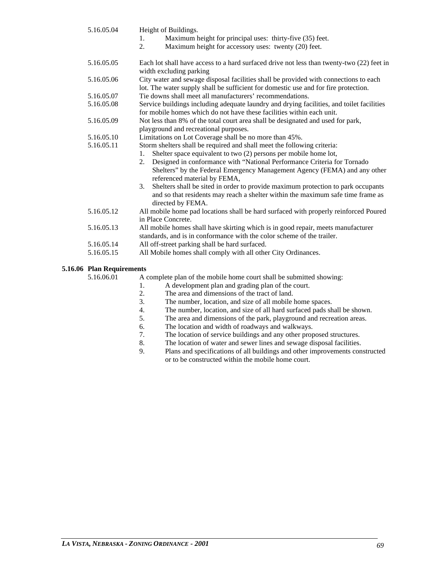| 5.16.05.04 | Height of Buildings.<br>Maximum height for principal uses: thirty-five (35) feet.<br>1.<br>2.<br>Maximum height for accessory uses: twenty (20) feet.                                          |
|------------|------------------------------------------------------------------------------------------------------------------------------------------------------------------------------------------------|
| 5.16.05.05 | Each lot shall have access to a hard surfaced drive not less than twenty-two (22) feet in<br>width excluding parking                                                                           |
| 5.16.05.06 | City water and sewage disposal facilities shall be provided with connections to each<br>lot. The water supply shall be sufficient for domestic use and for fire protection.                    |
| 5.16.05.07 | Tie downs shall meet all manufacturers' recommendations.                                                                                                                                       |
| 5.16.05.08 | Service buildings including adequate laundry and drying facilities, and toilet facilities<br>for mobile homes which do not have these facilities within each unit.                             |
| 5.16.05.09 | Not less than 8% of the total court area shall be designated and used for park,<br>playground and recreational purposes.                                                                       |
| 5.16.05.10 | Limitations on Lot Coverage shall be no more than 45%.                                                                                                                                         |
| 5.16.05.11 | Storm shelters shall be required and shall meet the following criteria:                                                                                                                        |
|            | Shelter space equivalent to two (2) persons per mobile home lot,<br>1.                                                                                                                         |
|            | Designed in conformance with "National Performance Criteria for Tornado<br>2.                                                                                                                  |
|            | Shelters" by the Federal Emergency Management Agency (FEMA) and any other<br>referenced material by FEMA,                                                                                      |
|            | Shelters shall be sited in order to provide maximum protection to park occupants<br>3.<br>and so that residents may reach a shelter within the maximum safe time frame as<br>directed by FEMA. |
| 5.16.05.12 | All mobile home pad locations shall be hard surfaced with properly reinforced Poured<br>in Place Concrete.                                                                                     |
| 5.16.05.13 | All mobile homes shall have skirting which is in good repair, meets manufacturer<br>standards, and is in conformance with the color scheme of the trailer.                                     |
| 5.16.05.14 | All off-street parking shall be hard surfaced.                                                                                                                                                 |
| 5.16.05.15 | All Mobile homes shall comply with all other City Ordinances.                                                                                                                                  |
|            |                                                                                                                                                                                                |

#### **5.16.06 Plan Requirements**

5.16.06.01 A complete plan of the mobile home court shall be submitted showing:

- 1. A development plan and grading plan of the court.
- 2. The area and dimensions of the tract of land.<br>3. The number, location, and size of all mobile 1
- The number, location, and size of all mobile home spaces.
- 4. The number, location, and size of all hard surfaced pads shall be shown.
- 5. The area and dimensions of the park, playground and recreation areas.
- 6. The location and width of roadways and walkways.
- 7. The location of service buildings and any other proposed structures.<br>8. The location of water and sewer lines and sewage disposal facilities.
- The location of water and sewer lines and sewage disposal facilities.
- 9. Plans and specifications of all buildings and other improvements constructed or to be constructed within the mobile home court.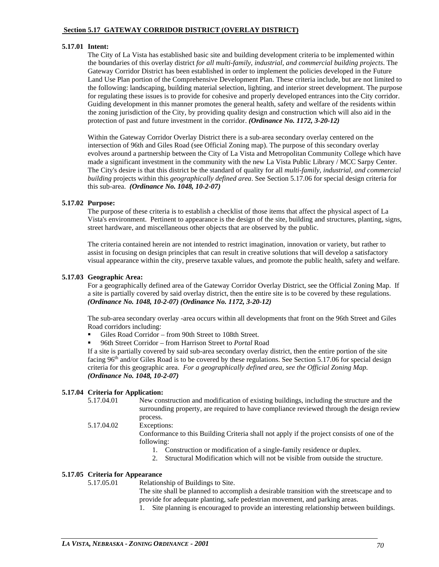# **5.17.01 Intent:**

The City of La Vista has established basic site and building development criteria to be implemented within the boundaries of this overlay district *for all multi-family, industrial, and commercial building projects*. The Gateway Corridor District has been established in order to implement the policies developed in the Future Land Use Plan portion of the Comprehensive Development Plan. These criteria include, but are not limited to the following: landscaping, building material selection, lighting, and interior street development. The purpose for regulating these issues is to provide for cohesive and properly developed entrances into the City corridor. Guiding development in this manner promotes the general health, safety and welfare of the residents within the zoning jurisdiction of the City, by providing quality design and construction which will also aid in the protection of past and future investment in the corridor. *(Ordinance No. 1172, 3-20-12)*

Within the Gateway Corridor Overlay District there is a sub-area secondary overlay centered on the intersection of 96th and Giles Road (see Official Zoning map). The purpose of this secondary overlay evolves around a partnership between the City of La Vista and Metropolitan Community College which have made a significant investment in the community with the new La Vista Public Library / MCC Sarpy Center. The City's desire is that this district be the standard of quality for all *multi-family, industrial, and commercial building* projects within this *geographically defined area*. See Section 5.17.06 for special design criteria for this sub-area. *(Ordinance No. 1048, 10-2-07)*

# **5.17.02 Purpose:**

The purpose of these criteria is to establish a checklist of those items that affect the physical aspect of La Vista's environment. Pertinent to appearance is the design of the site, building and structures, planting, signs, street hardware, and miscellaneous other objects that are observed by the public.

The criteria contained herein are not intended to restrict imagination, innovation or variety, but rather to assist in focusing on design principles that can result in creative solutions that will develop a satisfactory visual appearance within the city, preserve taxable values, and promote the public health, safety and welfare.

# **5.17.03 Geographic Area:**

For a geographically defined area of the Gateway Corridor Overlay District, see the Official Zoning Map. If a site is partially covered by said overlay district, then the entire site is to be covered by these regulations. *(Ordinance No. 1048, 10-2-07) (Ordinance No. 1172, 3-20-12)*

The sub-area secondary overlay -area occurs within all developments that front on the 96th Street and Giles Road corridors including:

- Giles Road Corridor from 90th Street to 108th Street.
- 96th Street Corridor from Harrison Street to *Portal* Road

If a site is partially covered by said sub-area secondary overlay district, then the entire portion of the site facing  $96<sup>th</sup>$  and/or Giles Road is to be covered by these regulations. See Section 5.17.06 for special design criteria for this geographic area. *For a geographically defined area, see the Official Zoning Map. (Ordinance No. 1048, 10-2-07)*

# **5.17.04 Criteria for Application:**

- 5.17.04.01 New construction and modification of existing buildings, including the structure and the surrounding property, are required to have compliance reviewed through the design review process.
- 5.17.04.02 Exceptions: Conformance to this Building Criteria shall not apply if the project consists of one of the following:
	- 1. Construction or modification of a single-family residence or duplex.
	- 2. Structural Modification which will not be visible from outside the structure.

# **5.17.05 Criteria for Appearance**

5.17.05.01 Relationship of Buildings to Site.

The site shall be planned to accomplish a desirable transition with the streetscape and to provide for adequate planting, safe pedestrian movement, and parking areas.

1. Site planning is encouraged to provide an interesting relationship between buildings.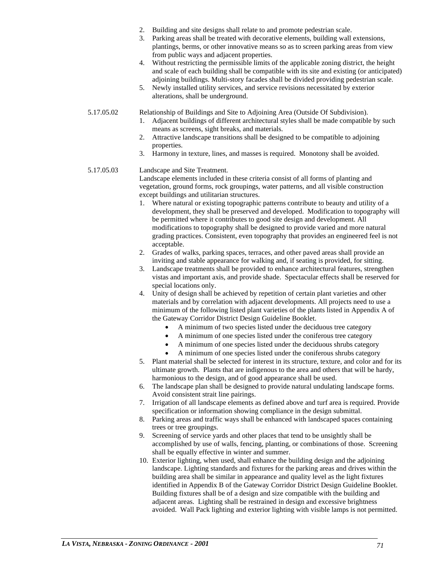- 2. Building and site designs shall relate to and promote pedestrian scale.
- 3. Parking areas shall be treated with decorative elements, building wall extensions, plantings, berms, or other innovative means so as to screen parking areas from view from public ways and adjacent properties.
- 4. Without restricting the permissible limits of the applicable zoning district, the height and scale of each building shall be compatible with its site and existing (or anticipated) adjoining buildings. Multi-story facades shall be divided providing pedestrian scale.
- 5. Newly installed utility services, and service revisions necessitated by exterior alterations, shall be underground.

5.17.05.02 Relationship of Buildings and Site to Adjoining Area (Outside Of Subdivision).

- 1. Adjacent buildings of different architectural styles shall be made compatible by such means as screens, sight breaks, and materials.
- 2. Attractive landscape transitions shall be designed to be compatible to adjoining properties.
- 3. Harmony in texture, lines, and masses is required. Monotony shall be avoided.

#### 5.17.05.03 Landscape and Site Treatment.

Landscape elements included in these criteria consist of all forms of planting and vegetation, ground forms, rock groupings, water patterns, and all visible construction except buildings and utilitarian structures.

- 1. Where natural or existing topographic patterns contribute to beauty and utility of a development, they shall be preserved and developed. Modification to topography will be permitted where it contributes to good site design and development. All modifications to topography shall be designed to provide varied and more natural grading practices. Consistent, even topography that provides an engineered feel is not acceptable.
- 2. Grades of walks, parking spaces, terraces, and other paved areas shall provide an inviting and stable appearance for walking and, if seating is provided, for sitting.
- 3. Landscape treatments shall be provided to enhance architectural features, strengthen vistas and important axis, and provide shade. Spectacular effects shall be reserved for special locations only.
- 4. Unity of design shall be achieved by repetition of certain plant varieties and other materials and by correlation with adjacent developments. All projects need to use a minimum of the following listed plant varieties of the plants listed in Appendix A of the Gateway Corridor District Design Guideline Booklet.
	- A minimum of two species listed under the deciduous tree category
	- A minimum of one species listed under the coniferous tree category
	- A minimum of one species listed under the deciduous shrubs category
	- A minimum of one species listed under the coniferous shrubs category
- 5. Plant material shall be selected for interest in its structure, texture, and color and for its ultimate growth. Plants that are indigenous to the area and others that will be hardy, harmonious to the design, and of good appearance shall be used.
- 6. The landscape plan shall be designed to provide natural undulating landscape forms. Avoid consistent strait line pairings.
- 7. Irrigation of all landscape elements as defined above and turf area is required. Provide specification or information showing compliance in the design submittal.
- 8. Parking areas and traffic ways shall be enhanced with landscaped spaces containing trees or tree groupings.
- 9. Screening of service yards and other places that tend to be unsightly shall be accomplished by use of walls, fencing, planting, or combinations of those. Screening shall be equally effective in winter and summer.
- 10. Exterior lighting, when used, shall enhance the building design and the adjoining landscape. Lighting standards and fixtures for the parking areas and drives within the building area shall be similar in appearance and quality level as the light fixtures identified in Appendix B of the Gateway Corridor District Design Guideline Booklet. Building fixtures shall be of a design and size compatible with the building and adjacent areas. Lighting shall be restrained in design and excessive brightness avoided. Wall Pack lighting and exterior lighting with visible lamps is not permitted.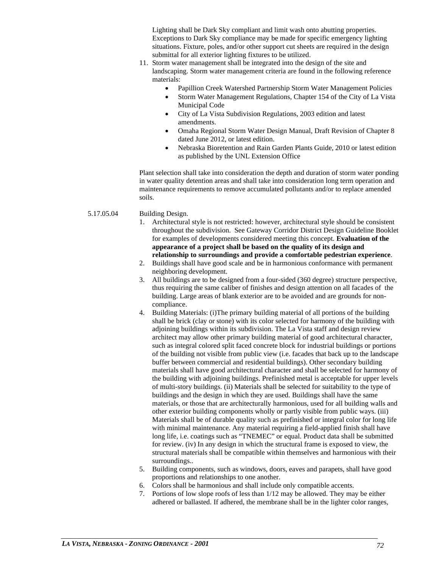Lighting shall be Dark Sky compliant and limit wash onto abutting properties. Exceptions to Dark Sky compliance may be made for specific emergency lighting situations. Fixture, poles, and/or other support cut sheets are required in the design submittal for all exterior lighting fixtures to be utilized.

- 11. Storm water management shall be integrated into the design of the site and landscaping. Storm water management criteria are found in the following reference materials:
	- Papillion Creek Watershed Partnership Storm Water Management Policies
	- Storm Water Management Regulations, Chapter 154 of the City of La Vista Municipal Code
	- City of La Vista Subdivision Regulations, 2003 edition and latest amendments.
	- Omaha Regional Storm Water Design Manual, Draft Revision of Chapter 8 dated June 2012, or latest edition.
	- Nebraska Bioretention and Rain Garden Plants Guide, 2010 or latest edition as published by the UNL Extension Office

Plant selection shall take into consideration the depth and duration of storm water ponding in water quality detention areas and shall take into consideration long term operation and maintenance requirements to remove accumulated pollutants and/or to replace amended soils.

# 5.17.05.04 Building Design.

- 1. Architectural style is not restricted: however, architectural style should be consistent throughout the subdivision. See Gateway Corridor District Design Guideline Booklet for examples of developments considered meeting this concept. **Evaluation of the appearance of a project shall be based on the quality of its design and relationship to surroundings and provide a comfortable pedestrian experience**.
- 2. Buildings shall have good scale and be in harmonious conformance with permanent neighboring development.
- 3. All buildings are to be designed from a four-sided (360 degree) structure perspective, thus requiring the same caliber of finishes and design attention on all facades of the building. Large areas of blank exterior are to be avoided and are grounds for noncompliance.
- 4. Building Materials: (i)The primary building material of all portions of the building shall be brick (clay or stone) with its color selected for harmony of the building with adjoining buildings within its subdivision. The La Vista staff and design review architect may allow other primary building material of good architectural character, such as integral colored split faced concrete block for industrial buildings or portions of the building not visible from public view (i.e. facades that back up to the landscape buffer between commercial and residential buildings). Other secondary building materials shall have good architectural character and shall be selected for harmony of the building with adjoining buildings. Prefinished metal is acceptable for upper levels of multi-story buildings. (ii) Materials shall be selected for suitability to the type of buildings and the design in which they are used. Buildings shall have the same materials, or those that are architecturally harmonious, used for all building walls and other exterior building components wholly or partly visible from public ways. (iii) Materials shall be of durable quality such as prefinished or integral color for long life with minimal maintenance. Any material requiring a field-applied finish shall have long life, i.e. coatings such as "TNEMEC" or equal. Product data shall be submitted for review. (iv) In any design in which the structural frame is exposed to view, the structural materials shall be compatible within themselves and harmonious with their surroundings..
- 5. Building components, such as windows, doors, eaves and parapets, shall have good proportions and relationships to one another.
- 6. Colors shall be harmonious and shall include only compatible accents.
- 7. Portions of low slope roofs of less than 1/12 may be allowed. They may be either adhered or ballasted. If adhered, the membrane shall be in the lighter color ranges,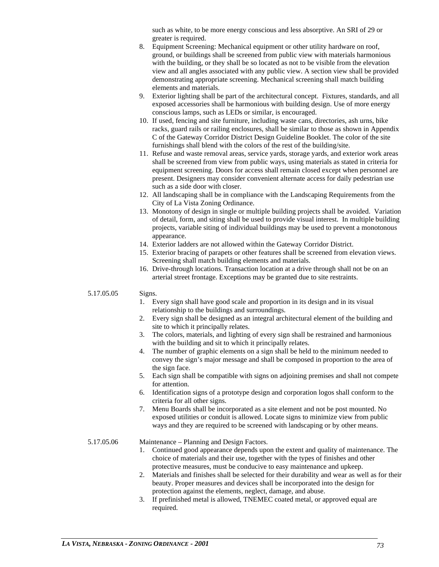such as white, to be more energy conscious and less absorptive. An SRI of 29 or greater is required.

- 8. Equipment Screening: Mechanical equipment or other utility hardware on roof, ground, or buildings shall be screened from public view with materials harmonious with the building, or they shall be so located as not to be visible from the elevation view and all angles associated with any public view. A section view shall be provided demonstrating appropriate screening. Mechanical screening shall match building elements and materials.
- 9. Exterior lighting shall be part of the architectural concept. Fixtures, standards, and all exposed accessories shall be harmonious with building design. Use of more energy conscious lamps, such as LEDs or similar, is encouraged.
- 10. If used, fencing and site furniture, including waste cans, directories, ash urns, bike racks, guard rails or railing enclosures, shall be similar to those as shown in Appendix C of the Gateway Corridor District Design Guideline Booklet. The color of the site furnishings shall blend with the colors of the rest of the building/site.
- 11. Refuse and waste removal areas, service yards, storage yards, and exterior work areas shall be screened from view from public ways, using materials as stated in criteria for equipment screening. Doors for access shall remain closed except when personnel are present. Designers may consider convenient alternate access for daily pedestrian use such as a side door with closer.
- 12. All landscaping shall be in compliance with the Landscaping Requirements from the City of La Vista Zoning Ordinance.
- 13. Monotony of design in single or multiple building projects shall be avoided. Variation of detail, form, and siting shall be used to provide visual interest. In multiple building projects, variable siting of individual buildings may be used to prevent a monotonous appearance.
- 14. Exterior ladders are not allowed within the Gateway Corridor District.
- 15. Exterior bracing of parapets or other features shall be screened from elevation views. Screening shall match building elements and materials.
- 16. Drive-through locations. Transaction location at a drive through shall not be on an arterial street frontage. Exceptions may be granted due to site restraints.

#### 5.17.05.05 Signs.

- 1. Every sign shall have good scale and proportion in its design and in its visual relationship to the buildings and surroundings.
- 2. Every sign shall be designed as an integral architectural element of the building and site to which it principally relates.
- 3. The colors, materials, and lighting of every sign shall be restrained and harmonious with the building and sit to which it principally relates.
- 4. The number of graphic elements on a sign shall be held to the minimum needed to convey the sign's major message and shall be composed in proportion to the area of the sign face.
- 5. Each sign shall be compatible with signs on adjoining premises and shall not compete for attention.
- 6. Identification signs of a prototype design and corporation logos shall conform to the criteria for all other signs.
- 7. Menu Boards shall be incorporated as a site element and not be post mounted. No exposed utilities or conduit is allowed. Locate signs to minimize view from public ways and they are required to be screened with landscaping or by other means.

#### 5.17.05.06 Maintenance – Planning and Design Factors.

- 1. Continued good appearance depends upon the extent and quality of maintenance. The choice of materials and their use, together with the types of finishes and other protective measures, must be conducive to easy maintenance and upkeep.
- 2. Materials and finishes shall be selected for their durability and wear as well as for their beauty. Proper measures and devices shall be incorporated into the design for protection against the elements, neglect, damage, and abuse.
- 3. If prefinished metal is allowed, TNEMEC coated metal, or approved equal are required.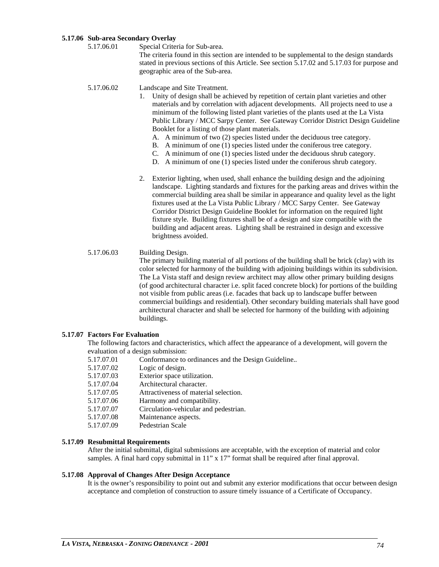#### **5.17.06 Sub-area Secondary Overlay**

5.17.06.01 Special Criteria for Sub-area. The criteria found in this section are intended to be supplemental to the design standards stated in previous sections of this Article. See section 5.17.02 and 5.17.03 for purpose and geographic area of the Sub-area.

#### 5.17.06.02 Landscape and Site Treatment.

- 1. Unity of design shall be achieved by repetition of certain plant varieties and other materials and by correlation with adjacent developments. All projects need to use a minimum of the following listed plant varieties of the plants used at the La Vista Public Library / MCC Sarpy Center. See Gateway Corridor District Design Guideline Booklet for a listing of those plant materials.
	- A. A minimum of two (2) species listed under the deciduous tree category.
	- B. A minimum of one (1) species listed under the coniferous tree category.
	- C. A minimum of one (1) species listed under the deciduous shrub category.
	- D. A minimum of one (1) species listed under the coniferous shrub category.
- 2. Exterior lighting, when used, shall enhance the building design and the adjoining landscape. Lighting standards and fixtures for the parking areas and drives within the commercial building area shall be similar in appearance and quality level as the light fixtures used at the La Vista Public Library / MCC Sarpy Center. See Gateway Corridor District Design Guideline Booklet for information on the required light fixture style. Building fixtures shall be of a design and size compatible with the building and adjacent areas. Lighting shall be restrained in design and excessive brightness avoided.

#### 5.17.06.03 Building Design.

The primary building material of all portions of the building shall be brick (clay) with its color selected for harmony of the building with adjoining buildings within its subdivision. The La Vista staff and design review architect may allow other primary building designs (of good architectural character i.e. split faced concrete block) for portions of the building not visible from public areas (i.e. facades that back up to landscape buffer between commercial buildings and residential). Other secondary building materials shall have good architectural character and shall be selected for harmony of the building with adjoining buildings.

### **5.17.07 Factors For Evaluation**

The following factors and characteristics, which affect the appearance of a development, will govern the evaluation of a design submission:

| 5.17.07.01 | Conformance to ordinances and the Design Guideline |
|------------|----------------------------------------------------|
| 5.17.07.02 | Logic of design.                                   |
| 5.17.07.03 | Exterior space utilization.                        |
| 5.17.07.04 | Architectural character.                           |
| 5.17.07.05 | Attractiveness of material selection.              |
| 5.17.07.06 | Harmony and compatibility.                         |
| 5.17.07.07 | Circulation-vehicular and pedestrian.              |
| 5.17.07.08 | Maintenance aspects.                               |
| 5.17.07.09 | Pedestrian Scale                                   |

# **5.17.09 Resubmittal Requirements**

After the initial submittal, digital submissions are acceptable, with the exception of material and color samples. A final hard copy submittal in 11" x 17" format shall be required after final approval.

#### **5.17.08 Approval of Changes After Design Acceptance**

It is the owner's responsibility to point out and submit any exterior modifications that occur between design acceptance and completion of construction to assure timely issuance of a Certificate of Occupancy.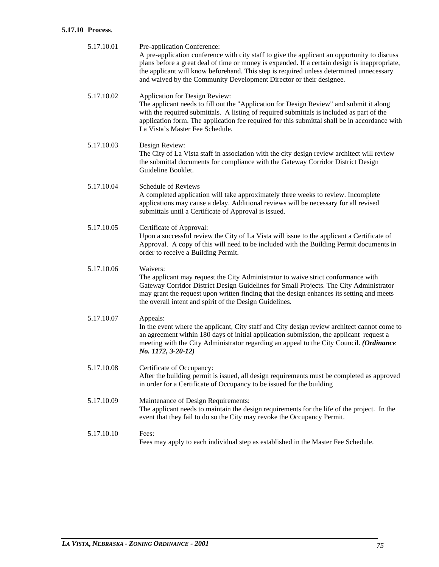| 5.17.10.01 | Pre-application Conference:<br>A pre-application conference with city staff to give the applicant an opportunity to discuss<br>plans before a great deal of time or money is expended. If a certain design is inappropriate,<br>the applicant will know beforehand. This step is required unless determined unnecessary<br>and waived by the Community Development Director or their designee. |
|------------|------------------------------------------------------------------------------------------------------------------------------------------------------------------------------------------------------------------------------------------------------------------------------------------------------------------------------------------------------------------------------------------------|
| 5.17.10.02 | Application for Design Review:<br>The applicant needs to fill out the "Application for Design Review" and submit it along<br>with the required submittals. A listing of required submittals is included as part of the<br>application form. The application fee required for this submittal shall be in accordance with<br>La Vista's Master Fee Schedule.                                     |
| 5.17.10.03 | Design Review:<br>The City of La Vista staff in association with the city design review architect will review<br>the submittal documents for compliance with the Gateway Corridor District Design<br>Guideline Booklet.                                                                                                                                                                        |
| 5.17.10.04 | <b>Schedule of Reviews</b><br>A completed application will take approximately three weeks to review. Incomplete<br>applications may cause a delay. Additional reviews will be necessary for all revised<br>submittals until a Certificate of Approval is issued.                                                                                                                               |
| 5.17.10.05 | Certificate of Approval:<br>Upon a successful review the City of La Vista will issue to the applicant a Certificate of<br>Approval. A copy of this will need to be included with the Building Permit documents in<br>order to receive a Building Permit.                                                                                                                                       |
| 5.17.10.06 | Waivers:<br>The applicant may request the City Administrator to waive strict conformance with<br>Gateway Corridor District Design Guidelines for Small Projects. The City Administrator<br>may grant the request upon written finding that the design enhances its setting and meets<br>the overall intent and spirit of the Design Guidelines.                                                |
| 5.17.10.07 | Appeals:<br>In the event where the applicant, City staff and City design review architect cannot come to<br>an agreement within 180 days of initial application submission, the applicant request a<br>meeting with the City Administrator regarding an appeal to the City Council. (Ordinance<br>No. 1172, 3-20-12)                                                                           |
| 5.17.10.08 | Certificate of Occupancy:<br>After the building permit is issued, all design requirements must be completed as approved<br>in order for a Certificate of Occupancy to be issued for the building                                                                                                                                                                                               |
| 5.17.10.09 | Maintenance of Design Requirements:<br>The applicant needs to maintain the design requirements for the life of the project. In the<br>event that they fail to do so the City may revoke the Occupancy Permit.                                                                                                                                                                                  |
| 5.17.10.10 | Fees:<br>Fees may apply to each individual step as established in the Master Fee Schedule.                                                                                                                                                                                                                                                                                                     |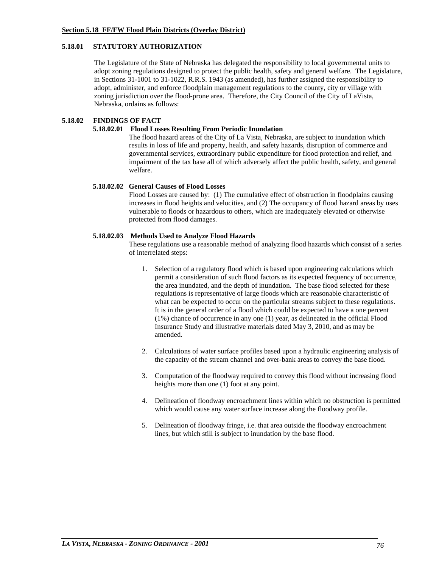### **5.18.01 STATUTORY AUTHORIZATION**

The Legislature of the State of Nebraska has delegated the responsibility to local governmental units to adopt zoning regulations designed to protect the public health, safety and general welfare. The Legislature, in Sections 31-1001 to 31-1022, R.R.S. 1943 (as amended), has further assigned the responsibility to adopt, administer, and enforce floodplain management regulations to the county, city or village with zoning jurisdiction over the flood-prone area. Therefore, the City Council of the City of LaVista, Nebraska, ordains as follows:

# **5.18.02 FINDINGS OF FACT**

#### **5.18.02.01 Flood Losses Resulting From Periodic Inundation**

The flood hazard areas of the City of La Vista, Nebraska, are subject to inundation which results in loss of life and property, health, and safety hazards, disruption of commerce and governmental services, extraordinary public expenditure for flood protection and relief, and impairment of the tax base all of which adversely affect the public health, safety, and general welfare.

# **5.18.02.02 General Causes of Flood Losses**

Flood Losses are caused by: (1) The cumulative effect of obstruction in floodplains causing increases in flood heights and velocities, and (2) The occupancy of flood hazard areas by uses vulnerable to floods or hazardous to others, which are inadequately elevated or otherwise protected from flood damages.

#### **5.18.02.03 Methods Used to Analyze Flood Hazards**

These regulations use a reasonable method of analyzing flood hazards which consist of a series of interrelated steps:

- 1. Selection of a regulatory flood which is based upon engineering calculations which permit a consideration of such flood factors as its expected frequency of occurrence, the area inundated, and the depth of inundation. The base flood selected for these regulations is representative of large floods which are reasonable characteristic of what can be expected to occur on the particular streams subject to these regulations. It is in the general order of a flood which could be expected to have a one percent (1%) chance of occurrence in any one (1) year, as delineated in the official Flood Insurance Study and illustrative materials dated May 3, 2010, and as may be amended.
- 2. Calculations of water surface profiles based upon a hydraulic engineering analysis of the capacity of the stream channel and over-bank areas to convey the base flood.
- 3. Computation of the floodway required to convey this flood without increasing flood heights more than one (1) foot at any point.
- 4. Delineation of floodway encroachment lines within which no obstruction is permitted which would cause any water surface increase along the floodway profile.
- 5. Delineation of floodway fringe, i.e. that area outside the floodway encroachment lines, but which still is subject to inundation by the base flood.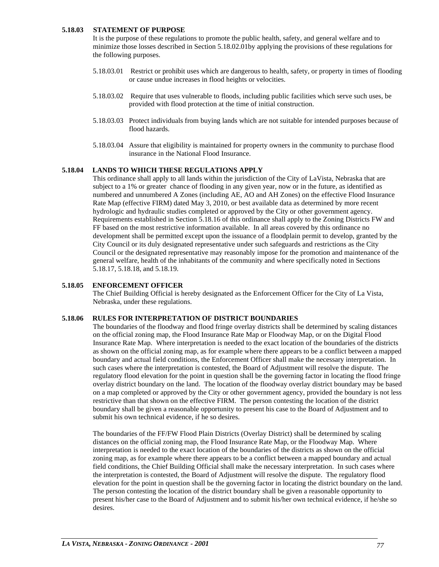#### **5.18.03 STATEMENT OF PURPOSE**

It is the purpose of these regulations to promote the public health, safety, and general welfare and to minimize those losses described in Section 5.18.02.01by applying the provisions of these regulations for the following purposes.

- 5.18.03.01 Restrict or prohibit uses which are dangerous to health, safety, or property in times of flooding or cause undue increases in flood heights or velocities.
- 5.18.03.02 Require that uses vulnerable to floods, including public facilities which serve such uses, be provided with flood protection at the time of initial construction.
- 5.18.03.03 Protect individuals from buying lands which are not suitable for intended purposes because of flood hazards.
- 5.18.03.04 Assure that eligibility is maintained for property owners in the community to purchase flood insurance in the National Flood Insurance.

#### **5.18.04 LANDS TO WHICH THESE REGULATIONS APPLY**

This ordinance shall apply to all lands within the jurisdiction of the City of LaVista, Nebraska that are subject to a 1% or greater chance of flooding in any given year, now or in the future, as identified as numbered and unnumbered A Zones (including AE, AO and AH Zones) on the effective Flood Insurance Rate Map (effective FIRM) dated May 3, 2010, or best available data as determined by more recent hydrologic and hydraulic studies completed or approved by the City or other government agency. Requirements established in Section 5.18.16 of this ordinance shall apply to the Zoning Districts FW and FF based on the most restrictive information available. In all areas covered by this ordinance no development shall be permitted except upon the issuance of a floodplain permit to develop, granted by the City Council or its duly designated representative under such safeguards and restrictions as the City Council or the designated representative may reasonably impose for the promotion and maintenance of the general welfare, health of the inhabitants of the community and where specifically noted in Sections 5.18.17, 5.18.18, and 5.18.19.

#### **5.18.05 ENFORCEMENT OFFICER**

The Chief Building Official is hereby designated as the Enforcement Officer for the City of La Vista, Nebraska, under these regulations.

#### **5.18.06 RULES FOR INTERPRETATION OF DISTRICT BOUNDARIES**

The boundaries of the floodway and flood fringe overlay districts shall be determined by scaling distances on the official zoning map, the Flood Insurance Rate Map or Floodway Map, or on the Digital Flood Insurance Rate Map. Where interpretation is needed to the exact location of the boundaries of the districts as shown on the official zoning map, as for example where there appears to be a conflict between a mapped boundary and actual field conditions, the Enforcement Officer shall make the necessary interpretation. In such cases where the interpretation is contested, the Board of Adjustment will resolve the dispute. The regulatory flood elevation for the point in question shall be the governing factor in locating the flood fringe overlay district boundary on the land. The location of the floodway overlay district boundary may be based on a map completed or approved by the City or other government agency, provided the boundary is not less restrictive than that shown on the effective FIRM. The person contesting the location of the district boundary shall be given a reasonable opportunity to present his case to the Board of Adjustment and to submit his own technical evidence, if he so desires.

The boundaries of the FF/FW Flood Plain Districts (Overlay District) shall be determined by scaling distances on the official zoning map, the Flood Insurance Rate Map, or the Floodway Map. Where interpretation is needed to the exact location of the boundaries of the districts as shown on the official zoning map, as for example where there appears to be a conflict between a mapped boundary and actual field conditions, the Chief Building Official shall make the necessary interpretation. In such cases where the interpretation is contested, the Board of Adjustment will resolve the dispute. The regulatory flood elevation for the point in question shall be the governing factor in locating the district boundary on the land. The person contesting the location of the district boundary shall be given a reasonable opportunity to present his/her case to the Board of Adjustment and to submit his/her own technical evidence, if he/she so desires.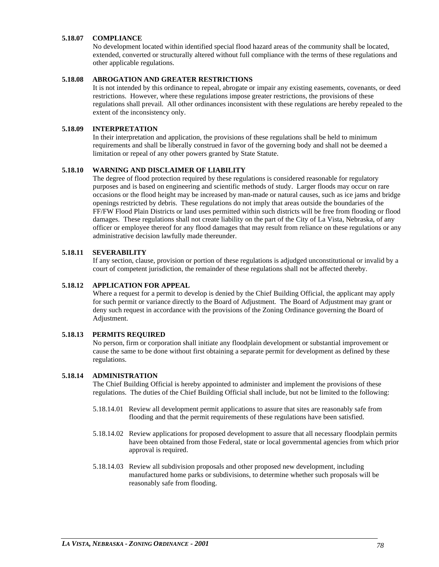#### **5.18.07 COMPLIANCE**

No development located within identified special flood hazard areas of the community shall be located, extended, converted or structurally altered without full compliance with the terms of these regulations and other applicable regulations.

#### **5.18.08 ABROGATION AND GREATER RESTRICTIONS**

It is not intended by this ordinance to repeal, abrogate or impair any existing easements, covenants, or deed restrictions. However, where these regulations impose greater restrictions, the provisions of these regulations shall prevail. All other ordinances inconsistent with these regulations are hereby repealed to the extent of the inconsistency only.

#### **5.18.09 INTERPRETATION**

In their interpretation and application, the provisions of these regulations shall be held to minimum requirements and shall be liberally construed in favor of the governing body and shall not be deemed a limitation or repeal of any other powers granted by State Statute.

#### **5.18.10 WARNING AND DISCLAIMER OF LIABILITY**

The degree of flood protection required by these regulations is considered reasonable for regulatory purposes and is based on engineering and scientific methods of study. Larger floods may occur on rare occasions or the flood height may be increased by man-made or natural causes, such as ice jams and bridge openings restricted by debris. These regulations do not imply that areas outside the boundaries of the FF/FW Flood Plain Districts or land uses permitted within such districts will be free from flooding or flood damages. These regulations shall not create liability on the part of the City of La Vista, Nebraska, of any officer or employee thereof for any flood damages that may result from reliance on these regulations or any administrative decision lawfully made thereunder.

#### **5.18.11 SEVERABILITY**

If any section, clause, provision or portion of these regulations is adjudged unconstitutional or invalid by a court of competent jurisdiction, the remainder of these regulations shall not be affected thereby.

#### **5.18.12 APPLICATION FOR APPEAL**

Where a request for a permit to develop is denied by the Chief Building Official, the applicant may apply for such permit or variance directly to the Board of Adjustment. The Board of Adjustment may grant or deny such request in accordance with the provisions of the Zoning Ordinance governing the Board of Adjustment.

#### **5.18.13 PERMITS REQUIRED**

No person, firm or corporation shall initiate any floodplain development or substantial improvement or cause the same to be done without first obtaining a separate permit for development as defined by these regulations.

#### **5.18.14 ADMINISTRATION**

The Chief Building Official is hereby appointed to administer and implement the provisions of these regulations. The duties of the Chief Building Official shall include, but not be limited to the following:

- 5.18.14.01 Review all development permit applications to assure that sites are reasonably safe from flooding and that the permit requirements of these regulations have been satisfied.
- 5.18.14.02 Review applications for proposed development to assure that all necessary floodplain permits have been obtained from those Federal, state or local governmental agencies from which prior approval is required.
- 5.18.14.03 Review all subdivision proposals and other proposed new development, including manufactured home parks or subdivisions, to determine whether such proposals will be reasonably safe from flooding.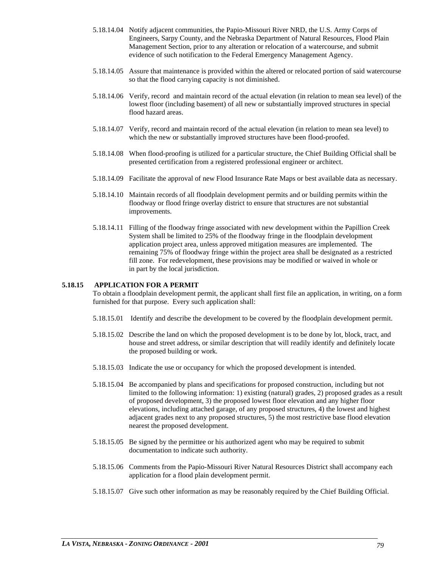- 5.18.14.04 Notify adjacent communities, the Papio-Missouri River NRD, the U.S. Army Corps of Engineers, Sarpy County, and the Nebraska Department of Natural Resources, Flood Plain Management Section, prior to any alteration or relocation of a watercourse, and submit evidence of such notification to the Federal Emergency Management Agency.
- 5.18.14.05 Assure that maintenance is provided within the altered or relocated portion of said watercourse so that the flood carrying capacity is not diminished.
- 5.18.14.06 Verify, record and maintain record of the actual elevation (in relation to mean sea level) of the lowest floor (including basement) of all new or substantially improved structures in special flood hazard areas.
- 5.18.14.07 Verify, record and maintain record of the actual elevation (in relation to mean sea level) to which the new or substantially improved structures have been flood-proofed.
- 5.18.14.08 When flood-proofing is utilized for a particular structure, the Chief Building Official shall be presented certification from a registered professional engineer or architect.
- 5.18.14.09 Facilitate the approval of new Flood Insurance Rate Maps or best available data as necessary.
- 5.18.14.10 Maintain records of all floodplain development permits and or building permits within the floodway or flood fringe overlay district to ensure that structures are not substantial improvements.
- 5.18.14.11 Filling of the floodway fringe associated with new development within the Papillion Creek System shall be limited to 25% of the floodway fringe in the floodplain development application project area, unless approved mitigation measures are implemented. The remaining 75% of floodway fringe within the project area shall be designated as a restricted fill zone. For redevelopment, these provisions may be modified or waived in whole or in part by the local jurisdiction.

#### **5.18.15 APPLICATION FOR A PERMIT**

To obtain a floodplain development permit, the applicant shall first file an application, in writing, on a form furnished for that purpose. Every such application shall:

- 5.18.15.01 Identify and describe the development to be covered by the floodplain development permit.
- 5.18.15.02 Describe the land on which the proposed development is to be done by lot, block, tract, and house and street address, or similar description that will readily identify and definitely locate the proposed building or work.
- 5.18.15.03 Indicate the use or occupancy for which the proposed development is intended.
- 5.18.15.04 Be accompanied by plans and specifications for proposed construction, including but not limited to the following information: 1) existing (natural) grades, 2) proposed grades as a result of proposed development, 3) the proposed lowest floor elevation and any higher floor elevations, including attached garage, of any proposed structures, 4) the lowest and highest adjacent grades next to any proposed structures, 5) the most restrictive base flood elevation nearest the proposed development.
- 5.18.15.05 Be signed by the permittee or his authorized agent who may be required to submit documentation to indicate such authority.
- 5.18.15.06 Comments from the Papio-Missouri River Natural Resources District shall accompany each application for a flood plain development permit.
- 5.18.15.07 Give such other information as may be reasonably required by the Chief Building Official.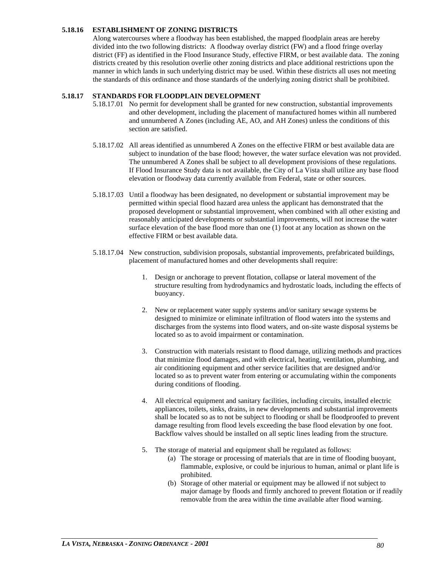#### **5.18.16 ESTABLISHMENT OF ZONING DISTRICTS**

Along watercourses where a floodway has been established, the mapped floodplain areas are hereby divided into the two following districts: A floodway overlay district (FW) and a flood fringe overlay district (FF) as identified in the Flood Insurance Study, effective FIRM, or best available data. The zoning districts created by this resolution overlie other zoning districts and place additional restrictions upon the manner in which lands in such underlying district may be used. Within these districts all uses not meeting the standards of this ordinance and those standards of the underlying zoning district shall be prohibited.

### **5.18.17 STANDARDS FOR FLOODPLAIN DEVELOPMENT**

- 5.18.17.01 No permit for development shall be granted for new construction, substantial improvements and other development, including the placement of manufactured homes within all numbered and unnumbered A Zones (including AE, AO, and AH Zones) unless the conditions of this section are satisfied.
- 5.18.17.02 All areas identified as unnumbered A Zones on the effective FIRM or best available data are subject to inundation of the base flood; however, the water surface elevation was not provided. The unnumbered A Zones shall be subject to all development provisions of these regulations. If Flood Insurance Study data is not available, the City of La Vista shall utilize any base flood elevation or floodway data currently available from Federal, state or other sources.
- 5.18.17.03 Until a floodway has been designated, no development or substantial improvement may be permitted within special flood hazard area unless the applicant has demonstrated that the proposed development or substantial improvement, when combined with all other existing and reasonably anticipated developments or substantial improvements, will not increase the water surface elevation of the base flood more than one (1) foot at any location as shown on the effective FIRM or best available data.
- 5.18.17.04 New construction, subdivision proposals, substantial improvements, prefabricated buildings, placement of manufactured homes and other developments shall require:
	- 1. Design or anchorage to prevent flotation, collapse or lateral movement of the structure resulting from hydrodynamics and hydrostatic loads, including the effects of buoyancy.
	- 2. New or replacement water supply systems and/or sanitary sewage systems be designed to minimize or eliminate infiltration of flood waters into the systems and discharges from the systems into flood waters, and on-site waste disposal systems be located so as to avoid impairment or contamination.
	- 3. Construction with materials resistant to flood damage, utilizing methods and practices that minimize flood damages, and with electrical, heating, ventilation, plumbing, and air conditioning equipment and other service facilities that are designed and/or located so as to prevent water from entering or accumulating within the components during conditions of flooding.
	- 4. All electrical equipment and sanitary facilities, including circuits, installed electric appliances, toilets, sinks, drains, in new developments and substantial improvements shall be located so as to not be subject to flooding or shall be floodproofed to prevent damage resulting from flood levels exceeding the base flood elevation by one foot. Backflow valves should be installed on all septic lines leading from the structure.
	- 5. The storage of material and equipment shall be regulated as follows:
		- (a) The storage or processing of materials that are in time of flooding buoyant, flammable, explosive, or could be injurious to human, animal or plant life is prohibited.
		- (b) Storage of other material or equipment may be allowed if not subject to major damage by floods and firmly anchored to prevent flotation or if readily removable from the area within the time available after flood warning.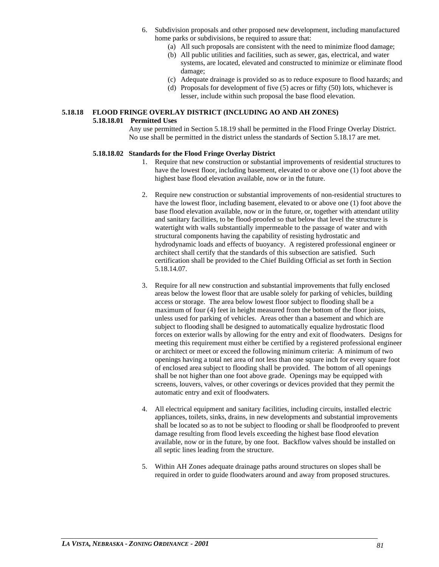- 6. Subdivision proposals and other proposed new development, including manufactured home parks or subdivisions, be required to assure that:
	- (a) All such proposals are consistent with the need to minimize flood damage;
	- (b) All public utilities and facilities, such as sewer, gas, electrical, and water systems, are located, elevated and constructed to minimize or eliminate flood damage;
	- (c) Adequate drainage is provided so as to reduce exposure to flood hazards; and
	- (d) Proposals for development of five (5) acres or fifty (50) lots, whichever is lesser, include within such proposal the base flood elevation.

# **5.18.18 FLOOD FRINGE OVERLAY DISTRICT (INCLUDING AO AND AH ZONES) 5.18.18.01 Permitted Uses**

Any use permitted in Section 5.18.19 shall be permitted in the Flood Fringe Overlay District. No use shall be permitted in the district unless the standards of Section 5.18.17 are met.

#### **5.18.18.02 Standards for the Flood Fringe Overlay District**

- 1. Require that new construction or substantial improvements of residential structures to have the lowest floor, including basement, elevated to or above one (1) foot above the highest base flood elevation available, now or in the future.
- 2. Require new construction or substantial improvements of non-residential structures to have the lowest floor, including basement, elevated to or above one (1) foot above the base flood elevation available, now or in the future, or, together with attendant utility and sanitary facilities, to be flood-proofed so that below that level the structure is watertight with walls substantially impermeable to the passage of water and with structural components having the capability of resisting hydrostatic and hydrodynamic loads and effects of buoyancy. A registered professional engineer or architect shall certify that the standards of this subsection are satisfied. Such certification shall be provided to the Chief Building Official as set forth in Section 5.18.14.07.
- 3. Require for all new construction and substantial improvements that fully enclosed areas below the lowest floor that are usable solely for parking of vehicles, building access or storage. The area below lowest floor subject to flooding shall be a maximum of four (4) feet in height measured from the bottom of the floor joists, unless used for parking of vehicles. Areas other than a basement and which are subject to flooding shall be designed to automatically equalize hydrostatic flood forces on exterior walls by allowing for the entry and exit of floodwaters. Designs for meeting this requirement must either be certified by a registered professional engineer or architect or meet or exceed the following minimum criteria: A minimum of two openings having a total net area of not less than one square inch for every square foot of enclosed area subject to flooding shall be provided. The bottom of all openings shall be not higher than one foot above grade. Openings may be equipped with screens, louvers, valves, or other coverings or devices provided that they permit the automatic entry and exit of floodwaters.
- 4. All electrical equipment and sanitary facilities, including circuits, installed electric appliances, toilets, sinks, drains, in new developments and substantial improvements shall be located so as to not be subject to flooding or shall be floodproofed to prevent damage resulting from flood levels exceeding the highest base flood elevation available, now or in the future, by one foot. Backflow valves should be installed on all septic lines leading from the structure.
- 5. Within AH Zones adequate drainage paths around structures on slopes shall be required in order to guide floodwaters around and away from proposed structures.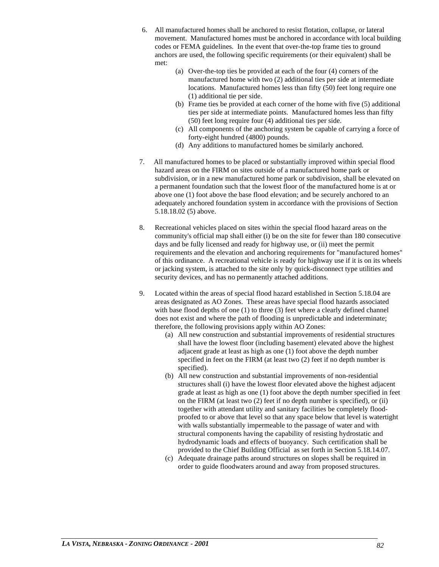- 6. All manufactured homes shall be anchored to resist flotation, collapse, or lateral movement. Manufactured homes must be anchored in accordance with local building codes or FEMA guidelines. In the event that over-the-top frame ties to ground anchors are used, the following specific requirements (or their equivalent) shall be met:
	- (a) Over-the-top ties be provided at each of the four (4) corners of the manufactured home with two (2) additional ties per side at intermediate locations. Manufactured homes less than fifty (50) feet long require one (1) additional tie per side.
	- (b) Frame ties be provided at each corner of the home with five (5) additional ties per side at intermediate points. Manufactured homes less than fifty (50) feet long require four (4) additional ties per side.
	- (c) All components of the anchoring system be capable of carrying a force of forty-eight hundred (4800) pounds.
	- (d) Any additions to manufactured homes be similarly anchored.
- 7. All manufactured homes to be placed or substantially improved within special flood hazard areas on the FIRM on sites outside of a manufactured home park or subdivision, or in a new manufactured home park or subdivision, shall be elevated on a permanent foundation such that the lowest floor of the manufactured home is at or above one (1) foot above the base flood elevation; and be securely anchored to an adequately anchored foundation system in accordance with the provisions of Section 5.18.18.02 (5) above.
- 8. Recreational vehicles placed on sites within the special flood hazard areas on the community's official map shall either (i) be on the site for fewer than 180 consecutive days and be fully licensed and ready for highway use, or (ii) meet the permit requirements and the elevation and anchoring requirements for "manufactured homes" of this ordinance. A recreational vehicle is ready for highway use if it is on its wheels or jacking system, is attached to the site only by quick-disconnect type utilities and security devices, and has no permanently attached additions.
- 9. Located within the areas of special flood hazard established in Section 5.18.04 are areas designated as AO Zones. These areas have special flood hazards associated with base flood depths of one  $(1)$  to three  $(3)$  feet where a clearly defined channel does not exist and where the path of flooding is unpredictable and indeterminate; therefore, the following provisions apply within AO Zones:
	- (a) All new construction and substantial improvements of residential structures shall have the lowest floor (including basement) elevated above the highest adjacent grade at least as high as one (1) foot above the depth number specified in feet on the FIRM (at least two (2) feet if no depth number is specified).
	- (b) All new construction and substantial improvements of non-residential structures shall (i) have the lowest floor elevated above the highest adjacent grade at least as high as one (1) foot above the depth number specified in feet on the FIRM (at least two (2) feet if no depth number is specified), or (ii) together with attendant utility and sanitary facilities be completely floodproofed to or above that level so that any space below that level is watertight with walls substantially impermeable to the passage of water and with structural components having the capability of resisting hydrostatic and hydrodynamic loads and effects of buoyancy. Such certification shall be provided to the Chief Building Official as set forth in Section 5.18.14.07.
	- (c) Adequate drainage paths around structures on slopes shall be required in order to guide floodwaters around and away from proposed structures.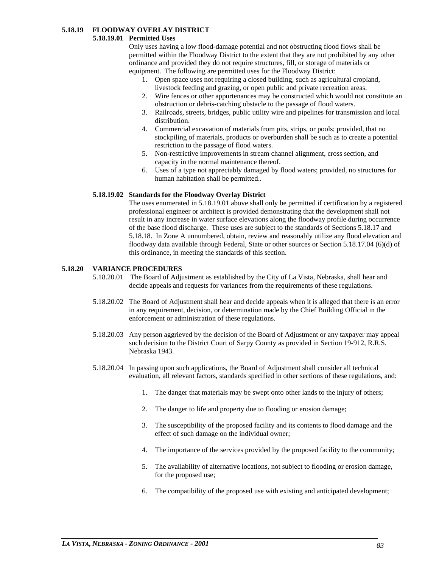# **5.18.19 FLOODWAY OVERLAY DISTRICT**

#### **5.18.19.01 Permitted Uses**

Only uses having a low flood-damage potential and not obstructing flood flows shall be permitted within the Floodway District to the extent that they are not prohibited by any other ordinance and provided they do not require structures, fill, or storage of materials or equipment. The following are permitted uses for the Floodway District:

- 1. Open space uses not requiring a closed building, such as agricultural cropland, livestock feeding and grazing, or open public and private recreation areas.
- 2. Wire fences or other appurtenances may be constructed which would not constitute an obstruction or debris-catching obstacle to the passage of flood waters.
- 3. Railroads, streets, bridges, public utility wire and pipelines for transmission and local distribution.
- 4. Commercial excavation of materials from pits, strips, or pools; provided, that no stockpiling of materials, products or overburden shall be such as to create a potential restriction to the passage of flood waters.
- 5. Non-restrictive improvements in stream channel alignment, cross section, and capacity in the normal maintenance thereof.
- 6. Uses of a type not appreciably damaged by flood waters; provided, no structures for human habitation shall be permitted..

#### **5.18.19.02 Standards for the Floodway Overlay District**

The uses enumerated in 5.18.19.01 above shall only be permitted if certification by a registered professional engineer or architect is provided demonstrating that the development shall not result in any increase in water surface elevations along the floodway profile during occurrence of the base flood discharge. These uses are subject to the standards of Sections 5.18.17 and 5.18.18. In Zone A unnumbered, obtain, review and reasonably utilize any flood elevation and floodway data available through Federal, State or other sources or Section 5.18.17.04 (6)(d) of this ordinance, in meeting the standards of this section.

#### **5.18.20 VARIANCE PROCEDURES**

- 5.18.20.01 The Board of Adjustment as established by the City of La Vista, Nebraska, shall hear and decide appeals and requests for variances from the requirements of these regulations.
- 5.18.20.02 The Board of Adjustment shall hear and decide appeals when it is alleged that there is an error in any requirement, decision, or determination made by the Chief Building Official in the enforcement or administration of these regulations.
- 5.18.20.03 Any person aggrieved by the decision of the Board of Adjustment or any taxpayer may appeal such decision to the District Court of Sarpy County as provided in Section 19-912, R.R.S. Nebraska 1943.
- 5.18.20.04 In passing upon such applications, the Board of Adjustment shall consider all technical evaluation, all relevant factors, standards specified in other sections of these regulations, and:
	- 1. The danger that materials may be swept onto other lands to the injury of others;
	- 2. The danger to life and property due to flooding or erosion damage;
	- 3. The susceptibility of the proposed facility and its contents to flood damage and the effect of such damage on the individual owner;
	- 4. The importance of the services provided by the proposed facility to the community;
	- 5. The availability of alternative locations, not subject to flooding or erosion damage, for the proposed use;
	- 6. The compatibility of the proposed use with existing and anticipated development;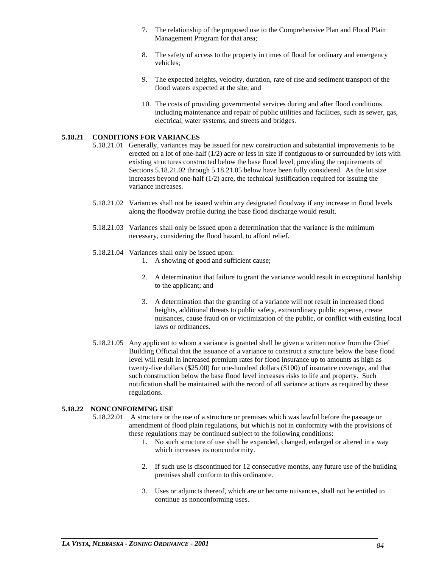- 7. The relationship of the proposed use to the Comprehensive Plan and Flood Plain Management Program for that area;
- 8. The safety of access to the property in times of flood for ordinary and emergency vehicles;
- 9. The expected heights, velocity, duration, rate of rise and sediment transport of the flood waters expected at the site; and
- 10. The costs of providing governmental services during and after flood conditions including maintenance and repair of public utilities and facilities, such as sewer, gas, electrical, water systems, and streets and bridges.

#### **5.18.21 CONDITIONS FOR VARIANCES**

- 5.18.21.01 Generally, variances may be issued for new construction and substantial improvements to be erected on a lot of one-half (1/2) acre or less in size if contiguous to or surrounded by lots with existing structures constructed below the base flood level, providing the requirements of Sections 5.18.21.02 through 5.18.21.05 below have been fully considered. As the lot size increases beyond one-half  $(1/2)$  acre, the technical justification required for issuing the variance increases.
- 5.18.21.02 Variances shall not be issued within any designated floodway if any increase in flood levels along the floodway profile during the base flood discharge would result.
- 5.18.21.03 Variances shall only be issued upon a determination that the variance is the minimum necessary, considering the flood hazard, to afford relief.
- 5.18.21.04 Variances shall only be issued upon:
	- 1. A showing of good and sufficient cause;
	- 2. A determination that failure to grant the variance would result in exceptional hardship to the applicant; and
	- 3. A determination that the granting of a variance will not result in increased flood heights, additional threats to public safety, extraordinary public expense, create nuisances, cause fraud on or victimization of the public, or conflict with existing local laws or ordinances.
- 5.18.21.05 Any applicant to whom a variance is granted shall be given a written notice from the Chief Building Official that the issuance of a variance to construct a structure below the base flood level will result in increased premium rates for flood insurance up to amounts as high as twenty-five dollars (\$25.00) for one-hundred dollars (\$100) of insurance coverage, and that such construction below the base flood level increases risks to life and property. Such notification shall be maintained with the record of all variance actions as required by these regulations.

#### **5.18.22 NONCONFORMING USE**

- 5.18.22.01 A structure or the use of a structure or premises which was lawful before the passage or amendment of flood plain regulations, but which is not in conformity with the provisions of these regulations may be continued subject to the following conditions:
	- 1. No such structure of use shall be expanded, changed, enlarged or altered in a way which increases its nonconformity.
	- 2. If such use is discontinued for 12 consecutive months, any future use of the building premises shall conform to this ordinance.
	- 3. Uses or adjuncts thereof, which are or become nuisances, shall not be entitled to continue as nonconforming uses.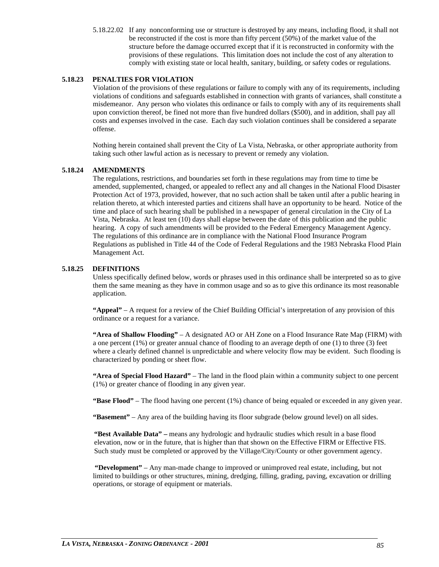5.18.22.02 If any nonconforming use or structure is destroyed by any means, including flood, it shall not be reconstructed if the cost is more than fifty percent (50%) of the market value of the structure before the damage occurred except that if it is reconstructed in conformity with the provisions of these regulations. This limitation does not include the cost of any alteration to comply with existing state or local health, sanitary, building, or safety codes or regulations.

### **5.18.23 PENALTIES FOR VIOLATION**

Violation of the provisions of these regulations or failure to comply with any of its requirements, including violations of conditions and safeguards established in connection with grants of variances, shall constitute a misdemeanor. Any person who violates this ordinance or fails to comply with any of its requirements shall upon conviction thereof, be fined not more than five hundred dollars (\$500), and in addition, shall pay all costs and expenses involved in the case. Each day such violation continues shall be considered a separate offense.

Nothing herein contained shall prevent the City of La Vista, Nebraska, or other appropriate authority from taking such other lawful action as is necessary to prevent or remedy any violation.

#### **5.18.24 AMENDMENTS**

The regulations, restrictions, and boundaries set forth in these regulations may from time to time be amended, supplemented, changed, or appealed to reflect any and all changes in the National Flood Disaster Protection Act of 1973, provided, however, that no such action shall be taken until after a public hearing in relation thereto, at which interested parties and citizens shall have an opportunity to be heard. Notice of the time and place of such hearing shall be published in a newspaper of general circulation in the City of La Vista, Nebraska. At least ten (10) days shall elapse between the date of this publication and the public hearing. A copy of such amendments will be provided to the Federal Emergency Management Agency. The regulations of this ordinance are in compliance with the National Flood Insurance Program Regulations as published in Title 44 of the Code of Federal Regulations and the 1983 Nebraska Flood Plain Management Act.

#### **5.18.25 DEFINITIONS**

Unless specifically defined below, words or phrases used in this ordinance shall be interpreted so as to give them the same meaning as they have in common usage and so as to give this ordinance its most reasonable application.

**"Appeal"** – A request for a review of the Chief Building Official's interpretation of any provision of this ordinance or a request for a variance.

**"Area of Shallow Flooding"** – A designated AO or AH Zone on a Flood Insurance Rate Map (FIRM) with a one percent (1%) or greater annual chance of flooding to an average depth of one (1) to three (3) feet where a clearly defined channel is unpredictable and where velocity flow may be evident. Such flooding is characterized by ponding or sheet flow.

**"Area of Special Flood Hazard"** – The land in the flood plain within a community subject to one percent (1%) or greater chance of flooding in any given year.

**"Base Flood"** – The flood having one percent (1%) chance of being equaled or exceeded in any given year.

**"Basement"** – Any area of the building having its floor subgrade (below ground level) on all sides.

**"Best Available Data" –** means any hydrologic and hydraulic studies which result in a base flood elevation, now or in the future, that is higher than that shown on the Effective FIRM or Effective FIS. Such study must be completed or approved by the Village/City/County or other government agency.

**"Development"** – Any man-made change to improved or unimproved real estate, including, but not limited to buildings or other structures, mining, dredging, filling, grading, paving, excavation or drilling operations, or storage of equipment or materials.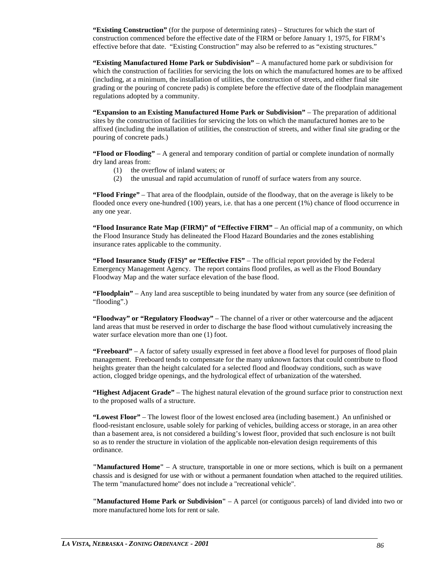**"Existing Construction"** (for the purpose of determining rates) – Structures for which the start of construction commenced before the effective date of the FIRM or before January 1, 1975, for FIRM's effective before that date. "Existing Construction" may also be referred to as "existing structures."

**"Existing Manufactured Home Park or Subdivision"** – A manufactured home park or subdivision for which the construction of facilities for servicing the lots on which the manufactured homes are to be affixed (including, at a minimum, the installation of utilities, the construction of streets, and either final site grading or the pouring of concrete pads) is complete before the effective date of the floodplain management regulations adopted by a community.

**"Expansion to an Existing Manufactured Home Park or Subdivision"** – The preparation of additional sites by the construction of facilities for servicing the lots on which the manufactured homes are to be affixed (including the installation of utilities, the construction of streets, and wither final site grading or the pouring of concrete pads.)

**"Flood or Flooding"** – A general and temporary condition of partial or complete inundation of normally dry land areas from:

- (1) the overflow of inland waters; or
- (2) the unusual and rapid accumulation of runoff of surface waters from any source.

**"Flood Fringe"** – That area of the floodplain, outside of the floodway, that on the average is likely to be flooded once every one-hundred (100) years, i.e. that has a one percent (1%) chance of flood occurrence in any one year.

**"Flood Insurance Rate Map (FIRM)" of "Effective FIRM"** – An official map of a community, on which the Flood Insurance Study has delineated the Flood Hazard Boundaries and the zones establishing insurance rates applicable to the community.

**"Flood Insurance Study (FIS)" or "Effective FIS"** – The official report provided by the Federal Emergency Management Agency. The report contains flood profiles, as well as the Flood Boundary Floodway Map and the water surface elevation of the base flood.

**"Floodplain"** – Any land area susceptible to being inundated by water from any source (see definition of "flooding".)

**"Floodway" or "Regulatory Floodway"** – The channel of a river or other watercourse and the adjacent land areas that must be reserved in order to discharge the base flood without cumulatively increasing the water surface elevation more than one  $(1)$  foot.

**"Freeboard"** – A factor of safety usually expressed in feet above a flood level for purposes of flood plain management. Freeboard tends to compensate for the many unknown factors that could contribute to flood heights greater than the height calculated for a selected flood and floodway conditions, such as wave action, clogged bridge openings, and the hydrological effect of urbanization of the watershed.

**"Highest Adjacent Grade"** – The highest natural elevation of the ground surface prior to construction next to the proposed walls of a structure.

**"Lowest Floor"** – The lowest floor of the lowest enclosed area (including basement.) An unfinished or flood-resistant enclosure, usable solely for parking of vehicles, building access or storage, in an area other than a basement area, is not considered a building's lowest floor, provided that such enclosure is not built so as to render the structure in violation of the applicable non-elevation design requirements of this ordinance.

**"Manufactured Home"** – A structure, transportable in one or more sections, which is built on a permanent chassis and is designed for use with or without a permanent foundation when attached to the required utilities. The term "manufactured home" does not include a "recreational vehicle".

**"Manufactured Home Park or Subdivision"** – A parcel (or contiguous parcels) of land divided into two or more manufactured home lots for rent or sale.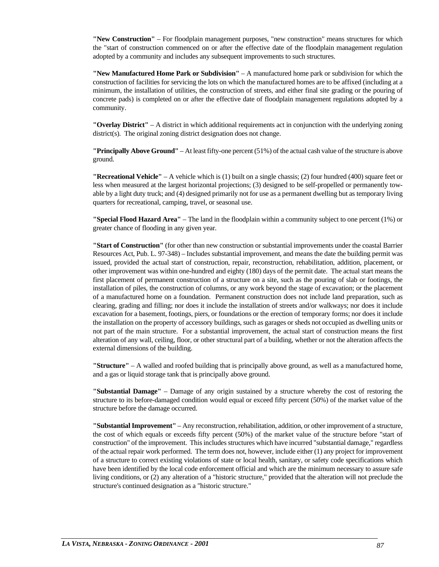**"New Construction"** – For floodplain management purposes, "new construction" means structures for which the "start of construction commenced on or after the effective date of the floodplain management regulation adopted by a community and includes any subsequent improvements to such structures.

**"New Manufactured Home Park or Subdivision"** – A manufactured home park or subdivision for which the construction of facilities for servicing the lots on which the manufactured homes are to be affixed (including at a minimum, the installation of utilities, the construction of streets, and either final site grading or the pouring of concrete pads) is completed on or after the effective date of floodplain management regulations adopted by a community.

**"Overlay District"** – A district in which additional requirements act in conjunction with the underlying zoning district(s). The original zoning district designation does not change.

**"Principally Above Ground"** – At least fifty-one percent (51%) of the actual cash value of the structure is above ground.

**"Recreational Vehicle"** – A vehicle which is (1) built on a single chassis; (2) four hundred (400) square feet or less when measured at the largest horizontal projections; (3) designed to be self-propelled or permanently towable by a light duty truck; and (4) designed primarily not for use as a permanent dwelling but as temporary living quarters for recreational, camping, travel, or seasonal use.

**"Special Flood Hazard Area"** – The land in the floodplain within a community subject to one percent (1%) or greater chance of flooding in any given year.

**"Start of Construction"** (for other than new construction or substantial improvements under the coastal Barrier Resources Act, Pub. L. 97-348) – Includes substantial improvement, and means the date the building permit was issued, provided the actual start of construction, repair, reconstruction, rehabilitation, addition, placement, or other improvement was within one-hundred and eighty (180) days of the permit date. The actual start means the first placement of permanent construction of a structure on a site, such as the pouring of slab or footings, the installation of piles, the construction of columns, or any work beyond the stage of excavation; or the placement of a manufactured home on a foundation. Permanent construction does not include land preparation, such as clearing, grading and filling; nor does it include the installation of streets and/or walkways; nor does it include excavation for a basement, footings, piers, or foundations or the erection of temporary forms; nor does it include the installation on the property of accessory buildings, such as garages or sheds not occupied as dwelling units or not part of the main structure. For a substantial improvement, the actual start of construction means the first alteration of any wall, ceiling, floor, or other structural part of a building, whether or not the alteration affects the external dimensions of the building.

**"Structure"** – A walled and roofed building that is principally above ground, as well as a manufactured home, and a gas or liquid storage tank that is principally above ground.

**"Substantial Damage"** – Damage of any origin sustained by a structure whereby the cost of restoring the structure to its before-damaged condition would equal or exceed fifty percent (50%) of the market value of the structure before the damage occurred.

**"Substantial Improvement"** – Any reconstruction, rehabilitation, addition, or other improvement of a structure, the cost of which equals or exceeds fifty percent (50%) of the market value of the structure before "start of construction" of the improvement. This includes structures which have incurred "substantial damage," regardless of the actual repair work performed. The term does not, however, include either (1) any project for improvement of a structure to correct existing violations of state or local health, sanitary, or safety code specifications which have been identified by the local code enforcement official and which are the minimum necessary to assure safe living conditions, or (2) any alteration of a "historic structure," provided that the alteration will not preclude the structure's continued designation as a "historic structure."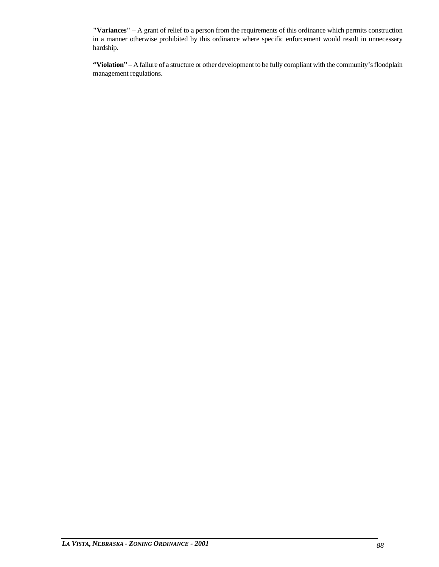**"Variances"** – A grant of relief to a person from the requirements of this ordinance which permits construction in a manner otherwise prohibited by this ordinance where specific enforcement would result in unnecessary hardship.

**"Violation"** – A failure of a structure or other development to be fully compliant with the community's floodplain management regulations.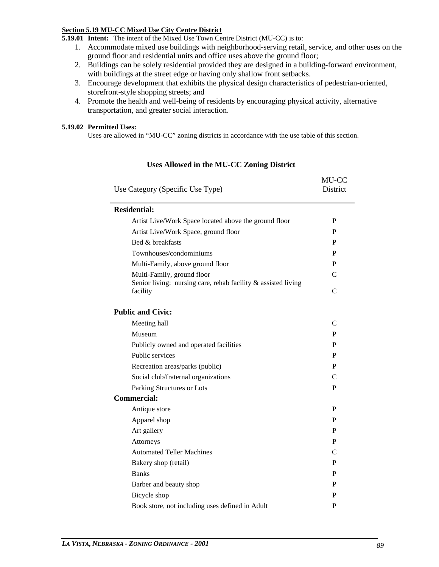# **Section 5.19 MU-CC Mixed Use City Centre District**

- **5.19.01 Intent:** The intent of the Mixed Use Town Centre District (MU-CC) is to:
	- 1. Accommodate mixed use buildings with neighborhood-serving retail, service, and other uses on the ground floor and residential units and office uses above the ground floor;
	- 2. Buildings can be solely residential provided they are designed in a building-forward environment, with buildings at the street edge or having only shallow front setbacks.
	- 3. Encourage development that exhibits the physical design characteristics of pedestrian-oriented, storefront-style shopping streets; and
	- 4. Promote the health and well-being of residents by encouraging physical activity, alternative transportation, and greater social interaction.

# **5.19.02 Permitted Uses:**

Uses are allowed in "MU-CC" zoning districts in accordance with the use table of this section.

| Use Category (Specific Use Type)                                          | MU-CC<br><b>District</b> |
|---------------------------------------------------------------------------|--------------------------|
| <b>Residential:</b>                                                       |                          |
| Artist Live/Work Space located above the ground floor                     | P                        |
| Artist Live/Work Space, ground floor                                      | P                        |
| Bed & breakfasts                                                          | P                        |
| Townhouses/condominiums                                                   | P                        |
| Multi-Family, above ground floor                                          | P                        |
| Multi-Family, ground floor                                                | $\overline{C}$           |
| Senior living: nursing care, rehab facility & assisted living<br>facility | C                        |
| <b>Public and Civic:</b>                                                  |                          |
| Meeting hall                                                              | С                        |
| Museum                                                                    | P                        |
| Publicly owned and operated facilities                                    | P                        |
| Public services                                                           | P                        |
| Recreation areas/parks (public)                                           | P                        |
| Social club/fraternal organizations                                       | C                        |
| Parking Structures or Lots                                                | P                        |
| <b>Commercial:</b>                                                        |                          |
| Antique store                                                             | P                        |
| Apparel shop                                                              | P                        |
| Art gallery                                                               | P                        |
| Attorneys                                                                 | P                        |
| <b>Automated Teller Machines</b>                                          | C                        |
| Bakery shop (retail)                                                      | P                        |
| <b>Banks</b>                                                              | P                        |
| Barber and beauty shop                                                    | P                        |
| Bicycle shop                                                              | P                        |
| Book store, not including uses defined in Adult                           | P                        |

# **Uses Allowed in the MU-CC Zoning District**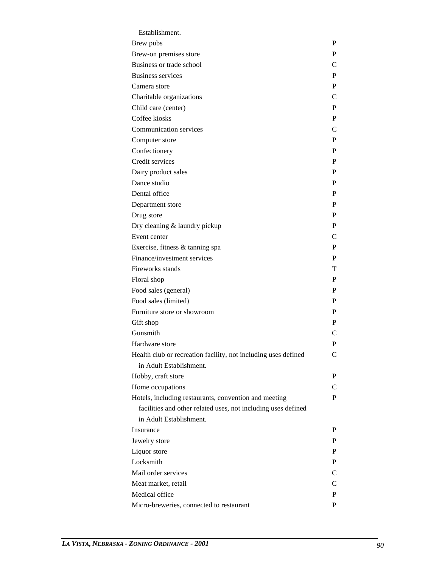| Establishment.                                                 |   |
|----------------------------------------------------------------|---|
| Brew pubs                                                      | P |
| Brew-on premises store                                         | P |
| Business or trade school                                       | C |
| <b>Business services</b>                                       | P |
| Camera store                                                   | P |
| Charitable organizations                                       | C |
| Child care (center)                                            | P |
| Coffee kiosks                                                  | P |
| <b>Communication services</b>                                  | C |
| Computer store                                                 | P |
| Confectionery                                                  | P |
| Credit services                                                | P |
| Dairy product sales                                            | P |
| Dance studio                                                   | P |
| Dental office                                                  | P |
| Department store                                               | P |
| Drug store                                                     | P |
| Dry cleaning & laundry pickup                                  | P |
| Event center                                                   | C |
| Exercise, fitness & tanning spa                                | P |
| Finance/investment services                                    | P |
| Fireworks stands                                               | т |
| Floral shop                                                    | P |
| Food sales (general)                                           | P |
| Food sales (limited)                                           | P |
| Furniture store or showroom                                    | P |
| Gift shop                                                      | P |
| Gunsmith                                                       | C |
| Hardware store                                                 | P |
| Health club or recreation facility, not including uses defined | C |
| in Adult Establishment.                                        |   |
| Hobby, craft store                                             | P |
| Home occupations                                               | C |
| Hotels, including restaurants, convention and meeting          | P |
| facilities and other related uses, not including uses defined  |   |
| in Adult Establishment.                                        |   |
| Insurance                                                      | P |
| Jewelry store                                                  | P |
| Liquor store                                                   | P |
| Locksmith                                                      | P |
| Mail order services                                            | C |
| Meat market, retail                                            | C |
| Medical office                                                 | P |
| Micro-breweries, connected to restaurant                       | P |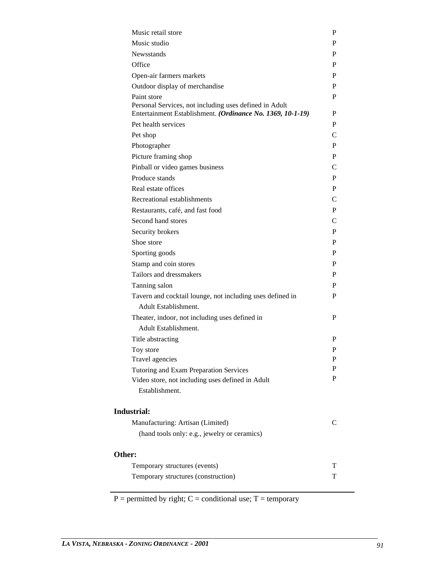| Music retail store                                                                                                                  | P         |
|-------------------------------------------------------------------------------------------------------------------------------------|-----------|
| Music studio                                                                                                                        | P         |
| <b>Newsstands</b>                                                                                                                   | P         |
| Office                                                                                                                              | P         |
| Open-air farmers markets                                                                                                            | P         |
| Outdoor display of merchandise                                                                                                      | P         |
| Paint store<br>Personal Services, not including uses defined in Adult<br>Entertainment Establishment. (Ordinance No. 1369, 10-1-19) | P<br>P    |
| Pet health services                                                                                                                 | P         |
| Pet shop                                                                                                                            | C         |
| Photographer                                                                                                                        | P         |
| Picture framing shop                                                                                                                | P         |
| Pinball or video games business                                                                                                     | C         |
| Produce stands                                                                                                                      | P         |
| Real estate offices                                                                                                                 | P         |
| Recreational establishments                                                                                                         | C         |
| Restaurants, café, and fast food                                                                                                    | P         |
| Second hand stores                                                                                                                  | C         |
| Security brokers                                                                                                                    | P         |
| Shoe store                                                                                                                          | P         |
| Sporting goods                                                                                                                      | P         |
| Stamp and coin stores                                                                                                               | P         |
| Tailors and dressmakers                                                                                                             | P         |
| Tanning salon                                                                                                                       | P         |
| Tavern and cocktail lounge, not including uses defined in<br>Adult Establishment.                                                   | P         |
| Theater, indoor, not including uses defined in<br>Adult Establishment.                                                              | P         |
| Title abstracting                                                                                                                   | P         |
| Toy store                                                                                                                           | ${\bf P}$ |
| Travel agencies                                                                                                                     | P         |
| Tutoring and Exam Preparation Services                                                                                              | P         |
| Video store, not including uses defined in Adult<br>Establishment.                                                                  | P         |
| <b>Industrial:</b>                                                                                                                  |           |
| Manufacturing: Artisan (Limited)                                                                                                    | C         |
| (hand tools only: e.g., jewelry or ceramics)                                                                                        |           |
| Other:                                                                                                                              |           |
| Temporary structures (events)                                                                                                       | T         |
| Temporary structures (construction)                                                                                                 | T         |
|                                                                                                                                     |           |

 $P =$  permitted by right;  $C =$  conditional use;  $T =$  temporary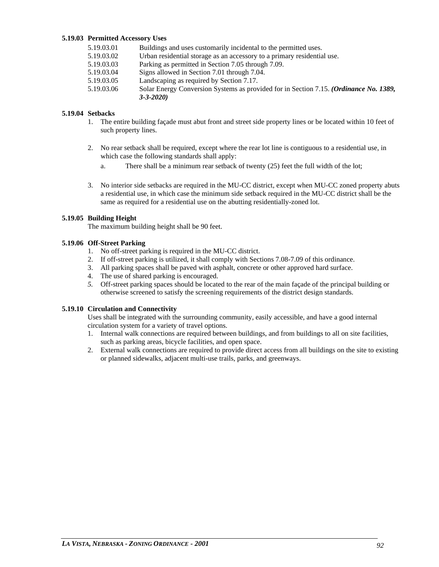#### **5.19.03 Permitted Accessory Uses**

| 5.19.03.01 | Buildings and uses customarily incidental to the permitted uses.                      |
|------------|---------------------------------------------------------------------------------------|
| 5.19.03.02 | Urban residential storage as an accessory to a primary residential use.               |
| 5.19.03.03 | Parking as permitted in Section 7.05 through 7.09.                                    |
| 5.19.03.04 | Signs allowed in Section 7.01 through 7.04.                                           |
| 5.19.03.05 | Landscaping as required by Section 7.17.                                              |
| 5.19.03.06 | Solar Energy Conversion Systems as provided for in Section 7.15. (Ordinance No. 1389, |
|            | $3 - 3 - 2020$                                                                        |

# **5.19.04 Setbacks**

- 1. The entire building façade must abut front and street side property lines or be located within 10 feet of such property lines.
- 2. No rear setback shall be required, except where the rear lot line is contiguous to a residential use, in which case the following standards shall apply:
	- a. There shall be a minimum rear setback of twenty (25) feet the full width of the lot;
- 3. No interior side setbacks are required in the MU-CC district, except when MU-CC zoned property abuts a residential use, in which case the minimum side setback required in the MU-CC district shall be the same as required for a residential use on the abutting residentially-zoned lot.

# **5.19.05 Building Height**

The maximum building height shall be 90 feet.

# **5.19.06 Off-Street Parking**

- 1. No off-street parking is required in the MU-CC district.
- 2. If off-street parking is utilized, it shall comply with Sections 7.08-7.09 of this ordinance.
- 3. All parking spaces shall be paved with asphalt, concrete or other approved hard surface.
- 4. The use of shared parking is encouraged.
- *5.* Off-street parking spaces should be located to the rear of the main façade of the principal building or otherwise screened to satisfy the screening requirements of the district design standards.

#### **5.19.10 Circulation and Connectivity**

Uses shall be integrated with the surrounding community, easily accessible, and have a good internal circulation system for a variety of travel options.

- 1. Internal walk connections are required between buildings, and from buildings to all on site facilities, such as parking areas, bicycle facilities, and open space.
- 2. External walk connections are required to provide direct access from all buildings on the site to existing or planned sidewalks, adjacent multi-use trails, parks, and greenways.